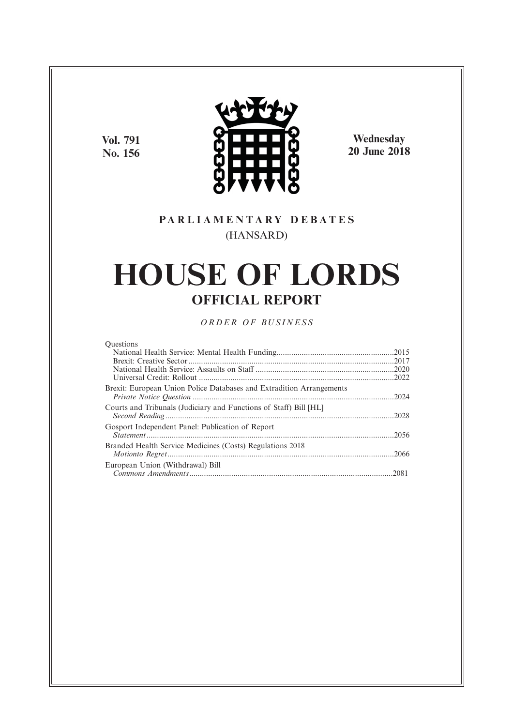**Vol. 791 No. 156**



**Wednesday 20 June 2018**

# **P A R L I A M E N T A R Y D E B A T E S** (HANSARD)

# **HOUSE OF LORDS OFFICIAL REPORT**

*O R D E R O F BU S I N E S S*

#### **Ouestions**

| Brexit: European Union Police Databases and Extradition Arrangements |  |
|----------------------------------------------------------------------|--|
| Courts and Tribunals (Judiciary and Functions of Staff) Bill [HL]    |  |
| Gosport Independent Panel: Publication of Report                     |  |
| Branded Health Service Medicines (Costs) Regulations 2018            |  |
| European Union (Withdrawal) Bill                                     |  |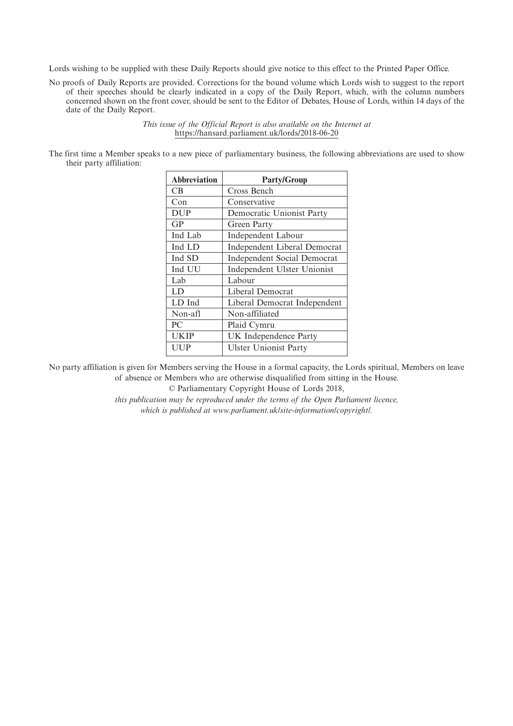Lords wishing to be supplied with these Daily Reports should give notice to this effect to the Printed Paper Office.

No proofs of Daily Reports are provided. Corrections for the bound volume which Lords wish to suggest to the report of their speeches should be clearly indicated in a copy of the Daily Report, which, with the column numbers concerned shown on the front cover, should be sent to the Editor of Debates, House of Lords, within 14 days of the date of the Daily Report.

> *This issue of the Official Report is also available on the Internet at* https://hansard.parliament.uk/lords/2018-06-20

The first time a Member speaks to a new piece of parliamentary business, the following abbreviations are used to show their party affiliation:

| <b>Abbreviation</b> | <b>Party/Group</b>                  |
|---------------------|-------------------------------------|
| CB.                 | Cross Bench                         |
| Con                 | Conservative                        |
| <b>DUP</b>          | Democratic Unionist Party           |
| GP                  | Green Party                         |
| Ind Lab             | Independent Labour                  |
| Ind LD              | <b>Independent Liberal Democrat</b> |
| Ind SD              | <b>Independent Social Democrat</b>  |
| Ind UU              | Independent Ulster Unionist         |
| Lab                 | Labour                              |
| LD                  | Liberal Democrat                    |
| LD Ind              | Liberal Democrat Independent        |
| Non-afl             | Non-affiliated                      |
| PC                  | Plaid Cymru                         |
| <b>UKIP</b>         | UK Independence Party               |
| UUP                 | <b>Ulster Unionist Party</b>        |

No party affiliation is given for Members serving the House in a formal capacity, the Lords spiritual, Members on leave of absence or Members who are otherwise disqualified from sitting in the House.

© Parliamentary Copyright House of Lords 2018,

*this publication may be reproduced under the terms of the Open Parliament licence, which is published at www.parliament.uk/site-information/copyright/.*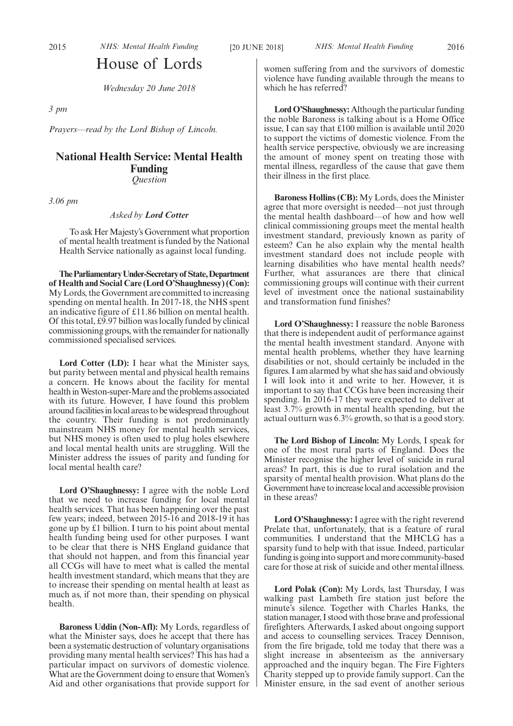# House of Lords

*Wednesday 20 June 2018*

*3 pm*

*3.06 pm*

*Prayers—read by the Lord Bishop of Lincoln.*

# **National Health Service: Mental Health Funding** *Question*

#### *Asked by Lord Cotter*

To ask Her Majesty's Government what proportion of mental health treatment is funded by the National Health Service nationally as against local funding.

**TheParliamentaryUnder-Secretaryof State,Department of Health and Social Care (Lord O'Shaughnessy) (Con):** My Lords, the Government are committed to increasing spending on mental health. In 2017-18, the NHS spent an indicative figure of £11.86 billion on mental health. Of this total, £9.97 billion was locally funded by clinical commissioning groups, with the remainder for nationally commissioned specialised services.

**Lord Cotter (LD):** I hear what the Minister says, but parity between mental and physical health remains a concern. He knows about the facility for mental health in Weston-super-Mare and the problems associated with its future. However, I have found this problem around facilities in local areas to be widespread throughout the country. Their funding is not predominantly mainstream NHS money for mental health services, but NHS money is often used to plug holes elsewhere and local mental health units are struggling. Will the Minister address the issues of parity and funding for local mental health care?

**Lord O'Shaughnessy:** I agree with the noble Lord that we need to increase funding for local mental health services. That has been happening over the past few years; indeed, between 2015-16 and 2018-19 it has gone up by £1 billion. I turn to his point about mental health funding being used for other purposes. I want to be clear that there is NHS England guidance that that should not happen, and from this financial year all CCGs will have to meet what is called the mental health investment standard, which means that they are to increase their spending on mental health at least as much as, if not more than, their spending on physical health.

**Baroness Uddin (Non-Afl):** My Lords, regardless of what the Minister says, does he accept that there has been a systematic destruction of voluntary organisations providing many mental health services? This has had a particular impact on survivors of domestic violence. What are the Government doing to ensure that Women's Aid and other organisations that provide support for women suffering from and the survivors of domestic violence have funding available through the means to which he has referred?

**Lord O'Shaughnessy:** Although the particular funding the noble Baroness is talking about is a Home Office issue, I can say that £100 million is available until 2020 to support the victims of domestic violence. From the health service perspective, obviously we are increasing the amount of money spent on treating those with mental illness, regardless of the cause that gave them their illness in the first place.

**Baroness Hollins (CB):** My Lords, does the Minister agree that more oversight is needed—not just through the mental health dashboard—of how and how well clinical commissioning groups meet the mental health investment standard, previously known as parity of esteem? Can he also explain why the mental health investment standard does not include people with learning disabilities who have mental health needs? Further, what assurances are there that clinical commissioning groups will continue with their current level of investment once the national sustainability and transformation fund finishes?

**Lord O'Shaughnessy:** I reassure the noble Baroness that there is independent audit of performance against the mental health investment standard. Anyone with mental health problems, whether they have learning disabilities or not, should certainly be included in the figures. I am alarmed by what she has said and obviously I will look into it and write to her. However, it is important to say that CCGs have been increasing their spending. In 2016-17 they were expected to deliver at least 3.7% growth in mental health spending, but the actual outturn was 6.3% growth, so that is a good story.

**The Lord Bishop of Lincoln:** My Lords, I speak for one of the most rural parts of England. Does the Minister recognise the higher level of suicide in rural areas? In part, this is due to rural isolation and the sparsity of mental health provision. What plans do the Government have to increase local and accessible provision in these areas?

**Lord O'Shaughnessy:** I agree with the right reverend Prelate that, unfortunately, that is a feature of rural communities. I understand that the MHCLG has a sparsity fund to help with that issue. Indeed, particular funding is going into support and more community-based care for those at risk of suicide and other mental illness.

**Lord Polak (Con):** My Lords, last Thursday, I was walking past Lambeth fire station just before the minute's silence. Together with Charles Hanks, the station manager, I stood with those brave and professional firefighters. Afterwards, I asked about ongoing support and access to counselling services. Tracey Dennison, from the fire brigade, told me today that there was a slight increase in absenteeism as the anniversary approached and the inquiry began. The Fire Fighters Charity stepped up to provide family support. Can the Minister ensure, in the sad event of another serious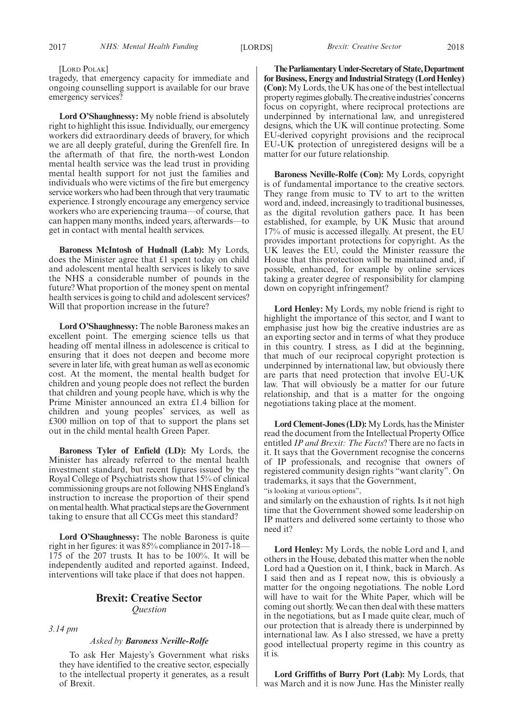#### [LORD POLAK]

tragedy, that emergency capacity for immediate and ongoing counselling support is available for our brave emergency services?

**Lord O'Shaughnessy:** My noble friend is absolutely right to highlight this issue. Individually, our emergency workers did extraordinary deeds of bravery, for which we are all deeply grateful, during the Grenfell fire. In the aftermath of that fire, the north-west London mental health service was the lead trust in providing mental health support for not just the families and individuals who were victims of the fire but emergency service workers who had been through that very traumatic experience. I strongly encourage any emergency service workers who are experiencing trauma—of course, that can happen many months, indeed years, afterwards—to get in contact with mental health services.

**Baroness McIntosh of Hudnall (Lab):** My Lords, does the Minister agree that £1 spent today on child and adolescent mental health services is likely to save the NHS a considerable number of pounds in the future? What proportion of the money spent on mental health services is going to child and adolescent services? Will that proportion increase in the future?

**Lord O'Shaughnessy:** The noble Baroness makes an excellent point. The emerging science tells us that heading off mental illness in adolescence is critical to ensuring that it does not deepen and become more severe in later life, with great human as well as economic cost. At the moment, the mental health budget for children and young people does not reflect the burden that children and young people have, which is why the Prime Minister announced an extra £1.4 billion for children and young peoples' services, as well as £300 million on top of that to support the plans set out in the child mental health Green Paper.

**Baroness Tyler of Enfield (LD):** My Lords, the Minister has already referred to the mental health investment standard, but recent figures issued by the Royal College of Psychiatrists show that 15% of clinical commissioning groups are not following NHS England's instruction to increase the proportion of their spend on mental health. What practical steps are the Government taking to ensure that all CCGs meet this standard?

**Lord O'Shaughnessy:** The noble Baroness is quite right in her figures: it was 85% compliance in 2017-18— 175 of the 207 trusts. It has to be 100%. It will be independently audited and reported against. Indeed, interventions will take place if that does not happen.

# **Brexit: Creative Sector** *Question*

*3.14 pm*

#### *Asked by Baroness Neville-Rolfe*

To ask Her Majesty's Government what risks they have identified to the creative sector, especially to the intellectual property it generates, as a result of Brexit.

**TheParliamentaryUnder-Secretaryof State,Department for Business, Energy and Industrial Strategy (Lord Henley) (Con):**My Lords, the UK has one of the best intellectual property regimes globally. The creative industries' concerns focus on copyright, where reciprocal protections are underpinned by international law, and unregistered designs, which the UK will continue protecting. Some EU-derived copyright provisions and the reciprocal EU-UK protection of unregistered designs will be a matter for our future relationship.

**Baroness Neville-Rolfe (Con):** My Lords, copyright is of fundamental importance to the creative sectors. They range from music to TV to art to the written word and, indeed, increasingly to traditional businesses, as the digital revolution gathers pace. It has been established, for example, by UK Music that around 17% of music is accessed illegally. At present, the EU provides important protections for copyright. As the UK leaves the EU, could the Minister reassure the House that this protection will be maintained and, if possible, enhanced, for example by online services taking a greater degree of responsibility for clamping down on copyright infringement?

**Lord Henley:** My Lords, my noble friend is right to highlight the importance of this sector, and I want to emphasise just how big the creative industries are as an exporting sector and in terms of what they produce in this country. I stress, as I did at the beginning, that much of our reciprocal copyright protection is underpinned by international law, but obviously there are parts that need protection that involve EU-UK law. That will obviously be a matter for our future relationship, and that is a matter for the ongoing negotiations taking place at the moment.

**Lord Clement-Jones (LD):**My Lords, has the Minister read the document from the Intellectual Property Office entitled *IP and Brexit: The Facts*? There are no facts in it. It says that the Government recognise the concerns of IP professionals, and recognise that owners of registered community design rights "want clarity". On trademarks, it says that the Government,

"is looking at various options",

and similarly on the exhaustion of rights. Is it not high time that the Government showed some leadership on IP matters and delivered some certainty to those who need it?

**Lord Henley:** My Lords, the noble Lord and I, and others in the House, debated this matter when the noble Lord had a Question on it, I think, back in March. As I said then and as I repeat now, this is obviously a matter for the ongoing negotiations. The noble Lord will have to wait for the White Paper, which will be coming out shortly. We can then deal with these matters in the negotiations, but as I made quite clear, much of our protection that is already there is underpinned by international law. As I also stressed, we have a pretty good intellectual property regime in this country as it is.

**Lord Griffiths of Burry Port (Lab):** My Lords, that was March and it is now June. Has the Minister really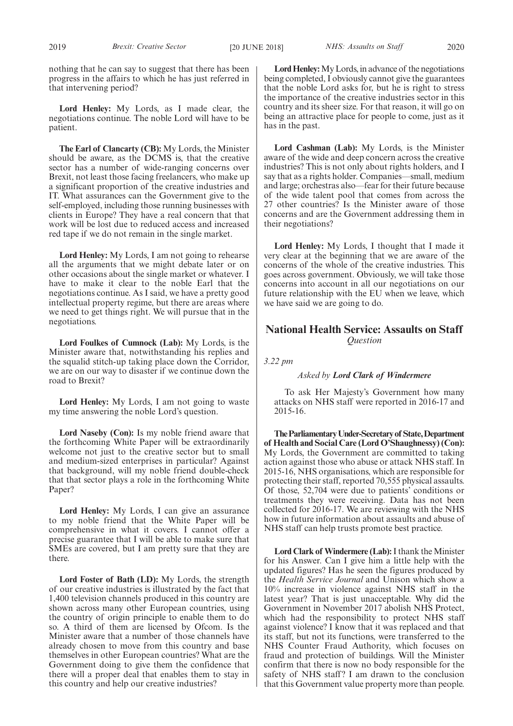**Lord Henley:** My Lords, as I made clear, the negotiations continue. The noble Lord will have to be patient.

**The Earl of Clancarty (CB):** My Lords, the Minister should be aware, as the DCMS is, that the creative sector has a number of wide-ranging concerns over Brexit, not least those facing freelancers, who make up a significant proportion of the creative industries and IT. What assurances can the Government give to the self-employed, including those running businesses with clients in Europe? They have a real concern that that work will be lost due to reduced access and increased red tape if we do not remain in the single market.

**Lord Henley:** My Lords, I am not going to rehearse all the arguments that we might debate later or on other occasions about the single market or whatever. I have to make it clear to the noble Earl that the negotiations continue. As I said, we have a pretty good intellectual property regime, but there are areas where we need to get things right. We will pursue that in the negotiations.

**Lord Foulkes of Cumnock (Lab):** My Lords, is the Minister aware that, notwithstanding his replies and the squalid stitch-up taking place down the Corridor, we are on our way to disaster if we continue down the road to Brexit?

**Lord Henley:** My Lords, I am not going to waste my time answering the noble Lord's question.

**Lord Naseby (Con):** Is my noble friend aware that the forthcoming White Paper will be extraordinarily welcome not just to the creative sector but to small and medium-sized enterprises in particular? Against that background, will my noble friend double-check that that sector plays a role in the forthcoming White Paper?

**Lord Henley:** My Lords, I can give an assurance to my noble friend that the White Paper will be comprehensive in what it covers. I cannot offer a precise guarantee that I will be able to make sure that SMEs are covered, but I am pretty sure that they are there.

**Lord Foster of Bath (LD):** My Lords, the strength of our creative industries is illustrated by the fact that 1,400 television channels produced in this country are shown across many other European countries, using the country of origin principle to enable them to do so. A third of them are licensed by Ofcom. Is the Minister aware that a number of those channels have already chosen to move from this country and base themselves in other European countries? What are the Government doing to give them the confidence that there will a proper deal that enables them to stay in this country and help our creative industries?

**Lord Henley:**My Lords, in advance of the negotiations being completed, I obviously cannot give the guarantees that the noble Lord asks for, but he is right to stress the importance of the creative industries sector in this country and its sheer size. For that reason, it will go on being an attractive place for people to come, just as it has in the past.

**Lord Cashman (Lab):** My Lords, is the Minister aware of the wide and deep concern across the creative industries? This is not only about rights holders, and I say that as a rights holder. Companies—small, medium and large; orchestras also—fear for their future because of the wide talent pool that comes from across the 27 other countries? Is the Minister aware of those concerns and are the Government addressing them in their negotiations?

**Lord Henley:** My Lords, I thought that I made it very clear at the beginning that we are aware of the concerns of the whole of the creative industries. This goes across government. Obviously, we will take those concerns into account in all our negotiations on our future relationship with the EU when we leave, which we have said we are going to do.

# **National Health Service: Assaults on Staff** *Question*

*3.22 pm*

#### *Asked by Lord Clark of Windermere*

To ask Her Majesty's Government how many attacks on NHS staff were reported in 2016-17 and 2015-16.

**TheParliamentaryUnder-Secretaryof State,Department of Health and Social Care (Lord O'Shaughnessy) (Con):** My Lords, the Government are committed to taking action against those who abuse or attack NHS staff. In 2015-16, NHS organisations, which are responsible for protecting their staff, reported 70,555 physical assaults. Of those, 52,704 were due to patients' conditions or treatments they were receiving. Data has not been collected for 2016-17. We are reviewing with the NHS how in future information about assaults and abuse of NHS staff can help trusts promote best practice.

**Lord Clark of Windermere (Lab):**I thank the Minister for his Answer. Can I give him a little help with the updated figures? Has he seen the figures produced by the *Health Service Journal* and Unison which show a 10% increase in violence against NHS staff in the latest year? That is just unacceptable. Why did the Government in November 2017 abolish NHS Protect, which had the responsibility to protect NHS staff against violence? I know that it was replaced and that its staff, but not its functions, were transferred to the NHS Counter Fraud Authority, which focuses on fraud and protection of buildings. Will the Minister confirm that there is now no body responsible for the safety of NHS staff? I am drawn to the conclusion that this Government value property more than people.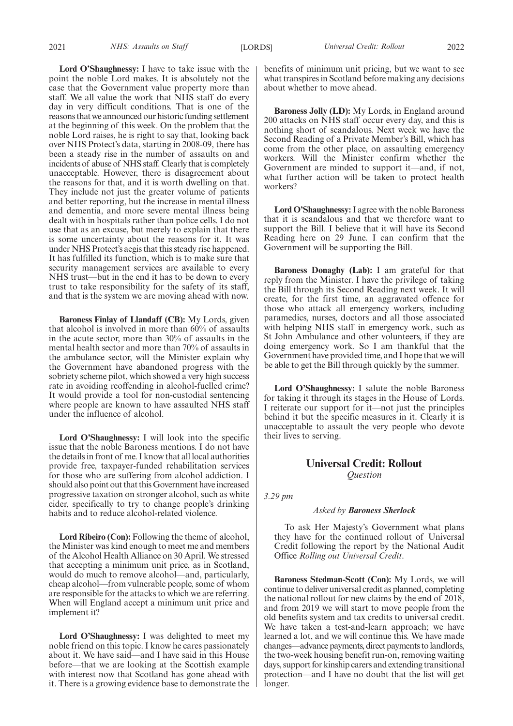**Lord O'Shaughnessy:** I have to take issue with the point the noble Lord makes. It is absolutely not the case that the Government value property more than staff. We all value the work that NHS staff do every day in very difficult conditions. That is one of the reasons that we announced our historic funding settlement at the beginning of this week. On the problem that the noble Lord raises, he is right to say that, looking back over NHS Protect's data, starting in 2008-09, there has been a steady rise in the number of assaults on and incidents of abuse of NHS staff. Clearly that is completely unacceptable. However, there is disagreement about the reasons for that, and it is worth dwelling on that. They include not just the greater volume of patients and better reporting, but the increase in mental illness and dementia, and more severe mental illness being dealt with in hospitals rather than police cells. I do not use that as an excuse, but merely to explain that there is some uncertainty about the reasons for it. It was under NHS Protect's aegis that this steady rise happened. It has fulfilled its function, which is to make sure that security management services are available to every NHS trust—but in the end it has to be down to every trust to take responsibility for the safety of its staff, and that is the system we are moving ahead with now.

**Baroness Finlay of Llandaff (CB):** My Lords, given that alcohol is involved in more than 60% of assaults in the acute sector, more than 30% of assaults in the mental health sector and more than 70% of assaults in the ambulance sector, will the Minister explain why the Government have abandoned progress with the sobriety scheme pilot, which showed a very high success rate in avoiding reoffending in alcohol-fuelled crime? It would provide a tool for non-custodial sentencing where people are known to have assaulted NHS staff under the influence of alcohol.

**Lord O'Shaughnessy:** I will look into the specific issue that the noble Baroness mentions. I do not have the details in front of me. I know that all local authorities provide free, taxpayer-funded rehabilitation services for those who are suffering from alcohol addiction. I should also point out that this Government have increased progressive taxation on stronger alcohol, such as white cider, specifically to try to change people's drinking habits and to reduce alcohol-related violence.

**Lord Ribeiro (Con):** Following the theme of alcohol, the Minister was kind enough to meet me and members of the Alcohol Health Alliance on 30 April. We stressed that accepting a minimum unit price, as in Scotland, would do much to remove alcohol—and, particularly, cheap alcohol—from vulnerable people, some of whom are responsible for the attacks to which we are referring. When will England accept a minimum unit price and implement it?

**Lord O'Shaughnessy:** I was delighted to meet my noble friend on this topic. I know he cares passionately about it. We have said—and I have said in this House before—that we are looking at the Scottish example with interest now that Scotland has gone ahead with it. There is a growing evidence base to demonstrate the benefits of minimum unit pricing, but we want to see what transpires in Scotland before making any decisions about whether to move ahead.

**Baroness Jolly (LD):** My Lords, in England around 200 attacks on NHS staff occur every day, and this is nothing short of scandalous. Next week we have the Second Reading of a Private Member's Bill, which has come from the other place, on assaulting emergency workers. Will the Minister confirm whether the Government are minded to support it—and, if not, what further action will be taken to protect health workers?

**Lord O'Shaughnessy:**I agree with the noble Baroness that it is scandalous and that we therefore want to support the Bill. I believe that it will have its Second Reading here on 29 June. I can confirm that the Government will be supporting the Bill.

**Baroness Donaghy (Lab):** I am grateful for that reply from the Minister. I have the privilege of taking the Bill through its Second Reading next week. It will create, for the first time, an aggravated offence for those who attack all emergency workers, including paramedics, nurses, doctors and all those associated with helping NHS staff in emergency work, such as St John Ambulance and other volunteers, if they are doing emergency work. So I am thankful that the Government have provided time, and I hope that we will be able to get the Bill through quickly by the summer.

**Lord O'Shaughnessy:** I salute the noble Baroness for taking it through its stages in the House of Lords. I reiterate our support for it—not just the principles behind it but the specific measures in it. Clearly it is unacceptable to assault the very people who devote their lives to serving.

# **Universal Credit: Rollout** *Question*

*3.29 pm*

#### *Asked by Baroness Sherlock*

To ask Her Majesty's Government what plans they have for the continued rollout of Universal Credit following the report by the National Audit Office *Rolling out Universal Credit*.

**Baroness Stedman-Scott (Con):** My Lords, we will continue to deliver universal credit as planned, completing the national rollout for new claims by the end of 2018, and from 2019 we will start to move people from the old benefits system and tax credits to universal credit. We have taken a test-and-learn approach; we have learned a lot, and we will continue this. We have made changes—advance payments, direct payments to landlords, the two-week housing benefit run-on, removing waiting days, support for kinship carers and extending transitional protection—and I have no doubt that the list will get longer.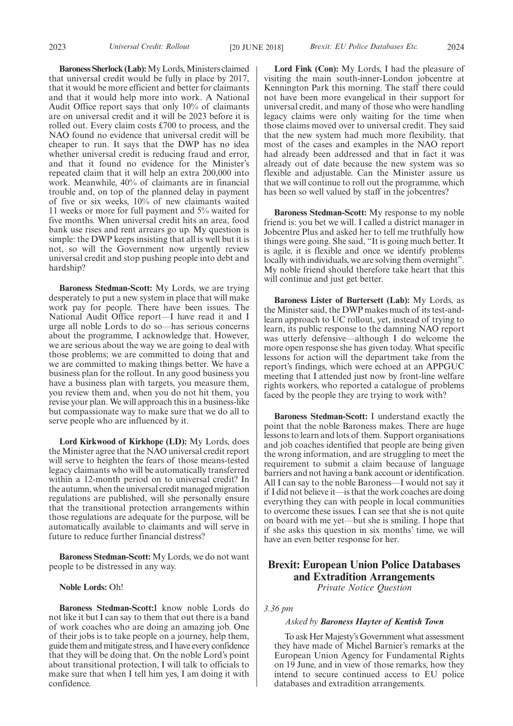**Baroness Sherlock (Lab):**My Lords, Ministers claimed that universal credit would be fully in place by 2017, that it would be more efficient and better for claimants and that it would help more into work. A National Audit Office report says that only 10% of claimants are on universal credit and it will be 2023 before it is rolled out. Every claim costs £700 to process, and the NAO found no evidence that universal credit will be cheaper to run. It says that the DWP has no idea whether universal credit is reducing fraud and error, and that it found no evidence for the Minister's repeated claim that it will help an extra 200,000 into work. Meanwhile, 40% of claimants are in financial trouble and, on top of the planned delay in payment of five or six weeks, 10% of new claimants waited 11 weeks or more for full payment and 5% waited for five months. When universal credit hits an area, food bank use rises and rent arrears go up. My question is simple: the DWP keeps insisting that all is well but it is not, so will the Government now urgently review universal credit and stop pushing people into debt and hardship?

**Baroness Stedman-Scott:** My Lords, we are trying desperately to put a new system in place that will make work pay for people. There have been issues. The National Audit Office report—I have read it and I urge all noble Lords to do so—has serious concerns about the programme, I acknowledge that. However, we are serious about the way we are going to deal with those problems; we are committed to doing that and we are committed to making things better. We have a business plan for the rollout. In any good business you have a business plan with targets, you measure them, you review them and, when you do not hit them, you revise your plan. We will approach this in a business-like but compassionate way to make sure that we do all to serve people who are influenced by it.

**Lord Kirkwood of Kirkhope (LD):** My Lords, does the Minister agree that the NAO universal credit report will serve to heighten the fears of those means-tested legacy claimants who will be automatically transferred within a 12-month period on to universal credit? In the autumn, when the universal credit managed migration regulations are published, will she personally ensure that the transitional protection arrangements within those regulations are adequate for the purpose, will be automatically available to claimants and will serve in future to reduce further financial distress?

**Baroness Stedman-Scott:** My Lords, we do not want people to be distressed in any way.

#### **Noble Lords:** Oh!

**Baroness Stedman-Scott:**I know noble Lords do not like it but I can say to them that out there is a band of work coaches who are doing an amazing job. One of their jobs is to take people on a journey, help them, guide them and mitigate stress, and I have every confidence that they will be doing that. On the noble Lord's point about transitional protection, I will talk to officials to make sure that when I tell him yes, I am doing it with confidence.

**Lord Fink (Con):** My Lords, I had the pleasure of visiting the main south-inner-London jobcentre at Kennington Park this morning. The staff there could not have been more evangelical in their support for universal credit, and many of those who were handling legacy claims were only waiting for the time when those claims moved over to universal credit. They said that the new system had much more flexibility, that most of the cases and examples in the NAO report had already been addressed and that in fact it was already out of date because the new system was so flexible and adjustable. Can the Minister assure us that we will continue to roll out the programme, which has been so well valued by staff in the jobcentres?

**Baroness Stedman-Scott:** My response to my noble friend is: you bet we will. I called a district manager in Jobcentre Plus and asked her to tell me truthfully how things were going. She said, "It is going much better. It is agile, it is flexible and once we identify problems locally with individuals, we are solving them overnight". My noble friend should therefore take heart that this will continue and just get better.

**Baroness Lister of Burtersett (Lab):** My Lords, as the Minister said, the DWP makes much of its test-andlearn approach to UC rollout, yet, instead of trying to learn, its public response to the damning NAO report was utterly defensive—although I do welcome the more open response she has given today. What specific lessons for action will the department take from the report's findings, which were echoed at an APPGUC meeting that I attended just now by front-line welfare rights workers, who reported a catalogue of problems faced by the people they are trying to work with?

**Baroness Stedman-Scott:** I understand exactly the point that the noble Baroness makes. There are huge lessons to learn and lots of them. Support organisations and job coaches identified that people are being given the wrong information, and are struggling to meet the requirement to submit a claim because of language barriers and not having a bank account or identification. All I can say to the noble Baroness—I would not say it if I did not believe it—is that the work coaches are doing everything they can with people in local communities to overcome these issues. I can see that she is not quite on board with me yet—but she is smiling. I hope that if she asks this question in six months' time, we will have an even better response for her.

# **Brexit: European Union Police Databases and Extradition Arrangements**

*Private Notice Question*

## *3.36 pm*

#### *Asked by Baroness Hayter of Kentish Town*

To ask Her Majesty's Government what assessment they have made of Michel Barnier's remarks at the European Union Agency for Fundamental Rights on 19 June, and in view of those remarks, how they intend to secure continued access to EU police databases and extradition arrangements.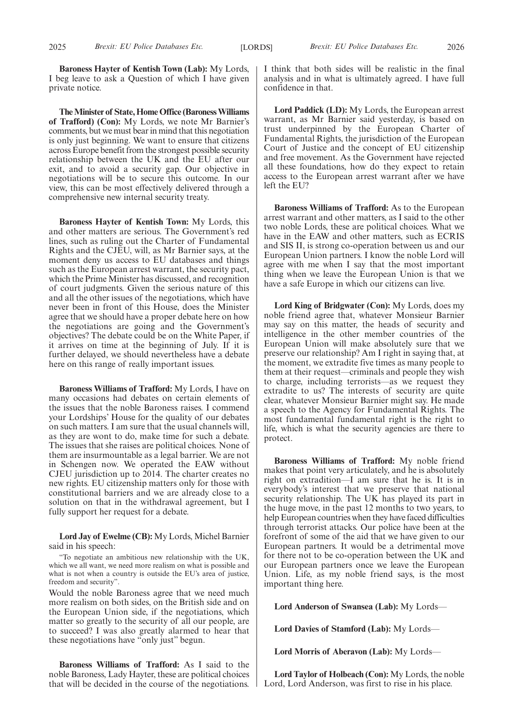**Baroness Hayter of Kentish Town (Lab):** My Lords, I beg leave to ask a Question of which I have given private notice.

**The Minister of State, Home Office (Baroness Williams of Trafford) (Con):** My Lords, we note Mr Barnier's comments, but we must bear in mind that this negotiation is only just beginning. We want to ensure that citizens across Europe benefit from the strongest possible security relationship between the UK and the EU after our exit, and to avoid a security gap. Our objective in negotiations will be to secure this outcome. In our view, this can be most effectively delivered through a comprehensive new internal security treaty.

**Baroness Hayter of Kentish Town:** My Lords, this and other matters are serious. The Government's red lines, such as ruling out the Charter of Fundamental Rights and the CJEU, will, as Mr Barnier says, at the moment deny us access to EU databases and things such as the European arrest warrant, the security pact, which the Prime Minister has discussed, and recognition of court judgments. Given the serious nature of this and all the other issues of the negotiations, which have never been in front of this House, does the Minister agree that we should have a proper debate here on how the negotiations are going and the Government's objectives? The debate could be on the White Paper, if it arrives on time at the beginning of July. If it is further delayed, we should nevertheless have a debate here on this range of really important issues.

**Baroness Williams of Trafford:** My Lords, I have on many occasions had debates on certain elements of the issues that the noble Baroness raises. I commend your Lordships' House for the quality of our debates on such matters. I am sure that the usual channels will, as they are wont to do, make time for such a debate. The issues that she raises are political choices. None of them are insurmountable as a legal barrier. We are not in Schengen now. We operated the EAW without CJEU jurisdiction up to 2014. The charter creates no new rights. EU citizenship matters only for those with constitutional barriers and we are already close to a solution on that in the withdrawal agreement, but I fully support her request for a debate.

**Lord Jay of Ewelme (CB):** My Lords, Michel Barnier said in his speech:

"To negotiate an ambitious new relationship with the UK, which we all want, we need more realism on what is possible and what is not when a country is outside the EU's area of justice, freedom and security".

Would the noble Baroness agree that we need much more realism on both sides, on the British side and on the European Union side, if the negotiations, which matter so greatly to the security of all our people, are to succeed? I was also greatly alarmed to hear that these negotiations have "only just" begun.

**Baroness Williams of Trafford:** As I said to the noble Baroness, Lady Hayter, these are political choices that will be decided in the course of the negotiations. I think that both sides will be realistic in the final analysis and in what is ultimately agreed. I have full confidence in that.

**Lord Paddick (LD):** My Lords, the European arrest warrant, as Mr Barnier said yesterday, is based on trust underpinned by the European Charter of Fundamental Rights, the jurisdiction of the European Court of Justice and the concept of EU citizenship and free movement. As the Government have rejected all these foundations, how do they expect to retain access to the European arrest warrant after we have left the EU?

**Baroness Williams of Trafford:** As to the European arrest warrant and other matters, as I said to the other two noble Lords, these are political choices. What we have in the EAW and other matters, such as ECRIS and SIS II, is strong co-operation between us and our European Union partners. I know the noble Lord will agree with me when I say that the most important thing when we leave the European Union is that we have a safe Europe in which our citizens can live.

**Lord King of Bridgwater (Con):** My Lords, does my noble friend agree that, whatever Monsieur Barnier may say on this matter, the heads of security and intelligence in the other member countries of the European Union will make absolutely sure that we preserve our relationship? Am I right in saying that, at the moment, we extradite five times as many people to them at their request—criminals and people they wish to charge, including terrorists—as we request they extradite to us? The interests of security are quite clear, whatever Monsieur Barnier might say. He made a speech to the Agency for Fundamental Rights. The most fundamental fundamental right is the right to life, which is what the security agencies are there to protect.

**Baroness Williams of Trafford:** My noble friend makes that point very articulately, and he is absolutely right on extradition—I am sure that he is. It is in everybody's interest that we preserve that national security relationship. The UK has played its part in the huge move, in the past 12 months to two years, to help European countries when they have faced difficulties through terrorist attacks. Our police have been at the forefront of some of the aid that we have given to our European partners. It would be a detrimental move for there not to be co-operation between the UK and our European partners once we leave the European Union. Life, as my noble friend says, is the most important thing here.

**Lord Anderson of Swansea (Lab):** My Lords—

**Lord Davies of Stamford (Lab):** My Lords—

**Lord Morris of Aberavon (Lab):** My Lords—

**Lord Taylor of Holbeach (Con):** My Lords, the noble Lord, Lord Anderson, was first to rise in his place.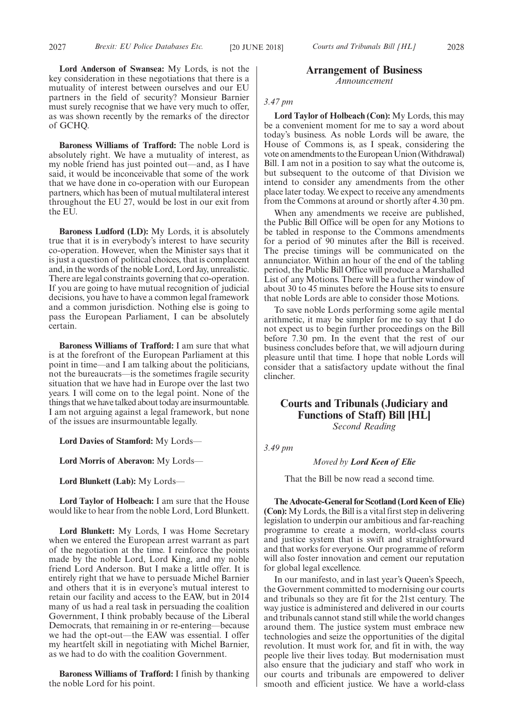**Lord Anderson of Swansea:** My Lords, is not the key consideration in these negotiations that there is a mutuality of interest between ourselves and our EU partners in the field of security? Monsieur Barnier must surely recognise that we have very much to offer, as was shown recently by the remarks of the director of GCHQ.

**Baroness Williams of Trafford:** The noble Lord is absolutely right. We have a mutuality of interest, as my noble friend has just pointed out—and, as I have said, it would be inconceivable that some of the work that we have done in co-operation with our European partners, which has been of mutual multilateral interest throughout the EU 27, would be lost in our exit from the EU.

**Baroness Ludford (LD):** My Lords, it is absolutely true that it is in everybody's interest to have security co-operation. However, when the Minister says that it is just a question of political choices, that is complacent and, in the words of the noble Lord, Lord Jay, unrealistic. There are legal constraints governing that co-operation. If you are going to have mutual recognition of judicial decisions, you have to have a common legal framework and a common jurisdiction. Nothing else is going to pass the European Parliament, I can be absolutely certain.

**Baroness Williams of Trafford:** I am sure that what is at the forefront of the European Parliament at this point in time—and I am talking about the politicians, not the bureaucrats—is the sometimes fragile security situation that we have had in Europe over the last two years. I will come on to the legal point. None of the things that we have talked about today are insurmountable. I am not arguing against a legal framework, but none of the issues are insurmountable legally.

**Lord Davies of Stamford:** My Lords—

**Lord Morris of Aberavon:** My Lords—

**Lord Blunkett (Lab):** My Lords—

**Lord Taylor of Holbeach:** I am sure that the House would like to hear from the noble Lord, Lord Blunkett.

**Lord Blunkett:** My Lords, I was Home Secretary when we entered the European arrest warrant as part of the negotiation at the time. I reinforce the points made by the noble Lord, Lord King, and my noble friend Lord Anderson. But I make a little offer. It is entirely right that we have to persuade Michel Barnier and others that it is in everyone's mutual interest to retain our facility and access to the EAW, but in 2014 many of us had a real task in persuading the coalition Government, I think probably because of the Liberal Democrats, that remaining in or re-entering—because we had the opt-out—the EAW was essential. I offer my heartfelt skill in negotiating with Michel Barnier, as we had to do with the coalition Government.

**Baroness Williams of Trafford:** I finish by thanking the noble Lord for his point.

## **Arrangement of Business** *Announcement*

#### *3.47 pm*

**Lord Taylor of Holbeach (Con):** My Lords, this may be a convenient moment for me to say a word about today's business. As noble Lords will be aware, the House of Commons is, as I speak, considering the vote on amendments to the European Union (Withdrawal) Bill. I am not in a position to say what the outcome is, but subsequent to the outcome of that Division we intend to consider any amendments from the other place later today. We expect to receive any amendments from the Commons at around or shortly after 4.30 pm.

When any amendments we receive are published, the Public Bill Office will be open for any Motions to be tabled in response to the Commons amendments for a period of 90 minutes after the Bill is received. The precise timings will be communicated on the annunciator. Within an hour of the end of the tabling period, the Public Bill Office will produce a Marshalled List of any Motions. There will be a further window of about 30 to 45 minutes before the House sits to ensure that noble Lords are able to consider those Motions.

To save noble Lords performing some agile mental arithmetic, it may be simpler for me to say that I do not expect us to begin further proceedings on the Bill before 7.30 pm. In the event that the rest of our business concludes before that, we will adjourn during pleasure until that time. I hope that noble Lords will consider that a satisfactory update without the final clincher.

# **Courts and Tribunals (Judiciary and Functions of Staff) Bill [HL]** *Second Reading*

*3.49 pm*

*Moved by Lord Keen of Elie*

That the Bill be now read a second time.

**The Advocate-General for Scotland (Lord Keen of Elie) (Con):** My Lords, the Bill is a vital first step in delivering legislation to underpin our ambitious and far-reaching programme to create a modern, world-class courts and justice system that is swift and straightforward and that works for everyone. Our programme of reform will also foster innovation and cement our reputation for global legal excellence.

In our manifesto, and in last year's Queen's Speech, the Government committed to modernising our courts and tribunals so they are fit for the 21st century. The way justice is administered and delivered in our courts and tribunals cannot stand still while the world changes around them. The justice system must embrace new technologies and seize the opportunities of the digital revolution. It must work for, and fit in with, the way people live their lives today. But modernisation must also ensure that the judiciary and staff who work in our courts and tribunals are empowered to deliver smooth and efficient justice. We have a world-class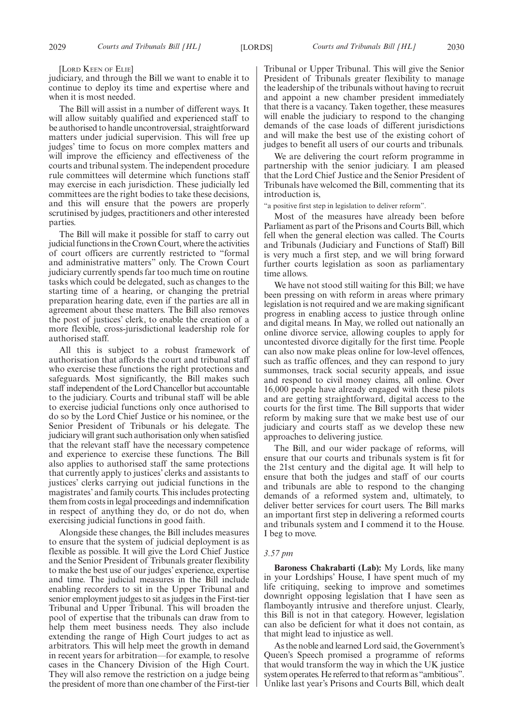#### [LORD KEEN OF ELIE]

judiciary, and through the Bill we want to enable it to continue to deploy its time and expertise where and when it is most needed.

The Bill will assist in a number of different ways. It will allow suitably qualified and experienced staff to be authorised to handle uncontroversial, straightforward matters under judicial supervision. This will free up judges' time to focus on more complex matters and will improve the efficiency and effectiveness of the courts and tribunal system. The independent procedure rule committees will determine which functions staff may exercise in each jurisdiction. These judicially led committees are the right bodies to take these decisions, and this will ensure that the powers are properly scrutinised by judges, practitioners and other interested parties.

The Bill will make it possible for staff to carry out judicial functions in the Crown Court, where the activities of court officers are currently restricted to "formal and administrative matters" only. The Crown Court judiciary currently spends far too much time on routine tasks which could be delegated, such as changes to the starting time of a hearing, or changing the pretrial preparation hearing date, even if the parties are all in agreement about these matters. The Bill also removes the post of justices' clerk, to enable the creation of a more flexible, cross-jurisdictional leadership role for authorised staff.

All this is subject to a robust framework of authorisation that affords the court and tribunal staff who exercise these functions the right protections and safeguards. Most significantly, the Bill makes such staff independent of the Lord Chancellor but accountable to the judiciary. Courts and tribunal staff will be able to exercise judicial functions only once authorised to do so by the Lord Chief Justice or his nominee, or the Senior President of Tribunals or his delegate. The judiciary will grant such authorisation only when satisfied that the relevant staff have the necessary competence and experience to exercise these functions. The Bill also applies to authorised staff the same protections that currently apply to justices' clerks and assistants to justices' clerks carrying out judicial functions in the magistrates' and family courts. This includes protecting them from costs in legal proceedings and indemnification in respect of anything they do, or do not do, when exercising judicial functions in good faith.

Alongside these changes, the Bill includes measures to ensure that the system of judicial deployment is as flexible as possible. It will give the Lord Chief Justice and the Senior President of Tribunals greater flexibility to make the best use of our judges' experience, expertise and time. The judicial measures in the Bill include enabling recorders to sit in the Upper Tribunal and senior employment judges to sit as judges in the First-tier Tribunal and Upper Tribunal. This will broaden the pool of expertise that the tribunals can draw from to help them meet business needs. They also include extending the range of High Court judges to act as arbitrators. This will help meet the growth in demand in recent years for arbitration—for example, to resolve cases in the Chancery Division of the High Court. They will also remove the restriction on a judge being the president of more than one chamber of the First-tier Tribunal or Upper Tribunal. This will give the Senior President of Tribunals greater flexibility to manage the leadership of the tribunals without having to recruit and appoint a new chamber president immediately that there is a vacancy. Taken together, these measures will enable the judiciary to respond to the changing demands of the case loads of different jurisdictions and will make the best use of the existing cohort of judges to benefit all users of our courts and tribunals.

We are delivering the court reform programme in partnership with the senior judiciary. I am pleased that the Lord Chief Justice and the Senior President of Tribunals have welcomed the Bill, commenting that its introduction is,

"a positive first step in legislation to deliver reform".

Most of the measures have already been before Parliament as part of the Prisons and Courts Bill, which fell when the general election was called. The Courts and Tribunals (Judiciary and Functions of Staff) Bill is very much a first step, and we will bring forward further courts legislation as soon as parliamentary time allows.

We have not stood still waiting for this Bill; we have been pressing on with reform in areas where primary legislation is not required and we are making significant progress in enabling access to justice through online and digital means. In May, we rolled out nationally an online divorce service, allowing couples to apply for uncontested divorce digitally for the first time. People can also now make pleas online for low-level offences, such as traffic offences, and they can respond to jury summonses, track social security appeals, and issue and respond to civil money claims, all online. Over 16,000 people have already engaged with these pilots and are getting straightforward, digital access to the courts for the first time. The Bill supports that wider reform by making sure that we make best use of our judiciary and courts staff as we develop these new approaches to delivering justice.

The Bill, and our wider package of reforms, will ensure that our courts and tribunals system is fit for the 21st century and the digital age. It will help to ensure that both the judges and staff of our courts and tribunals are able to respond to the changing demands of a reformed system and, ultimately, to deliver better services for court users. The Bill marks an important first step in delivering a reformed courts and tribunals system and I commend it to the House. I beg to move.

#### *3.57 pm*

**Baroness Chakrabarti (Lab):** My Lords, like many in your Lordships' House, I have spent much of my life critiquing, seeking to improve and sometimes downright opposing legislation that I have seen as flamboyantly intrusive and therefore unjust. Clearly, this Bill is not in that category. However, legislation can also be deficient for what it does not contain, as that might lead to injustice as well.

As the noble and learned Lord said, the Government's Queen's Speech promised a programme of reforms that would transform the way in which the UK justice system operates. He referred to that reform as "ambitious". Unlike last year's Prisons and Courts Bill, which dealt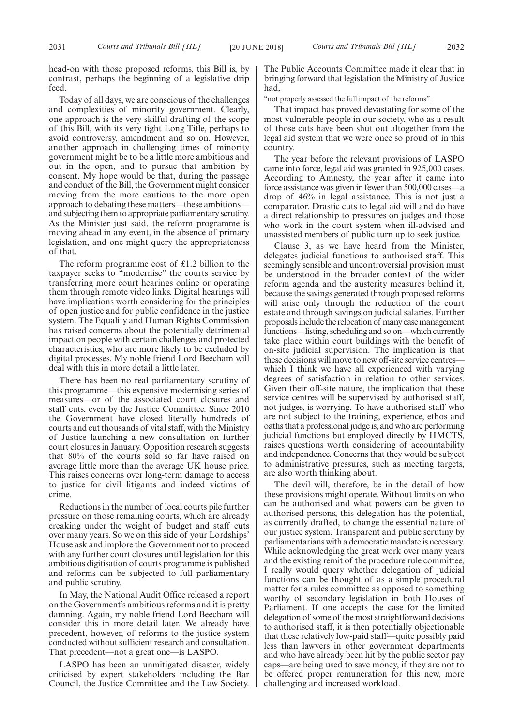head-on with those proposed reforms, this Bill is, by contrast, perhaps the beginning of a legislative drip feed.

Today of all days, we are conscious of the challenges and complexities of minority government. Clearly, one approach is the very skilful drafting of the scope of this Bill, with its very tight Long Title, perhaps to avoid controversy, amendment and so on. However, another approach in challenging times of minority government might be to be a little more ambitious and out in the open, and to pursue that ambition by consent. My hope would be that, during the passage and conduct of the Bill, the Government might consider moving from the more cautious to the more open approach to debating these matters—these ambitions and subjecting them to appropriate parliamentary scrutiny. As the Minister just said, the reform programme is moving ahead in any event, in the absence of primary legislation, and one might query the appropriateness of that.

The reform programme cost of £1.2 billion to the taxpayer seeks to "modernise" the courts service by transferring more court hearings online or operating them through remote video links. Digital hearings will have implications worth considering for the principles of open justice and for public confidence in the justice system. The Equality and Human Rights Commission has raised concerns about the potentially detrimental impact on people with certain challenges and protected characteristics, who are more likely to be excluded by digital processes. My noble friend Lord Beecham will deal with this in more detail a little later.

There has been no real parliamentary scrutiny of this programme—this expensive modernising series of measures—or of the associated court closures and staff cuts, even by the Justice Committee. Since 2010 the Government have closed literally hundreds of courts and cut thousands of vital staff, with the Ministry of Justice launching a new consultation on further court closures in January. Opposition research suggests that 80% of the courts sold so far have raised on average little more than the average UK house price. This raises concerns over long-term damage to access to justice for civil litigants and indeed victims of crime.

Reductions in the number of local courts pile further pressure on those remaining courts, which are already creaking under the weight of budget and staff cuts over many years. So we on this side of your Lordships' House ask and implore the Government not to proceed with any further court closures until legislation for this ambitious digitisation of courts programme is published and reforms can be subjected to full parliamentary and public scrutiny.

In May, the National Audit Office released a report on the Government's ambitious reforms and it is pretty damning. Again, my noble friend Lord Beecham will consider this in more detail later. We already have precedent, however, of reforms to the justice system conducted without sufficient research and consultation. That precedent—not a great one—is LASPO.

LASPO has been an unmitigated disaster, widely criticised by expert stakeholders including the Bar Council, the Justice Committee and the Law Society. The Public Accounts Committee made it clear that in bringing forward that legislation the Ministry of Justice had,

"not properly assessed the full impact of the reforms".

That impact has proved devastating for some of the most vulnerable people in our society, who as a result of those cuts have been shut out altogether from the legal aid system that we were once so proud of in this country.

The year before the relevant provisions of LASPO came into force, legal aid was granted in 925,000 cases. According to Amnesty, the year after it came into force assistance was given in fewer than 500,000 cases—a drop of 46% in legal assistance. This is not just a comparator. Drastic cuts to legal aid will and do have a direct relationship to pressures on judges and those who work in the court system when ill-advised and unassisted members of public turn up to seek justice.

Clause 3, as we have heard from the Minister, delegates judicial functions to authorised staff. This seemingly sensible and uncontroversial provision must be understood in the broader context of the wider reform agenda and the austerity measures behind it, because the savings generated through proposed reforms will arise only through the reduction of the court estate and through savings on judicial salaries. Further proposals include the relocation of many case management functions—listing, scheduling and so on—which currently take place within court buildings with the benefit of on-site judicial supervision. The implication is that these decisions will move to new off-site service centres which I think we have all experienced with varying degrees of satisfaction in relation to other services. Given their off-site nature, the implication that these service centres will be supervised by authorised staff, not judges, is worrying. To have authorised staff who are not subject to the training, experience, ethos and oaths that a professional judge is, and who are performing judicial functions but employed directly by HMCTS, raises questions worth considering of accountability and independence. Concerns that they would be subject to administrative pressures, such as meeting targets, are also worth thinking about.

The devil will, therefore, be in the detail of how these provisions might operate. Without limits on who can be authorised and what powers can be given to authorised persons, this delegation has the potential, as currently drafted, to change the essential nature of our justice system. Transparent and public scrutiny by parliamentarians with a democratic mandate is necessary. While acknowledging the great work over many years and the existing remit of the procedure rule committee, I really would query whether delegation of judicial functions can be thought of as a simple procedural matter for a rules committee as opposed to something worthy of secondary legislation in both Houses of Parliament. If one accepts the case for the limited delegation of some of the most straightforward decisions to authorised staff, it is then potentially objectionable that these relatively low-paid staff—quite possibly paid less than lawyers in other government departments and who have already been hit by the public sector pay caps—are being used to save money, if they are not to be offered proper remuneration for this new, more challenging and increased workload.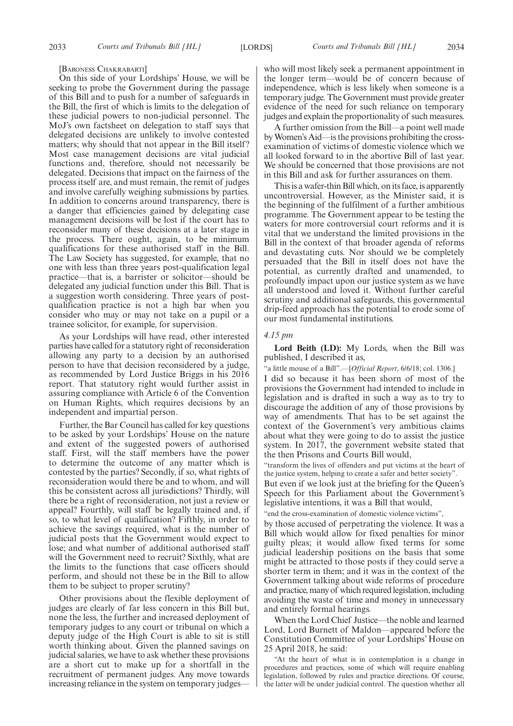#### [BARONESS CHAKRABARTI]

On this side of your Lordships' House, we will be seeking to probe the Government during the passage of this Bill and to push for a number of safeguards in the Bill, the first of which is limits to the delegation of these judicial powers to non-judicial personnel. The MoJ's own factsheet on delegation to staff says that delegated decisions are unlikely to involve contested matters; why should that not appear in the Bill itself? Most case management decisions are vital judicial functions and, therefore, should not necessarily be delegated. Decisions that impact on the fairness of the process itself are, and must remain, the remit of judges and involve carefully weighing submissions by parties. In addition to concerns around transparency, there is a danger that efficiencies gained by delegating case management decisions will be lost if the court has to reconsider many of these decisions at a later stage in the process. There ought, again, to be minimum qualifications for these authorised staff in the Bill. The Law Society has suggested, for example, that no one with less than three years post-qualification legal practice—that is, a barrister or solicitor—should be delegated any judicial function under this Bill. That is a suggestion worth considering. Three years of postqualification practice is not a high bar when you consider who may or may not take on a pupil or a trainee solicitor, for example, for supervision.

As your Lordships will have read, other interested parties have called for a statutory right of reconsideration allowing any party to a decision by an authorised person to have that decision reconsidered by a judge, as recommended by Lord Justice Briggs in his 2016 report. That statutory right would further assist in assuring compliance with Article 6 of the Convention on Human Rights, which requires decisions by an independent and impartial person.

Further, the Bar Council has called for key questions to be asked by your Lordships' House on the nature and extent of the suggested powers of authorised staff. First, will the staff members have the power to determine the outcome of any matter which is contested by the parties? Secondly, if so, what rights of reconsideration would there be and to whom, and will this be consistent across all jurisdictions? Thirdly, will there be a right of reconsideration, not just a review or appeal? Fourthly, will staff be legally trained and, if so, to what level of qualification? Fifthly, in order to achieve the savings required, what is the number of judicial posts that the Government would expect to lose; and what number of additional authorised staff will the Government need to recruit? Sixthly, what are the limits to the functions that case officers should perform, and should not these be in the Bill to allow them to be subject to proper scrutiny?

Other provisions about the flexible deployment of judges are clearly of far less concern in this Bill but, none the less, the further and increased deployment of temporary judges to any court or tribunal on which a deputy judge of the High Court is able to sit is still worth thinking about. Given the planned savings on judicial salaries, we have to ask whether these provisions are a short cut to make up for a shortfall in the recruitment of permanent judges. Any move towards increasing reliance in the system on temporary judgeswho will most likely seek a permanent appointment in the longer term—would be of concern because of independence, which is less likely when someone is a temporary judge. The Government must provide greater evidence of the need for such reliance on temporary judges and explain the proportionality of such measures.

A further omission from the Bill—a point well made by Women's Aid—is the provisions prohibiting the crossexamination of victims of domestic violence which we all looked forward to in the abortive Bill of last year. We should be concerned that those provisions are not in this Bill and ask for further assurances on them.

This is a wafer-thin Bill which, on its face, is apparently uncontroversial. However, as the Minister said, it is the beginning of the fulfilment of a further ambitious programme. The Government appear to be testing the waters for more controversial court reforms and it is vital that we understand the limited provisions in the Bill in the context of that broader agenda of reforms and devastating cuts. Nor should we be completely persuaded that the Bill in itself does not have the potential, as currently drafted and unamended, to profoundly impact upon our justice system as we have all understood and loved it. Without further careful scrutiny and additional safeguards, this governmental drip-feed approach has the potential to erode some of our most fundamental institutions.

#### *4.15 pm*

**Lord Beith (LD):** My Lords, when the Bill was published, I described it as,

"a little mouse of a Bill".—[*Official Report*, 6/6/18; col. 1306.]

I did so because it has been shorn of most of the provisions the Government had intended to include in legislation and is drafted in such a way as to try to discourage the addition of any of those provisions by way of amendments. That has to be set against the context of the Government's very ambitious claims about what they were going to do to assist the justice system. In 2017, the government website stated that the then Prisons and Courts Bill would,

"transform the lives of offenders and put victims at the heart of the justice system, helping to create a safer and better society".

But even if we look just at the briefing for the Queen's Speech for this Parliament about the Government's legislative intentions, it was a Bill that would,

"end the cross-examination of domestic violence victims",

by those accused of perpetrating the violence. It was a Bill which would allow for fixed penalties for minor guilty pleas; it would allow fixed terms for some judicial leadership positions on the basis that some might be attracted to those posts if they could serve a shorter term in them; and it was in the context of the Government talking about wide reforms of procedure and practice, many of which required legislation, including avoiding the waste of time and money in unnecessary and entirely formal hearings.

When the Lord Chief Justice—the noble and learned Lord, Lord Burnett of Maldon—appeared before the Constitution Committee of your Lordships' House on 25 April 2018, he said:

"At the heart of what is in contemplation is a change in procedures and practices, some of which will require enabling legislation, followed by rules and practice directions. Of course, the latter will be under judicial control. The question whether all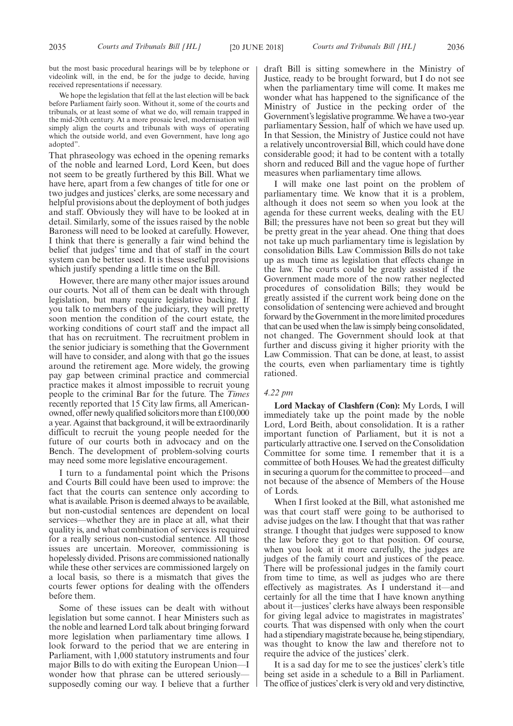but the most basic procedural hearings will be by telephone or videolink will, in the end, be for the judge to decide, having received representations if necessary.

We hope the legislation that fell at the last election will be back before Parliament fairly soon. Without it, some of the courts and tribunals, or at least some of what we do, will remain trapped in the mid-20th century. At a more prosaic level, modernisation will simply align the courts and tribunals with ways of operating which the outside world, and even Government, have long ago adopted".

That phraseology was echoed in the opening remarks of the noble and learned Lord, Lord Keen, but does not seem to be greatly furthered by this Bill. What we have here, apart from a few changes of title for one or two judges and justices' clerks, are some necessary and helpful provisions about the deployment of both judges and staff. Obviously they will have to be looked at in detail. Similarly, some of the issues raised by the noble Baroness will need to be looked at carefully. However, I think that there is generally a fair wind behind the belief that judges' time and that of staff in the court system can be better used. It is these useful provisions which justify spending a little time on the Bill.

However, there are many other major issues around our courts. Not all of them can be dealt with through legislation, but many require legislative backing. If you talk to members of the judiciary, they will pretty soon mention the condition of the court estate, the working conditions of court staff and the impact all that has on recruitment. The recruitment problem in the senior judiciary is something that the Government will have to consider, and along with that go the issues around the retirement age. More widely, the growing pay gap between criminal practice and commercial practice makes it almost impossible to recruit young people to the criminal Bar for the future. The *Times* recently reported that 15 City law firms, all Americanowned, offer newly qualified solicitors more than £100,000 a year. Against that background, it will be extraordinarily difficult to recruit the young people needed for the future of our courts both in advocacy and on the Bench. The development of problem-solving courts may need some more legislative encouragement.

I turn to a fundamental point which the Prisons and Courts Bill could have been used to improve: the fact that the courts can sentence only according to what is available. Prison is deemed always to be available, but non-custodial sentences are dependent on local services—whether they are in place at all, what their quality is, and what combination of services is required for a really serious non-custodial sentence. All those issues are uncertain. Moreover, commissioning is hopelessly divided. Prisons are commissioned nationally while these other services are commissioned largely on a local basis, so there is a mismatch that gives the courts fewer options for dealing with the offenders before them.

Some of these issues can be dealt with without legislation but some cannot. I hear Ministers such as the noble and learned Lord talk about bringing forward more legislation when parliamentary time allows. I look forward to the period that we are entering in Parliament, with 1,000 statutory instruments and four major Bills to do with exiting the European Union—I wonder how that phrase can be uttered seriously supposedly coming our way. I believe that a further draft Bill is sitting somewhere in the Ministry of Justice, ready to be brought forward, but I do not see when the parliamentary time will come. It makes me wonder what has happened to the significance of the Ministry of Justice in the pecking order of the Government's legislative programme. We have a two-year parliamentary Session, half of which we have used up. In that Session, the Ministry of Justice could not have a relatively uncontroversial Bill, which could have done considerable good; it had to be content with a totally shorn and reduced Bill and the vague hope of further measures when parliamentary time allows.

I will make one last point on the problem of parliamentary time. We know that it is a problem, although it does not seem so when you look at the agenda for these current weeks, dealing with the EU Bill; the pressures have not been so great but they will be pretty great in the year ahead. One thing that does not take up much parliamentary time is legislation by consolidation Bills. Law Commission Bills do not take up as much time as legislation that effects change in the law. The courts could be greatly assisted if the Government made more of the now rather neglected procedures of consolidation Bills; they would be greatly assisted if the current work being done on the consolidation of sentencing were achieved and brought forward by the Government in the more limited procedures that can be used when the law is simply being consolidated, not changed. The Government should look at that further and discuss giving it higher priority with the Law Commission. That can be done, at least, to assist the courts, even when parliamentary time is tightly rationed.

#### *4.22 pm*

**Lord Mackay of Clashfern (Con):** My Lords, I will immediately take up the point made by the noble Lord, Lord Beith, about consolidation. It is a rather important function of Parliament, but it is not a particularly attractive one. I served on the Consolidation Committee for some time. I remember that it is a committee of both Houses. We had the greatest difficulty in securing a quorum for the committee to proceed—and not because of the absence of Members of the House of Lords.

When I first looked at the Bill, what astonished me was that court staff were going to be authorised to advise judges on the law. I thought that that was rather strange. I thought that judges were supposed to know the law before they got to that position. Of course, when you look at it more carefully, the judges are judges of the family court and justices of the peace. There will be professional judges in the family court from time to time, as well as judges who are there effectively as magistrates. As I understand it—and certainly for all the time that I have known anything about it—justices' clerks have always been responsible for giving legal advice to magistrates in magistrates' courts. That was dispensed with only when the court had a stipendiary magistrate because he, being stipendiary, was thought to know the law and therefore not to require the advice of the justices' clerk.

It is a sad day for me to see the justices' clerk's title being set aside in a schedule to a Bill in Parliament. The office of justices'clerk is very old and very distinctive,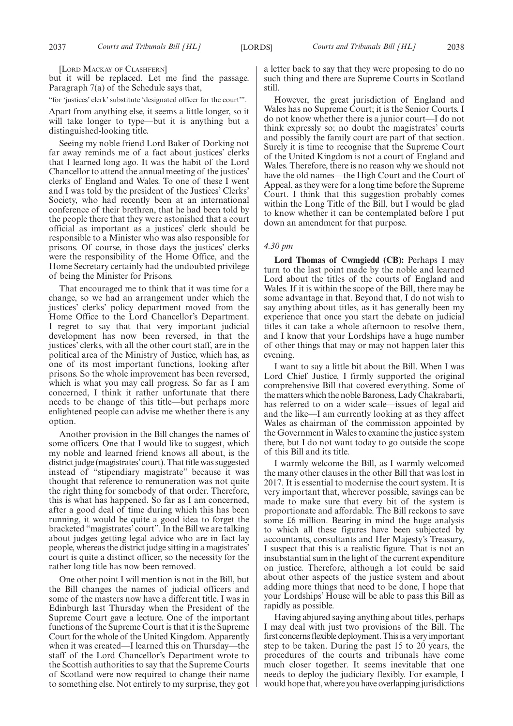[LORD MACKAY OF CLASHFERN]

but it will be replaced. Let me find the passage. Paragraph 7(a) of the Schedule says that,

"for 'justices' clerk' substitute 'designated officer for the court'".

Apart from anything else, it seems a little longer, so it will take longer to type—but it is anything but a distinguished-looking title.

Seeing my noble friend Lord Baker of Dorking not far away reminds me of a fact about justices' clerks that I learned long ago. It was the habit of the Lord Chancellor to attend the annual meeting of the justices' clerks of England and Wales. To one of these I went and I was told by the president of the Justices' Clerks' Society, who had recently been at an international conference of their brethren, that he had been told by the people there that they were astonished that a court official as important as a justices' clerk should be responsible to a Minister who was also responsible for prisons. Of course, in those days the justices' clerks were the responsibility of the Home Office, and the Home Secretary certainly had the undoubted privilege of being the Minister for Prisons.

That encouraged me to think that it was time for a change, so we had an arrangement under which the justices' clerks' policy department moved from the Home Office to the Lord Chancellor's Department. I regret to say that that very important judicial development has now been reversed, in that the justices' clerks, with all the other court staff, are in the political area of the Ministry of Justice, which has, as one of its most important functions, looking after prisons. So the whole improvement has been reversed, which is what you may call progress. So far as I am concerned, I think it rather unfortunate that there needs to be change of this title—but perhaps more enlightened people can advise me whether there is any option.

Another provision in the Bill changes the names of some officers. One that I would like to suggest, which my noble and learned friend knows all about, is the district judge (magistrates'court). That title was suggested instead of "stipendiary magistrate" because it was thought that reference to remuneration was not quite the right thing for somebody of that order. Therefore, this is what has happened. So far as I am concerned, after a good deal of time during which this has been running, it would be quite a good idea to forget the bracketed "magistrates' court". In the Bill we are talking about judges getting legal advice who are in fact lay people, whereas the district judge sitting in a magistrates' court is quite a distinct officer, so the necessity for the rather long title has now been removed.

One other point I will mention is not in the Bill, but the Bill changes the names of judicial officers and some of the masters now have a different title. I was in Edinburgh last Thursday when the President of the Supreme Court gave a lecture. One of the important functions of the Supreme Court is that it is the Supreme Court for the whole of the United Kingdom. Apparently when it was created—I learned this on Thursday—the staff of the Lord Chancellor's Department wrote to the Scottish authorities to say that the Supreme Courts of Scotland were now required to change their name to something else. Not entirely to my surprise, they got

a letter back to say that they were proposing to do no such thing and there are Supreme Courts in Scotland still.

However, the great jurisdiction of England and Wales has no Supreme Court; it is the Senior Courts. I do not know whether there is a junior court—I do not think expressly so; no doubt the magistrates' courts and possibly the family court are part of that section. Surely it is time to recognise that the Supreme Court of the United Kingdom is not a court of England and Wales. Therefore, there is no reason why we should not have the old names—the High Court and the Court of Appeal, as they were for a long time before the Supreme Court. I think that this suggestion probably comes within the Long Title of the Bill, but I would be glad to know whether it can be contemplated before I put down an amendment for that purpose.

#### *4.30 pm*

**Lord Thomas of Cwmgiedd (CB):** Perhaps I may turn to the last point made by the noble and learned Lord about the titles of the courts of England and Wales. If it is within the scope of the Bill, there may be some advantage in that. Beyond that, I do not wish to say anything about titles, as it has generally been my experience that once you start the debate on judicial titles it can take a whole afternoon to resolve them, and I know that your Lordships have a huge number of other things that may or may not happen later this evening.

I want to say a little bit about the Bill. When I was Lord Chief Justice, I firmly supported the original comprehensive Bill that covered everything. Some of the matters which the noble Baroness, Lady Chakrabarti, has referred to on a wider scale—issues of legal aid and the like—I am currently looking at as they affect Wales as chairman of the commission appointed by the Government in Wales to examine the justice system there, but I do not want today to go outside the scope of this Bill and its title.

I warmly welcome the Bill, as I warmly welcomed the many other clauses in the other Bill that was lost in 2017. It is essential to modernise the court system. It is very important that, wherever possible, savings can be made to make sure that every bit of the system is proportionate and affordable. The Bill reckons to save some £6 million. Bearing in mind the huge analysis to which all these figures have been subjected by accountants, consultants and Her Majesty's Treasury, I suspect that this is a realistic figure. That is not an insubstantial sum in the light of the current expenditure on justice. Therefore, although a lot could be said about other aspects of the justice system and about adding more things that need to be done, I hope that your Lordships' House will be able to pass this Bill as rapidly as possible.

Having abjured saying anything about titles, perhaps I may deal with just two provisions of the Bill. The first concerns flexible deployment. This is a very important step to be taken. During the past 15 to 20 years, the procedures of the courts and tribunals have come much closer together. It seems inevitable that one needs to deploy the judiciary flexibly. For example, I would hope that, where you have overlapping jurisdictions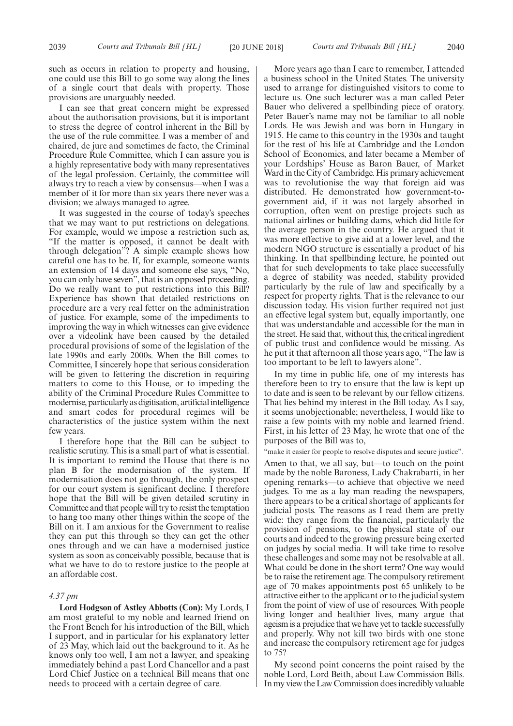such as occurs in relation to property and housing, one could use this Bill to go some way along the lines of a single court that deals with property. Those provisions are unarguably needed.

I can see that great concern might be expressed about the authorisation provisions, but it is important to stress the degree of control inherent in the Bill by the use of the rule committee. I was a member of and chaired, de jure and sometimes de facto, the Criminal Procedure Rule Committee, which I can assure you is a highly representative body with many representatives of the legal profession. Certainly, the committee will always try to reach a view by consensus—when I was a member of it for more than six years there never was a division; we always managed to agree.

It was suggested in the course of today's speeches that we may want to put restrictions on delegations. For example, would we impose a restriction such as, "If the matter is opposed, it cannot be dealt with through delegation"? A simple example shows how careful one has to be. If, for example, someone wants an extension of 14 days and someone else says, "No, you can only have seven", that is an opposed proceeding. Do we really want to put restrictions into this Bill? Experience has shown that detailed restrictions on procedure are a very real fetter on the administration of justice. For example, some of the impediments to improving the way in which witnesses can give evidence over a videolink have been caused by the detailed procedural provisions of some of the legislation of the late 1990s and early 2000s. When the Bill comes to Committee, I sincerely hope that serious consideration will be given to fettering the discretion in requiring matters to come to this House, or to impeding the ability of the Criminal Procedure Rules Committee to modernise, particularly as digitisation, artificial intelligence and smart codes for procedural regimes will be characteristics of the justice system within the next few years.

I therefore hope that the Bill can be subject to realistic scrutiny. This is a small part of what is essential. It is important to remind the House that there is no plan B for the modernisation of the system. If modernisation does not go through, the only prospect for our court system is significant decline. I therefore hope that the Bill will be given detailed scrutiny in Committee and that people will try to resist the temptation to hang too many other things within the scope of the Bill on it. I am anxious for the Government to realise they can put this through so they can get the other ones through and we can have a modernised justice system as soon as conceivably possible, because that is what we have to do to restore justice to the people at an affordable cost.

#### *4.37 pm*

**Lord Hodgson of Astley Abbotts (Con):** My Lords, I am most grateful to my noble and learned friend on the Front Bench for his introduction of the Bill, which I support, and in particular for his explanatory letter of 23 May, which laid out the background to it. As he knows only too well, I am not a lawyer, and speaking immediately behind a past Lord Chancellor and a past Lord Chief Justice on a technical Bill means that one needs to proceed with a certain degree of care.

More years ago than I care to remember, I attended a business school in the United States. The university used to arrange for distinguished visitors to come to lecture us. One such lecturer was a man called Peter Bauer who delivered a spellbinding piece of oratory. Peter Bauer's name may not be familiar to all noble Lords. He was Jewish and was born in Hungary in 1915. He came to this country in the 1930s and taught for the rest of his life at Cambridge and the London School of Economics, and later became a Member of your Lordships' House as Baron Bauer, of Market Ward in the City of Cambridge. His primary achievement was to revolutionise the way that foreign aid was distributed. He demonstrated how government-togovernment aid, if it was not largely absorbed in corruption, often went on prestige projects such as national airlines or building dams, which did little for the average person in the country. He argued that it was more effective to give aid at a lower level, and the modern NGO structure is essentially a product of his thinking. In that spellbinding lecture, he pointed out that for such developments to take place successfully a degree of stability was needed, stability provided particularly by the rule of law and specifically by a respect for property rights. That is the relevance to our discussion today. His vision further required not just an effective legal system but, equally importantly, one that was understandable and accessible for the man in the street. He said that, without this, the critical ingredient of public trust and confidence would be missing. As he put it that afternoon all those years ago, "The law is too important to be left to lawyers alone".

In my time in public life, one of my interests has therefore been to try to ensure that the law is kept up to date and is seen to be relevant by our fellow citizens. That lies behind my interest in the Bill today. As I say, it seems unobjectionable; nevertheless, I would like to raise a few points with my noble and learned friend. First, in his letter of 23 May, he wrote that one of the purposes of the Bill was to,

"make it easier for people to resolve disputes and secure justice". Amen to that, we all say, but—to touch on the point made by the noble Baroness, Lady Chakrabarti, in her opening remarks—to achieve that objective we need judges. To me as a lay man reading the newspapers, there appears to be a critical shortage of applicants for judicial posts. The reasons as I read them are pretty wide: they range from the financial, particularly the provision of pensions, to the physical state of our courts and indeed to the growing pressure being exerted on judges by social media. It will take time to resolve these challenges and some may not be resolvable at all. What could be done in the short term? One way would be to raise the retirement age. The compulsory retirement age of 70 makes appointments post 65 unlikely to be attractive either to the applicant or to the judicial system from the point of view of use of resources. With people living longer and healthier lives, many argue that ageism is a prejudice that we have yet to tackle successfully and properly. Why not kill two birds with one stone and increase the compulsory retirement age for judges to 75?

My second point concerns the point raised by the noble Lord, Lord Beith, about Law Commission Bills. In my view the Law Commission does incredibly valuable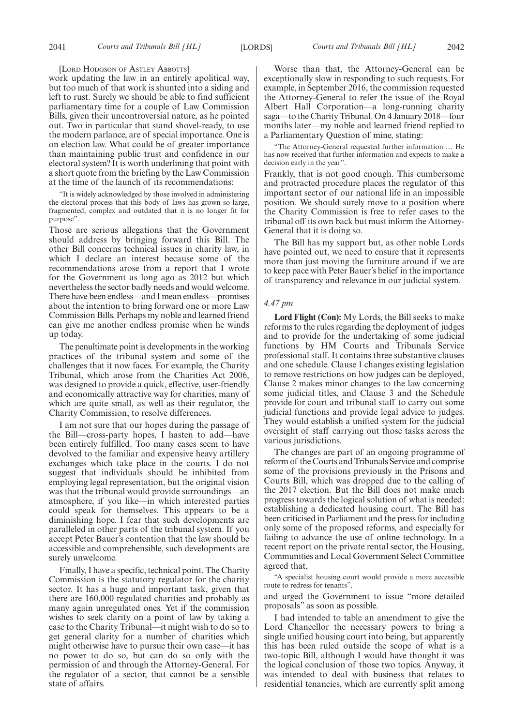[LORD HODGSON OF ASTLEY ABBOTTS]

work updating the law in an entirely apolitical way, but too much of that work is shunted into a siding and left to rust. Surely we should be able to find sufficient parliamentary time for a couple of Law Commission Bills, given their uncontroversial nature, as he pointed out. Two in particular that stand shovel-ready, to use the modern parlance, are of special importance. One is on election law. What could be of greater importance than maintaining public trust and confidence in our electoral system? It is worth underlining that point with a short quote from the briefing by the Law Commission at the time of the launch of its recommendations:

"It is widely acknowledged by those involved in administering the electoral process that this body of laws has grown so large, fragmented, complex and outdated that it is no longer fit for purpose".

Those are serious allegations that the Government should address by bringing forward this Bill. The other Bill concerns technical issues in charity law, in which I declare an interest because some of the recommendations arose from a report that I wrote for the Government as long ago as 2012 but which nevertheless the sector badly needs and would welcome. There have been endless—and I mean endless—promises about the intention to bring forward one or more Law Commission Bills. Perhaps my noble and learned friend can give me another endless promise when he winds up today.

The penultimate point is developments in the working practices of the tribunal system and some of the challenges that it now faces. For example, the Charity Tribunal, which arose from the Charities Act 2006, was designed to provide a quick, effective, user-friendly and economically attractive way for charities, many of which are quite small, as well as their regulator, the Charity Commission, to resolve differences.

I am not sure that our hopes during the passage of the Bill—cross-party hopes, I hasten to add—have been entirely fulfilled. Too many cases seem to have devolved to the familiar and expensive heavy artillery exchanges which take place in the courts. I do not suggest that individuals should be inhibited from employing legal representation, but the original vision was that the tribunal would provide surroundings—an atmosphere, if you like—in which interested parties could speak for themselves. This appears to be a diminishing hope. I fear that such developments are paralleled in other parts of the tribunal system. If you accept Peter Bauer's contention that the law should be accessible and comprehensible, such developments are surely unwelcome.

Finally, I have a specific, technical point. The Charity Commission is the statutory regulator for the charity sector. It has a huge and important task, given that there are 160,000 regulated charities and probably as many again unregulated ones. Yet if the commission wishes to seek clarity on a point of law by taking a case to the Charity Tribunal—it might wish to do so to get general clarity for a number of charities which might otherwise have to pursue their own case—it has no power to do so, but can do so only with the permission of and through the Attorney-General. For the regulator of a sector, that cannot be a sensible state of affairs.

Worse than that, the Attorney-General can be exceptionally slow in responding to such requests. For example, in September 2016, the commission requested the Attorney-General to refer the issue of the Royal Albert Hall Corporation—a long-running charity saga—to the Charity Tribunal. On 4 January 2018—four months later—my noble and learned friend replied to a Parliamentary Question of mine, stating:

"The Attorney-General requested further information … He has now received that further information and expects to make a decision early in the year".

Frankly, that is not good enough. This cumbersome and protracted procedure places the regulator of this important sector of our national life in an impossible position. We should surely move to a position where the Charity Commission is free to refer cases to the tribunal off its own back but must inform the Attorney-General that it is doing so.

The Bill has my support but, as other noble Lords have pointed out, we need to ensure that it represents more than just moving the furniture around if we are to keep pace with Peter Bauer's belief in the importance of transparency and relevance in our judicial system.

#### *4.47 pm*

**Lord Flight (Con):** My Lords, the Bill seeks to make reforms to the rules regarding the deployment of judges and to provide for the undertaking of some judicial functions by HM Courts and Tribunals Service professional staff. It contains three substantive clauses and one schedule. Clause 1 changes existing legislation to remove restrictions on how judges can be deployed, Clause 2 makes minor changes to the law concerning some judicial titles, and Clause 3 and the Schedule provide for court and tribunal staff to carry out some judicial functions and provide legal advice to judges. They would establish a unified system for the judicial oversight of staff carrying out those tasks across the various jurisdictions.

The changes are part of an ongoing programme of reform of the Courts and Tribunals Service and comprise some of the provisions previously in the Prisons and Courts Bill, which was dropped due to the calling of the 2017 election. But the Bill does not make much progress towards the logical solution of what is needed: establishing a dedicated housing court. The Bill has been criticised in Parliament and the press for including only some of the proposed reforms, and especially for failing to advance the use of online technology. In a recent report on the private rental sector, the Housing, Communities and Local Government Select Committee agreed that,

"A specialist housing court would provide a more accessible route to redress for tenants",

and urged the Government to issue "more detailed proposals" as soon as possible.

I had intended to table an amendment to give the Lord Chancellor the necessary powers to bring a single unified housing court into being, but apparently this has been ruled outside the scope of what is a two-topic Bill, although I would have thought it was the logical conclusion of those two topics. Anyway, it was intended to deal with business that relates to residential tenancies, which are currently split among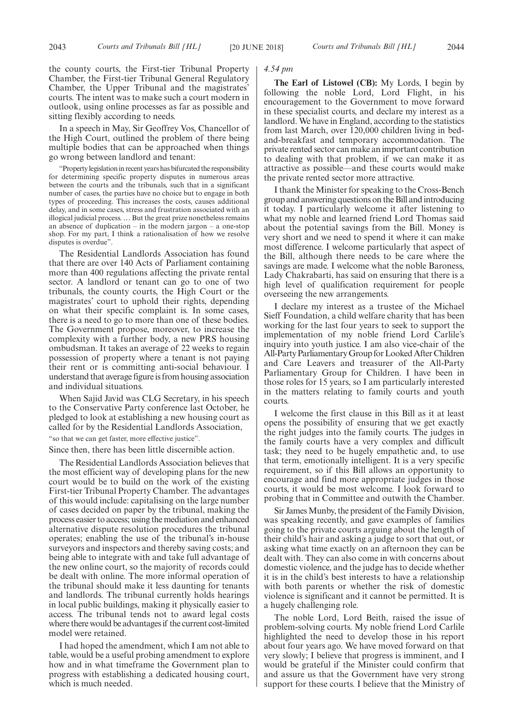the county courts, the First-tier Tribunal Property Chamber, the First-tier Tribunal General Regulatory Chamber, the Upper Tribunal and the magistrates' courts. The intent was to make such a court modern in outlook, using online processes as far as possible and sitting flexibly according to needs.

In a speech in May, Sir Geoffrey Vos, Chancellor of the High Court, outlined the problem of there being multiple bodies that can be approached when things go wrong between landlord and tenant:

Property legislation in recent years has bifurcated the responsibility for determining specific property disputes in numerous areas between the courts and the tribunals, such that in a significant number of cases, the parties have no choice but to engage in both types of proceeding. This increases the costs, causes additional delay, and in some cases, stress and frustration associated with an illogical judicial process. … But the great prize nonetheless remains an absence of duplication – in the modern jargon – a one-stop shop. For my part, I think a rationalisation of how we resolve disputes is overdue".

The Residential Landlords Association has found that there are over 140 Acts of Parliament containing more than 400 regulations affecting the private rental sector. A landlord or tenant can go to one of two tribunals, the county courts, the High Court or the magistrates' court to uphold their rights, depending on what their specific complaint is. In some cases, there is a need to go to more than one of these bodies. The Government propose, moreover, to increase the complexity with a further body, a new PRS housing ombudsman. It takes an average of 22 weeks to regain possession of property where a tenant is not paying their rent or is committing anti-social behaviour. I understand that average figure is from housing association and individual situations.

When Sajid Javid was CLG Secretary, in his speech to the Conservative Party conference last October, he pledged to look at establishing a new housing court as called for by the Residential Landlords Association, "so that we can get faster, more effective justice".

Since then, there has been little discernible action.

The Residential Landlords Association believes that the most efficient way of developing plans for the new court would be to build on the work of the existing First-tier Tribunal Property Chamber. The advantages of this would include: capitalising on the large number of cases decided on paper by the tribunal, making the process easier to access; using the mediation and enhanced alternative dispute resolution procedures the tribunal operates; enabling the use of the tribunal's in-house surveyors and inspectors and thereby saving costs; and being able to integrate with and take full advantage of the new online court, so the majority of records could be dealt with online. The more informal operation of the tribunal should make it less daunting for tenants and landlords. The tribunal currently holds hearings in local public buildings, making it physically easier to access. The tribunal tends not to award legal costs where there would be advantages if the current cost-limited model were retained.

I had hoped the amendment, which I am not able to table, would be a useful probing amendment to explore how and in what timeframe the Government plan to progress with establishing a dedicated housing court, which is much needed.

#### *4.54 pm*

**The Earl of Listowel (CB):** My Lords, I begin by following the noble Lord, Lord Flight, in his encouragement to the Government to move forward in these specialist courts, and declare my interest as a landlord. We have in England, according to the statistics from last March, over 120,000 children living in bedand-breakfast and temporary accommodation. The private rented sector can make an important contribution to dealing with that problem, if we can make it as attractive as possible—and these courts would make the private rented sector more attractive.

I thank the Minister for speaking to the Cross-Bench group and answering questions on the Bill and introducing it today. I particularly welcome it after listening to what my noble and learned friend Lord Thomas said about the potential savings from the Bill. Money is very short and we need to spend it where it can make most difference. I welcome particularly that aspect of the Bill, although there needs to be care where the savings are made. I welcome what the noble Baroness, Lady Chakrabarti, has said on ensuring that there is a high level of qualification requirement for people overseeing the new arrangements.

I declare my interest as a trustee of the Michael Sieff Foundation, a child welfare charity that has been working for the last four years to seek to support the implementation of my noble friend Lord Carlile's inquiry into youth justice. I am also vice-chair of the All-Party Parliamentary Group for Looked After Children and Care Leavers and treasurer of the All-Party Parliamentary Group for Children. I have been in those roles for 15 years, so I am particularly interested in the matters relating to family courts and youth courts.

I welcome the first clause in this Bill as it at least opens the possibility of ensuring that we get exactly the right judges into the family courts. The judges in the family courts have a very complex and difficult task; they need to be hugely empathetic and, to use that term, emotionally intelligent. It is a very specific requirement, so if this Bill allows an opportunity to encourage and find more appropriate judges in those courts, it would be most welcome. I look forward to probing that in Committee and outwith the Chamber.

Sir James Munby, the president of the Family Division, was speaking recently, and gave examples of families going to the private courts arguing about the length of their child's hair and asking a judge to sort that out, or asking what time exactly on an afternoon they can be dealt with. They can also come in with concerns about domestic violence, and the judge has to decide whether it is in the child's best interests to have a relationship with both parents or whether the risk of domestic violence is significant and it cannot be permitted. It is a hugely challenging role.

The noble Lord, Lord Beith, raised the issue of problem-solving courts. My noble friend Lord Carlile highlighted the need to develop those in his report about four years ago. We have moved forward on that very slowly; I believe that progress is imminent, and I would be grateful if the Minister could confirm that and assure us that the Government have very strong support for these courts. I believe that the Ministry of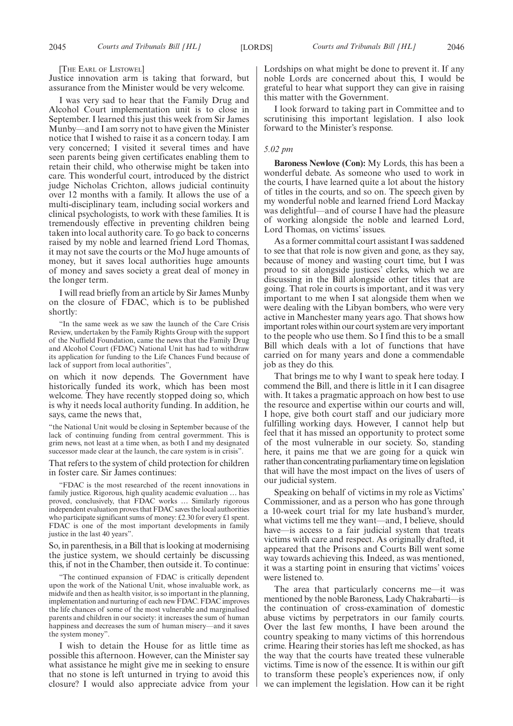[THE EARL OF LISTOWEL]

Justice innovation arm is taking that forward, but assurance from the Minister would be very welcome.

I was very sad to hear that the Family Drug and Alcohol Court implementation unit is to close in September. I learned this just this week from Sir James Munby—and I am sorry not to have given the Minister notice that I wished to raise it as a concern today. I am very concerned; I visited it several times and have seen parents being given certificates enabling them to retain their child, who otherwise might be taken into care. This wonderful court, introduced by the district judge Nicholas Crichton, allows judicial continuity over 12 months with a family. It allows the use of a multi-disciplinary team, including social workers and clinical psychologists, to work with these families. It is tremendously effective in preventing children being taken into local authority care. To go back to concerns raised by my noble and learned friend Lord Thomas, it may not save the courts or the MoJ huge amounts of money, but it saves local authorities huge amounts of money and saves society a great deal of money in the longer term.

I will read briefly from an article by Sir James Munby on the closure of FDAC, which is to be published shortly:

"In the same week as we saw the launch of the Care Crisis Review, undertaken by the Family Rights Group with the support of the Nuffield Foundation, came the news that the Family Drug and Alcohol Court (FDAC) National Unit has had to withdraw its application for funding to the Life Chances Fund because of lack of support from local authorities",

on which it now depends. The Government have historically funded its work, which has been most welcome. They have recently stopped doing so, which is why it needs local authority funding. In addition, he says, came the news that,

"the National Unit would be closing in September because of the lack of continuing funding from central govermment. This is grim news, not least at a time when, as both I and my designated successor made clear at the launch, the care system is in crisis".

That refers to the system of child protection for children in foster care. Sir James continues:

"FDAC is the most researched of the recent innovations in family justice. Rigorous, high quality academic evaluation … has proved, conclusively, that FDAC works … Similarly rigorous independent evaluation proves that FDAC saves the local authorities who participate significant sums of money: £2.30 for every £1 spent. FDAC is one of the most important developments in family justice in the last 40 years".

So, in parenthesis, in a Bill that is looking at modernising the justice system, we should certainly be discussing this, if not in the Chamber, then outside it. To continue:

"The continued expansion of FDAC is critically dependent upon the work of the National Unit, whose invaluable work, as midwife and then as health visitor, is so important in the planning, implementation and nurturing of each new FDAC. FDAC improves the life chances of some of the most vulnerable and marginalised parents and children in our society: it increases the sum of human happiness and decreases the sum of human misery—and it saves the system money".

I wish to detain the House for as little time as possible this afternoon. However, can the Minister say what assistance he might give me in seeking to ensure that no stone is left unturned in trying to avoid this closure? I would also appreciate advice from your Lordships on what might be done to prevent it. If any noble Lords are concerned about this, I would be grateful to hear what support they can give in raising this matter with the Government.

I look forward to taking part in Committee and to scrutinising this important legislation. I also look forward to the Minister's response.

#### *5.02 pm*

**Baroness Newlove (Con):** My Lords, this has been a wonderful debate. As someone who used to work in the courts, I have learned quite a lot about the history of titles in the courts, and so on. The speech given by my wonderful noble and learned friend Lord Mackay was delightful—and of course I have had the pleasure of working alongside the noble and learned Lord, Lord Thomas, on victims' issues.

As a former committal court assistant I was saddened to see that that role is now given and gone, as they say, because of money and wasting court time, but I was proud to sit alongside justices' clerks, which we are discussing in the Bill alongside other titles that are going. That role in courts is important, and it was very important to me when I sat alongside them when we were dealing with the Libyan bombers, who were very active in Manchester many years ago. That shows how important roles within our court system are very important to the people who use them. So I find this to be a small Bill which deals with a lot of functions that have carried on for many years and done a commendable job as they do this.

That brings me to why I want to speak here today. I commend the Bill, and there is little in it I can disagree with. It takes a pragmatic approach on how best to use the resource and expertise within our courts and will, I hope, give both court staff and our judiciary more fulfilling working days. However, I cannot help but feel that it has missed an opportunity to protect some of the most vulnerable in our society. So, standing here, it pains me that we are going for a quick win rather than concentrating parliamentary time on legislation that will have the most impact on the lives of users of our judicial system.

Speaking on behalf of victims in my role as Victims' Commissioner, and as a person who has gone through a 10-week court trial for my late husband's murder, what victims tell me they want—and, I believe, should have—is access to a fair judicial system that treats victims with care and respect. As originally drafted, it appeared that the Prisons and Courts Bill went some way towards achieving this. Indeed, as was mentioned, it was a starting point in ensuring that victims' voices were listened to.

The area that particularly concerns me—it was mentioned by the noble Baroness, Lady Chakrabarti—is the continuation of cross-examination of domestic abuse victims by perpetrators in our family courts. Over the last few months, I have been around the country speaking to many victims of this horrendous crime. Hearing their stories has left me shocked, as has the way that the courts have treated these vulnerable victims. Time is now of the essence. It is within our gift to transform these people's experiences now, if only we can implement the legislation. How can it be right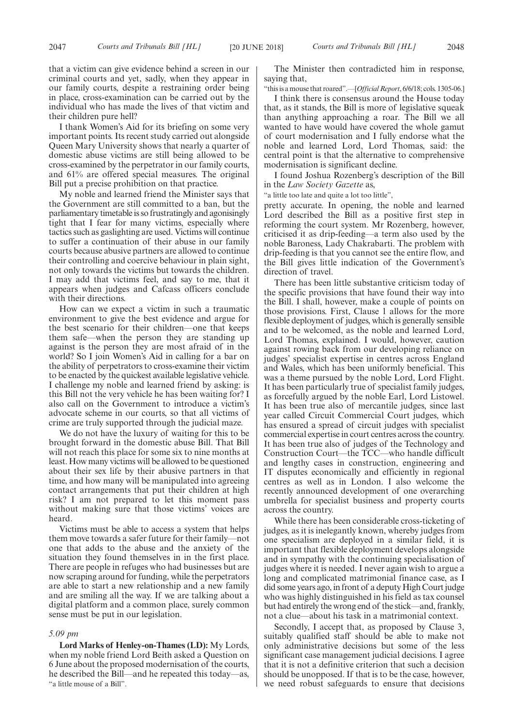that a victim can give evidence behind a screen in our criminal courts and yet, sadly, when they appear in our family courts, despite a restraining order being in place, cross-examination can be carried out by the individual who has made the lives of that victim and their children pure hell?

I thank Women's Aid for its briefing on some very important points. Its recent study carried out alongside Queen Mary University shows that nearly a quarter of domestic abuse victims are still being allowed to be cross-examined by the perpetrator in our family courts, and 61% are offered special measures. The original Bill put a precise prohibition on that practice.

My noble and learned friend the Minister says that the Government are still committed to a ban, but the parliamentary timetable is so frustratingly and agonisingly tight that I fear for many victims, especially where tactics such as gaslighting are used. Victims will continue to suffer a continuation of their abuse in our family courts because abusive partners are allowed to continue their controlling and coercive behaviour in plain sight, not only towards the victims but towards the children. I may add that victims feel, and say to me, that it appears when judges and Cafcass officers conclude with their directions.

How can we expect a victim in such a traumatic environment to give the best evidence and argue for the best scenario for their children—one that keeps them safe—when the person they are standing up against is the person they are most afraid of in the world? So I join Women's Aid in calling for a bar on the ability of perpetrators to cross-examine their victim to be enacted by the quickest available legislative vehicle. I challenge my noble and learned friend by asking: is this Bill not the very vehicle he has been waiting for? I also call on the Government to introduce a victim's advocate scheme in our courts, so that all victims of crime are truly supported through the judicial maze.

We do not have the luxury of waiting for this to be brought forward in the domestic abuse Bill. That Bill will not reach this place for some six to nine months at least. How many victims will be allowed to be questioned about their sex life by their abusive partners in that time, and how many will be manipulated into agreeing contact arrangements that put their children at high risk? I am not prepared to let this moment pass without making sure that those victims' voices are heard.

Victims must be able to access a system that helps them move towards a safer future for their family—not one that adds to the abuse and the anxiety of the situation they found themselves in in the first place. There are people in refuges who had businesses but are now scraping around for funding, while the perpetrators are able to start a new relationship and a new family and are smiling all the way. If we are talking about a digital platform and a common place, surely common sense must be put in our legislation.

#### *5.09 pm*

**Lord Marks of Henley-on-Thames (LD):** My Lords, when my noble friend Lord Beith asked a Question on 6 June about the proposed modernisation of the courts, he described the Bill—and he repeated this today—as, "a little mouse of a Bill".

The Minister then contradicted him in response, saying that,

"this is a mouse that roared".—[*Official Report*, 6/6/18; cols. 1305-06.]

I think there is consensus around the House today that, as it stands, the Bill is more of legislative squeak than anything approaching a roar. The Bill we all wanted to have would have covered the whole gamut of court modernisation and I fully endorse what the noble and learned Lord, Lord Thomas, said: the central point is that the alternative to comprehensive modernisation is significant decline.

I found Joshua Rozenberg's description of the Bill in the *Law Society Gazette* as,

"a little too late and quite a lot too little",

pretty accurate. In opening, the noble and learned Lord described the Bill as a positive first step in reforming the court system. Mr Rozenberg, however, criticised it as drip-feeding—a term also used by the noble Baroness, Lady Chakrabarti. The problem with drip-feeding is that you cannot see the entire flow, and the Bill gives little indication of the Government's direction of travel.

There has been little substantive criticism today of the specific provisions that have found their way into the Bill. I shall, however, make a couple of points on those provisions. First, Clause 1 allows for the more flexible deployment of judges, which is generally sensible and to be welcomed, as the noble and learned Lord, Lord Thomas, explained. I would, however, caution against rowing back from our developing reliance on judges' specialist expertise in centres across England and Wales, which has been uniformly beneficial. This was a theme pursued by the noble Lord, Lord Flight. It has been particularly true of specialist family judges, as forcefully argued by the noble Earl, Lord Listowel. It has been true also of mercantile judges, since last year called Circuit Commercial Court judges, which has ensured a spread of circuit judges with specialist commercial expertise in court centres across the country. It has been true also of judges of the Technology and Construction Court—the TCC—who handle difficult and lengthy cases in construction, engineering and IT disputes economically and efficiently in regional centres as well as in London. I also welcome the recently announced development of one overarching umbrella for specialist business and property courts across the country.

While there has been considerable cross-ticketing of judges, as it is inelegantly known, whereby judges from one specialism are deployed in a similar field, it is important that flexible deployment develops alongside and in sympathy with the continuing specialisation of judges where it is needed. I never again wish to argue a long and complicated matrimonial finance case, as I did some years ago, in front of a deputy High Court judge who was highly distinguished in his field as tax counsel but had entirely the wrong end of the stick—and, frankly, not a clue—about his task in a matrimonial context.

Secondly, I accept that, as proposed by Clause 3, suitably qualified staff should be able to make not only administrative decisions but some of the less significant case management judicial decisions. I agree that it is not a definitive criterion that such a decision should be unopposed. If that is to be the case, however, we need robust safeguards to ensure that decisions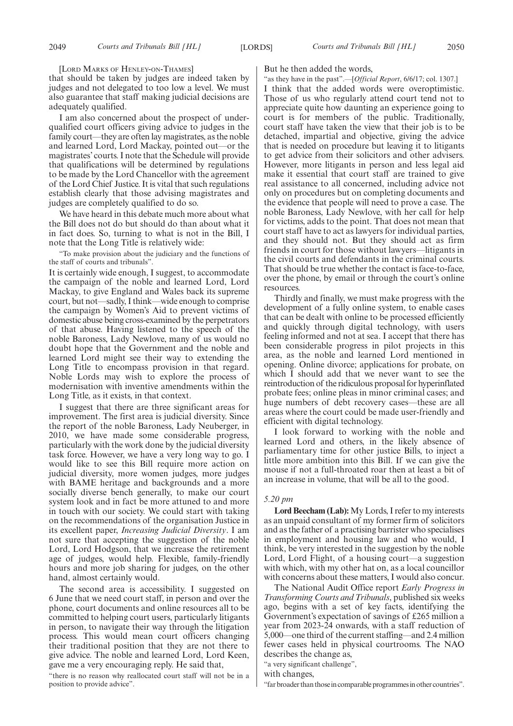[LORD MARKS OF HENLEY-ON-THAMES]

that should be taken by judges are indeed taken by judges and not delegated to too low a level. We must also guarantee that staff making judicial decisions are adequately qualified.

I am also concerned about the prospect of underqualified court officers giving advice to judges in the family court—they are often lay magistrates, as the noble and learned Lord, Lord Mackay, pointed out—or the magistrates' courts. I note that the Schedule will provide that qualifications will be determined by regulations to be made by the Lord Chancellor with the agreement of the Lord Chief Justice. It is vital that such regulations establish clearly that those advising magistrates and judges are completely qualified to do so.

We have heard in this debate much more about what the Bill does not do but should do than about what it in fact does. So, turning to what is not in the Bill, I note that the Long Title is relatively wide:

"To make provision about the judiciary and the functions of the staff of courts and tribunals".

It is certainly wide enough, I suggest, to accommodate the campaign of the noble and learned Lord, Lord Mackay, to give England and Wales back its supreme court, but not—sadly, I think—wide enough to comprise the campaign by Women's Aid to prevent victims of domestic abuse being cross-examined by the perpetrators of that abuse. Having listened to the speech of the noble Baroness, Lady Newlove, many of us would no doubt hope that the Government and the noble and learned Lord might see their way to extending the Long Title to encompass provision in that regard. Noble Lords may wish to explore the process of modernisation with inventive amendments within the Long Title, as it exists, in that context.

I suggest that there are three significant areas for improvement. The first area is judicial diversity. Since the report of the noble Baroness, Lady Neuberger, in 2010, we have made some considerable progress, particularly with the work done by the judicial diversity task force. However, we have a very long way to go. I would like to see this Bill require more action on judicial diversity, more women judges, more judges with BAME heritage and backgrounds and a more socially diverse bench generally, to make our court system look and in fact be more attuned to and more in touch with our society. We could start with taking on the recommendations of the organisation Justice in its excellent paper, *Increasing Judicial Diversity*. I am not sure that accepting the suggestion of the noble Lord, Lord Hodgson, that we increase the retirement age of judges, would help. Flexible, family-friendly hours and more job sharing for judges, on the other hand, almost certainly would.

The second area is accessibility. I suggested on 6 June that we need court staff, in person and over the phone, court documents and online resources all to be committed to helping court users, particularly litigants in person, to navigate their way through the litigation process. This would mean court officers changing their traditional position that they are not there to give advice. The noble and learned Lord, Lord Keen, gave me a very encouraging reply. He said that,

"there is no reason why reallocated court staff will not be in a position to provide advice".

#### But he then added the words,

"as they have in the past".—[*Official Report*, 6/6/17; col. 1307.]

I think that the added words were overoptimistic. Those of us who regularly attend court tend not to appreciate quite how daunting an experience going to court is for members of the public. Traditionally, court staff have taken the view that their job is to be detached, impartial and objective, giving the advice that is needed on procedure but leaving it to litigants to get advice from their solicitors and other advisers. However, more litigants in person and less legal aid make it essential that court staff are trained to give real assistance to all concerned, including advice not only on procedures but on completing documents and the evidence that people will need to prove a case. The noble Baroness, Lady Newlove, with her call for help for victims, adds to the point. That does not mean that court staff have to act as lawyers for individual parties, and they should not. But they should act as firm friends in court for those without lawyers—litigants in the civil courts and defendants in the criminal courts. That should be true whether the contact is face-to-face, over the phone, by email or through the court's online resources.

Thirdly and finally, we must make progress with the development of a fully online system, to enable cases that can be dealt with online to be processed efficiently and quickly through digital technology, with users feeling informed and not at sea. I accept that there has been considerable progress in pilot projects in this area, as the noble and learned Lord mentioned in opening. Online divorce; applications for probate, on which I should add that we never want to see the reintroduction of the ridiculous proposal for hyperinflated probate fees; online pleas in minor criminal cases; and huge numbers of debt recovery cases—these are all areas where the court could be made user-friendly and efficient with digital technology.

I look forward to working with the noble and learned Lord and others, in the likely absence of parliamentary time for other justice Bills, to inject a little more ambition into this Bill. If we can give the mouse if not a full-throated roar then at least a bit of an increase in volume, that will be all to the good.

#### *5.20 pm*

**Lord Beecham (Lab):**My Lords, I refer to my interests as an unpaid consultant of my former firm of solicitors and as the father of a practising barrister who specialises in employment and housing law and who would, I think, be very interested in the suggestion by the noble Lord, Lord Flight, of a housing court—a suggestion with which, with my other hat on, as a local councillor with concerns about these matters, I would also concur.

The National Audit Office report *Early Progress in Transforming Courts and Tribunals*, published six weeks ago, begins with a set of key facts, identifying the Government's expectation of savings of £265 million a year from 2023-24 onwards, with a staff reduction of 5,000—one third of the current staffing—and 2.4 million fewer cases held in physical courtrooms. The NAO describes the change as,

"a very significant challenge",

with changes,

"far broader than those in comparable programmes in other countries".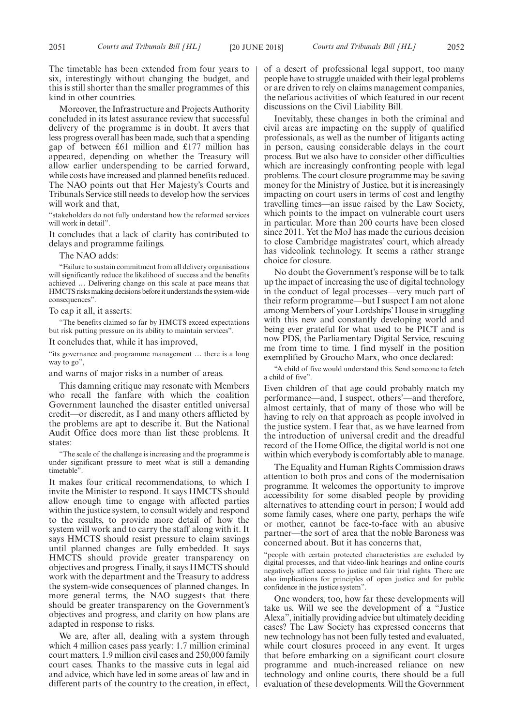The timetable has been extended from four years to six, interestingly without changing the budget, and this is still shorter than the smaller programmes of this kind in other countries.

Moreover, the Infrastructure and Projects Authority concluded in its latest assurance review that successful delivery of the programme is in doubt. It avers that less progress overall has been made, such that a spending gap of between £61 million and £177 million has appeared, depending on whether the Treasury will allow earlier underspending to be carried forward, while costs have increased and planned benefits reduced. The NAO points out that Her Majesty's Courts and Tribunals Service still needs to develop how the services will work and that,

"stakeholders do not fully understand how the reformed services will work in detail".

It concludes that a lack of clarity has contributed to delays and programme failings.

The NAO adds:

"Failure to sustain commitment from all delivery organisations will significantly reduce the likelihood of success and the benefits achieved … Delivering change on this scale at pace means that HMCTS risks making decisions before it understands the system-wide consequences".

To cap it all, it asserts:

"The benefits claimed so far by HMCTS exceed expectations but risk putting pressure on its ability to maintain services".

It concludes that, while it has improved,

"its governance and programme management … there is a long way to go",

and warns of major risks in a number of areas.

This damning critique may resonate with Members who recall the fanfare with which the coalition Government launched the disaster entitled universal credit—or discredit, as I and many others afflicted by the problems are apt to describe it. But the National Audit Office does more than list these problems. It states:

"The scale of the challenge is increasing and the programme is under significant pressure to meet what is still a demanding timetable".

It makes four critical recommendations, to which I invite the Minister to respond. It says HMCTS should allow enough time to engage with affected parties within the justice system, to consult widely and respond to the results, to provide more detail of how the system will work and to carry the staff along with it. It says HMCTS should resist pressure to claim savings until planned changes are fully embedded. It says HMCTS should provide greater transparency on objectives and progress. Finally, it says HMCTS should work with the department and the Treasury to address the system-wide consequences of planned changes. In more general terms, the NAO suggests that there should be greater transparency on the Government's objectives and progress, and clarity on how plans are adapted in response to risks.

We are, after all, dealing with a system through which 4 million cases pass yearly: 1.7 million criminal court matters, 1.9 million civil cases and 250,000 family court cases. Thanks to the massive cuts in legal aid and advice, which have led in some areas of law and in different parts of the country to the creation, in effect, of a desert of professional legal support, too many people have to struggle unaided with their legal problems or are driven to rely on claims management companies, the nefarious activities of which featured in our recent discussions on the Civil Liability Bill.

Inevitably, these changes in both the criminal and civil areas are impacting on the supply of qualified professionals, as well as the number of litigants acting in person, causing considerable delays in the court process. But we also have to consider other difficulties which are increasingly confronting people with legal problems. The court closure programme may be saving money for the Ministry of Justice, but it is increasingly impacting on court users in terms of cost and lengthy travelling times—an issue raised by the Law Society, which points to the impact on vulnerable court users in particular. More than 200 courts have been closed since 2011. Yet the MoJ has made the curious decision to close Cambridge magistrates' court, which already has videolink technology. It seems a rather strange choice for closure.

No doubt the Government's response will be to talk up the impact of increasing the use of digital technology in the conduct of legal processes—very much part of their reform programme—but I suspect I am not alone among Members of your Lordships'House in struggling with this new and constantly developing world and being ever grateful for what used to be PICT and is now PDS, the Parliamentary Digital Service, rescuing me from time to time. I find myself in the position exemplified by Groucho Marx, who once declared:

"A child of five would understand this. Send someone to fetch a child of five".

Even children of that age could probably match my performance—and, I suspect, others'—and therefore, almost certainly, that of many of those who will be having to rely on that approach as people involved in the justice system. I fear that, as we have learned from the introduction of universal credit and the dreadful record of the Home Office, the digital world is not one within which everybody is comfortably able to manage.

The Equality and Human Rights Commission draws attention to both pros and cons of the modernisation programme. It welcomes the opportunity to improve accessibility for some disabled people by providing alternatives to attending court in person; I would add some family cases, where one party, perhaps the wife or mother, cannot be face-to-face with an abusive partner—the sort of area that the noble Baroness was concerned about. But it has concerns that,

"people with certain protected characteristics are excluded by digital processes, and that video-link hearings and online courts negatively affect access to justice and fair trial rights. There are also implications for principles of open justice and for public confidence in the justice system".

One wonders, too, how far these developments will take us. Will we see the development of a "Justice Alexa", initially providing advice but ultimately deciding cases? The Law Society has expressed concerns that new technology has not been fully tested and evaluated, while court closures proceed in any event. It urges that before embarking on a significant court closure programme and much-increased reliance on new technology and online courts, there should be a full evaluation of these developments. Will the Government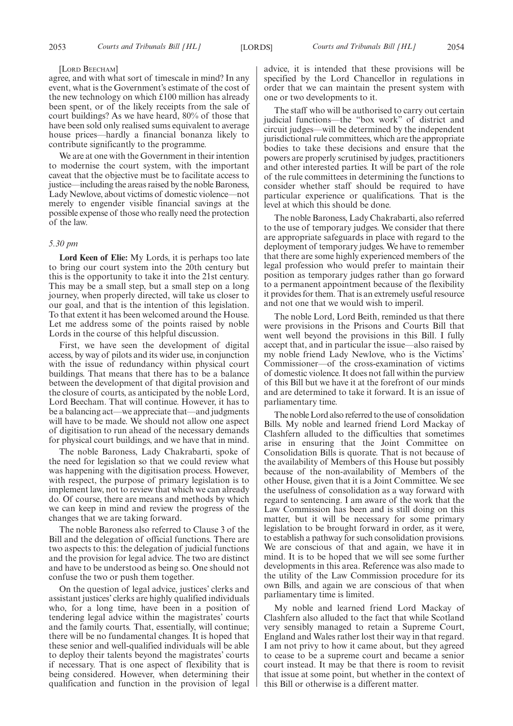#### [LORD BEECHAM]

agree, and with what sort of timescale in mind? In any event, what is the Government's estimate of the cost of the new technology on which £100 million has already been spent, or of the likely receipts from the sale of court buildings? As we have heard, 80% of those that have been sold only realised sums equivalent to average house prices—hardly a financial bonanza likely to contribute significantly to the programme.

We are at one with the Government in their intention to modernise the court system, with the important caveat that the objective must be to facilitate access to justice—including the areas raised by the noble Baroness, Lady Newlove, about victims of domestic violence—not merely to engender visible financial savings at the possible expense of those who really need the protection of the law.

#### *5.30 pm*

**Lord Keen of Elie:** My Lords, it is perhaps too late to bring our court system into the 20th century but this is the opportunity to take it into the 21st century. This may be a small step, but a small step on a long journey, when properly directed, will take us closer to our goal, and that is the intention of this legislation. To that extent it has been welcomed around the House. Let me address some of the points raised by noble Lords in the course of this helpful discussion.

First, we have seen the development of digital access, by way of pilots and its wider use, in conjunction with the issue of redundancy within physical court buildings. That means that there has to be a balance between the development of that digital provision and the closure of courts, as anticipated by the noble Lord, Lord Beecham. That will continue. However, it has to be a balancing act—we appreciate that—and judgments will have to be made. We should not allow one aspect of digitisation to run ahead of the necessary demands for physical court buildings, and we have that in mind.

The noble Baroness, Lady Chakrabarti, spoke of the need for legislation so that we could review what was happening with the digitisation process. However, with respect, the purpose of primary legislation is to implement law, not to review that which we can already do. Of course, there are means and methods by which we can keep in mind and review the progress of the changes that we are taking forward.

The noble Baroness also referred to Clause 3 of the Bill and the delegation of official functions. There are two aspects to this: the delegation of judicial functions and the provision for legal advice. The two are distinct and have to be understood as being so. One should not confuse the two or push them together.

On the question of legal advice, justices' clerks and assistant justices' clerks are highly qualified individuals who, for a long time, have been in a position of tendering legal advice within the magistrates' courts and the family courts. That, essentially, will continue; there will be no fundamental changes. It is hoped that these senior and well-qualified individuals will be able to deploy their talents beyond the magistrates' courts if necessary. That is one aspect of flexibility that is being considered. However, when determining their qualification and function in the provision of legal advice, it is intended that these provisions will be specified by the Lord Chancellor in regulations in order that we can maintain the present system with one or two developments to it.

The staff who will be authorised to carry out certain judicial functions—the "box work" of district and circuit judges—will be determined by the independent jurisdictional rule committees, which are the appropriate bodies to take these decisions and ensure that the powers are properly scrutinised by judges, practitioners and other interested parties. It will be part of the role of the rule committees in determining the functions to consider whether staff should be required to have particular experience or qualifications. That is the level at which this should be done.

The noble Baroness, Lady Chakrabarti, also referred to the use of temporary judges. We consider that there are appropriate safeguards in place with regard to the deployment of temporary judges. We have to remember that there are some highly experienced members of the legal profession who would prefer to maintain their position as temporary judges rather than go forward to a permanent appointment because of the flexibility it provides for them. That is an extremely useful resource and not one that we would wish to imperil.

The noble Lord, Lord Beith, reminded us that there were provisions in the Prisons and Courts Bill that went well beyond the provisions in this Bill. I fully accept that, and in particular the issue—also raised by my noble friend Lady Newlove, who is the Victims' Commissioner—of the cross-examination of victims of domestic violence. It does not fall within the purview of this Bill but we have it at the forefront of our minds and are determined to take it forward. It is an issue of parliamentary time.

The noble Lord also referred to the use of consolidation Bills. My noble and learned friend Lord Mackay of Clashfern alluded to the difficulties that sometimes arise in ensuring that the Joint Committee on Consolidation Bills is quorate. That is not because of the availability of Members of this House but possibly because of the non-availability of Members of the other House, given that it is a Joint Committee. We see the usefulness of consolidation as a way forward with regard to sentencing. I am aware of the work that the Law Commission has been and is still doing on this matter, but it will be necessary for some primary legislation to be brought forward in order, as it were, to establish a pathway for such consolidation provisions. We are conscious of that and again, we have it in mind. It is to be hoped that we will see some further developments in this area. Reference was also made to the utility of the Law Commission procedure for its own Bills, and again we are conscious of that when parliamentary time is limited.

My noble and learned friend Lord Mackay of Clashfern also alluded to the fact that while Scotland very sensibly managed to retain a Supreme Court, England and Wales rather lost their way in that regard. I am not privy to how it came about, but they agreed to cease to be a supreme court and became a senior court instead. It may be that there is room to revisit that issue at some point, but whether in the context of this Bill or otherwise is a different matter.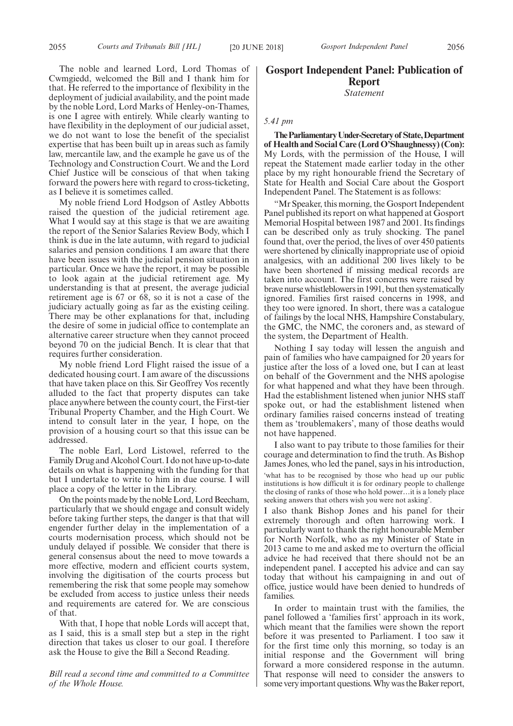The noble and learned Lord, Lord Thomas of Cwmgiedd, welcomed the Bill and I thank him for that. He referred to the importance of flexibility in the deployment of judicial availability, and the point made by the noble Lord, Lord Marks of Henley-on-Thames, is one I agree with entirely. While clearly wanting to have flexibility in the deployment of our judicial asset, we do not want to lose the benefit of the specialist expertise that has been built up in areas such as family law, mercantile law, and the example he gave us of the Technology and Construction Court. We and the Lord Chief Justice will be conscious of that when taking forward the powers here with regard to cross-ticketing, as I believe it is sometimes called.

My noble friend Lord Hodgson of Astley Abbotts raised the question of the judicial retirement age. What I would say at this stage is that we are awaiting the report of the Senior Salaries Review Body, which I think is due in the late autumn, with regard to judicial salaries and pension conditions. I am aware that there have been issues with the judicial pension situation in particular. Once we have the report, it may be possible to look again at the judicial retirement age. My understanding is that at present, the average judicial retirement age is 67 or 68, so it is not a case of the judiciary actually going as far as the existing ceiling. There may be other explanations for that, including the desire of some in judicial office to contemplate an alternative career structure when they cannot proceed beyond 70 on the judicial Bench. It is clear that that requires further consideration.

My noble friend Lord Flight raised the issue of a dedicated housing court. I am aware of the discussions that have taken place on this. Sir Geoffrey Vos recently alluded to the fact that property disputes can take place anywhere between the county court, the First-tier Tribunal Property Chamber, and the High Court. We intend to consult later in the year, I hope, on the provision of a housing court so that this issue can be addressed.

The noble Earl, Lord Listowel, referred to the Family Drug and Alcohol Court. I do not have up-to-date details on what is happening with the funding for that but I undertake to write to him in due course. I will place a copy of the letter in the Library.

On the points made by the noble Lord, Lord Beecham, particularly that we should engage and consult widely before taking further steps, the danger is that that will engender further delay in the implementation of a courts modernisation process, which should not be unduly delayed if possible. We consider that there is general consensus about the need to move towards a more effective, modern and efficient courts system, involving the digitisation of the courts process but remembering the risk that some people may somehow be excluded from access to justice unless their needs and requirements are catered for. We are conscious of that.

With that, I hope that noble Lords will accept that, as I said, this is a small step but a step in the right direction that takes us closer to our goal. I therefore ask the House to give the Bill a Second Reading.

*Bill read a second time and committed to a Committee of the Whole House.*

# **Gosport Independent Panel: Publication of Report** *Statement*

#### *5.41 pm*

**TheParliamentaryUnder-Secretaryof State,Department of Health and Social Care (Lord O'Shaughnessy) (Con):** My Lords, with the permission of the House, I will repeat the Statement made earlier today in the other place by my right honourable friend the Secretary of State for Health and Social Care about the Gosport Independent Panel. The Statement is as follows:

"Mr Speaker, this morning, the Gosport Independent Panel published its report on what happened at Gosport Memorial Hospital between 1987 and 2001. Its findings can be described only as truly shocking. The panel found that, over the period, the lives of over 450 patients were shortened by clinically inappropriate use of opioid analgesics, with an additional 200 lives likely to be have been shortened if missing medical records are taken into account. The first concerns were raised by brave nurse whistleblowers in 1991, but then systematically ignored. Families first raised concerns in 1998, and they too were ignored. In short, there was a catalogue of failings by the local NHS, Hampshire Constabulary, the GMC, the NMC, the coroners and, as steward of the system, the Department of Health.

Nothing I say today will lessen the anguish and pain of families who have campaigned for 20 years for justice after the loss of a loved one, but I can at least on behalf of the Government and the NHS apologise for what happened and what they have been through. Had the establishment listened when junior NHS staff spoke out, or had the establishment listened when ordinary families raised concerns instead of treating them as 'troublemakers', many of those deaths would not have happened.

I also want to pay tribute to those families for their courage and determination to find the truth. As Bishop James Jones, who led the panel, says in his introduction, 'what has to be recognised by those who head up our public institutions is how difficult it is for ordinary people to challenge the closing of ranks of those who hold power…it is a lonely place seeking answers that others wish you were not asking'.

I also thank Bishop Jones and his panel for their extremely thorough and often harrowing work. I particularly want to thank the right honourable Member for North Norfolk, who as my Minister of State in 2013 came to me and asked me to overturn the official advice he had received that there should not be an independent panel. I accepted his advice and can say today that without his campaigning in and out of office, justice would have been denied to hundreds of families.

In order to maintain trust with the families, the panel followed a 'families first' approach in its work, which meant that the families were shown the report before it was presented to Parliament. I too saw it for the first time only this morning, so today is an initial response and the Government will bring forward a more considered response in the autumn. That response will need to consider the answers to some very important questions. Why was the Baker report,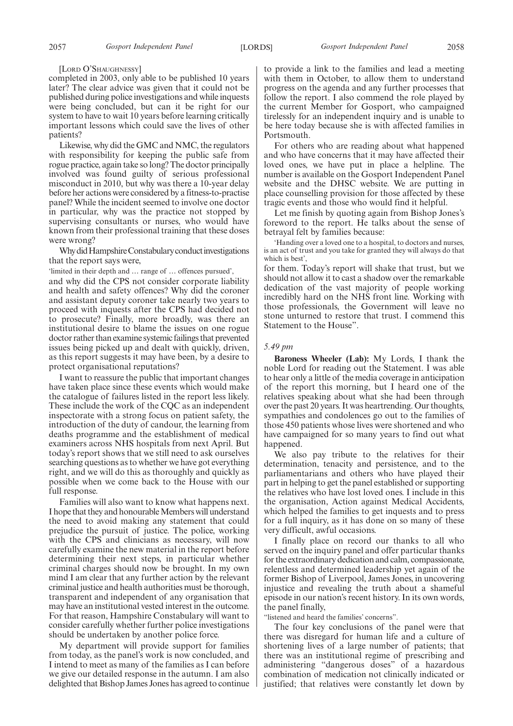[LORD O'SHAUGHNESSY]

completed in 2003, only able to be published 10 years later? The clear advice was given that it could not be published during police investigations and while inquests were being concluded, but can it be right for our system to have to wait 10 years before learning critically important lessons which could save the lives of other patients?

Likewise, why did the GMC and NMC, the regulators with responsibility for keeping the public safe from rogue practice, again take so long? The doctor principally involved was found guilty of serious professional misconduct in 2010, but why was there a 10-year delay before her actions were considered by a fitness-to-practise panel? While the incident seemed to involve one doctor in particular, why was the practice not stopped by supervising consultants or nurses, who would have known from their professional training that these doses were wrong?

Why did Hampshire Constabulary conduct investigations that the report says were,

'limited in their depth and … range of … offences pursued',

and why did the CPS not consider corporate liability and health and safety offences? Why did the coroner and assistant deputy coroner take nearly two years to proceed with inquests after the CPS had decided not to prosecute? Finally, more broadly, was there an institutional desire to blame the issues on one rogue doctor rather than examine systemic failings that prevented issues being picked up and dealt with quickly, driven, as this report suggests it may have been, by a desire to protect organisational reputations?

I want to reassure the public that important changes have taken place since these events which would make the catalogue of failures listed in the report less likely. These include the work of the CQC as an independent inspectorate with a strong focus on patient safety, the introduction of the duty of candour, the learning from deaths programme and the establishment of medical examiners across NHS hospitals from next April. But today's report shows that we still need to ask ourselves searching questions as to whether we have got everything right, and we will do this as thoroughly and quickly as possible when we come back to the House with our full response.

Families will also want to know what happens next. I hope that they and honourable Members will understand the need to avoid making any statement that could prejudice the pursuit of justice. The police, working with the CPS and clinicians as necessary, will now carefully examine the new material in the report before determining their next steps, in particular whether criminal charges should now be brought. In my own mind I am clear that any further action by the relevant criminal justice and health authorities must be thorough, transparent and independent of any organisation that may have an institutional vested interest in the outcome. For that reason, Hampshire Constabulary will want to consider carefully whether further police investigations should be undertaken by another police force.

My department will provide support for families from today, as the panel's work is now concluded, and I intend to meet as many of the families as I can before we give our detailed response in the autumn. I am also delighted that Bishop James Jones has agreed to continue to provide a link to the families and lead a meeting with them in October, to allow them to understand progress on the agenda and any further processes that follow the report. I also commend the role played by the current Member for Gosport, who campaigned tirelessly for an independent inquiry and is unable to be here today because she is with affected families in Portsmouth.

For others who are reading about what happened and who have concerns that it may have affected their loved ones, we have put in place a helpline. The number is available on the Gosport Independent Panel website and the DHSC website. We are putting in place counselling provision for those affected by these tragic events and those who would find it helpful.

Let me finish by quoting again from Bishop Jones's foreword to the report. He talks about the sense of betrayal felt by families because:

'Handing over a loved one to a hospital, to doctors and nurses, is an act of trust and you take for granted they will always do that which is best',

for them. Today's report will shake that trust, but we should not allow it to cast a shadow over the remarkable dedication of the vast majority of people working incredibly hard on the NHS front line. Working with those professionals, the Government will leave no stone unturned to restore that trust. I commend this Statement to the House".

#### *5.49 pm*

**Baroness Wheeler (Lab):** My Lords, I thank the noble Lord for reading out the Statement. I was able to hear only a little of the media coverage in anticipation of the report this morning, but I heard one of the relatives speaking about what she had been through over the past 20 years. It was heartrending. Our thoughts, sympathies and condolences go out to the families of those 450 patients whose lives were shortened and who have campaigned for so many years to find out what happened.

We also pay tribute to the relatives for their determination, tenacity and persistence, and to the parliamentarians and others who have played their part in helping to get the panel established or supporting the relatives who have lost loved ones. I include in this the organisation, Action against Medical Accidents, which helped the families to get inquests and to press for a full inquiry, as it has done on so many of these very difficult, awful occasions.

I finally place on record our thanks to all who served on the inquiry panel and offer particular thanks for the extraordinary dedication and calm, compassionate, relentless and determined leadership yet again of the former Bishop of Liverpool, James Jones, in uncovering injustice and revealing the truth about a shameful episode in our nation's recent history. In its own words, the panel finally,

"listened and heard the families' concerns".

The four key conclusions of the panel were that there was disregard for human life and a culture of shortening lives of a large number of patients; that there was an institutional regime of prescribing and administering "dangerous doses" of a hazardous combination of medication not clinically indicated or justified; that relatives were constantly let down by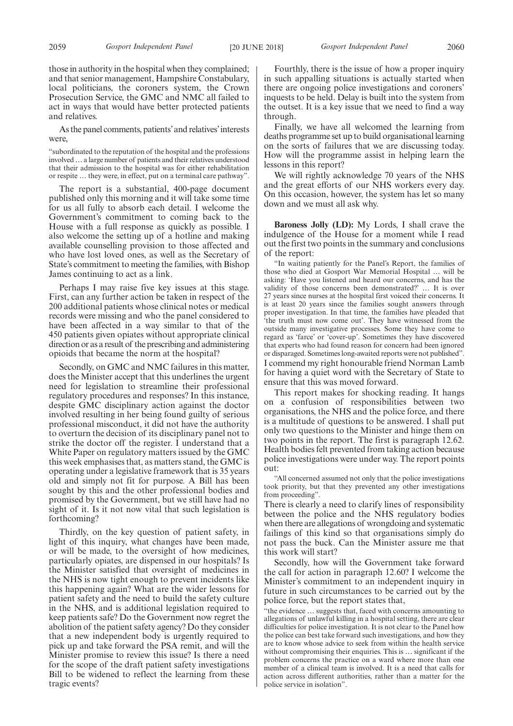those in authority in the hospital when they complained; and that senior management, Hampshire Constabulary, local politicians, the coroners system, the Crown Prosecution Service, the GMC and NMC all failed to act in ways that would have better protected patients and relatives.

As the panel comments, patients'and relatives'interests were,

"subordinated to the reputation of the hospital and the professions involved…a large number of patients and their relatives understood that their admission to the hospital was for either rehabilitation or respite … they were, in effect, put on a terminal care pathway".

The report is a substantial, 400-page document published only this morning and it will take some time for us all fully to absorb each detail. I welcome the Government's commitment to coming back to the House with a full response as quickly as possible. I also welcome the setting up of a hotline and making available counselling provision to those affected and who have lost loved ones, as well as the Secretary of State's commitment to meeting the families, with Bishop James continuing to act as a link.

Perhaps I may raise five key issues at this stage. First, can any further action be taken in respect of the 200 additional patients whose clinical notes or medical records were missing and who the panel considered to have been affected in a way similar to that of the 450 patients given opiates without appropriate clinical direction or as a result of the prescribing and administering opioids that became the norm at the hospital?

Secondly, on GMC and NMC failures in this matter, does the Minister accept that this underlines the urgent need for legislation to streamline their professional regulatory procedures and responses? In this instance, despite GMC disciplinary action against the doctor involved resulting in her being found guilty of serious professional misconduct, it did not have the authority to overturn the decision of its disciplinary panel not to strike the doctor off the register. I understand that a White Paper on regulatory matters issued by the GMC this week emphasises that, as matters stand, the GMC is operating under a legislative framework that is 35 years old and simply not fit for purpose. A Bill has been sought by this and the other professional bodies and promised by the Government, but we still have had no sight of it. Is it not now vital that such legislation is forthcoming?

Thirdly, on the key question of patient safety, in light of this inquiry, what changes have been made, or will be made, to the oversight of how medicines, particularly opiates, are dispensed in our hospitals? Is the Minister satisfied that oversight of medicines in the NHS is now tight enough to prevent incidents like this happening again? What are the wider lessons for patient safety and the need to build the safety culture in the NHS, and is additional legislation required to keep patients safe? Do the Government now regret the abolition of the patient safety agency? Do they consider that a new independent body is urgently required to pick up and take forward the PSA remit, and will the Minister promise to review this issue? Is there a need for the scope of the draft patient safety investigations Bill to be widened to reflect the learning from these tragic events?

Fourthly, there is the issue of how a proper inquiry in such appalling situations is actually started when there are ongoing police investigations and coroners' inquests to be held. Delay is built into the system from the outset. It is a key issue that we need to find a way through.

Finally, we have all welcomed the learning from deaths programme set up to build organisational learning on the sorts of failures that we are discussing today. How will the programme assist in helping learn the lessons in this report?

We will rightly acknowledge 70 years of the NHS and the great efforts of our NHS workers every day. On this occasion, however, the system has let so many down and we must all ask why.

**Baroness Jolly (LD):** My Lords, I shall crave the indulgence of the House for a moment while I read out the first two points in the summary and conclusions of the report:

"In waiting patiently for the Panel's Report, the families of those who died at Gosport War Memorial Hospital … will be asking: 'Have you listened and heard our concerns, and has the validity of those concerns been demonstrated?' … It is over 27 years since nurses at the hospital first voiced their concerns. It is at least 20 years since the families sought answers through proper investigation. In that time, the families have pleaded that 'the truth must now come out'. They have witnessed from the outside many investigative processes. Some they have come to regard as 'farce' or 'cover-up'. Sometimes they have discovered that experts who had found reason for concern had been ignored or disparaged. Sometimes long-awaited reports were not published". I commend my right honourable friend Norman Lamb for having a quiet word with the Secretary of State to ensure that this was moved forward.

This report makes for shocking reading. It hangs on a confusion of responsibilities between two organisations, the NHS and the police force, and there is a multitude of questions to be answered. I shall put only two questions to the Minister and hinge them on two points in the report. The first is paragraph 12.62. Health bodies felt prevented from taking action because police investigations were under way. The report points out:

"All concerned assumed not only that the police investigations took priority, but that they prevented any other investigations from proceeding".

There is clearly a need to clarify lines of responsibility between the police and the NHS regulatory bodies when there are allegations of wrongdoing and systematic failings of this kind so that organisations simply do not pass the buck. Can the Minister assure me that this work will start?

Secondly, how will the Government take forward the call for action in paragraph 12.60? I welcome the Minister's commitment to an independent inquiry in future in such circumstances to be carried out by the police force, but the report states that,

"the evidence … suggests that, faced with concerns amounting to allegations of unlawful killing in a hospital setting, there are clear difficulties for police investigation. It is not clear to the Panel how the police can best take forward such investigations, and how they are to know whose advice to seek from within the health service without compromising their enquiries. This is … significant if the problem concerns the practice on a ward where more than one member of a clinical team is involved. It is a need that calls for action across different authorities, rather than a matter for the police service in isolation".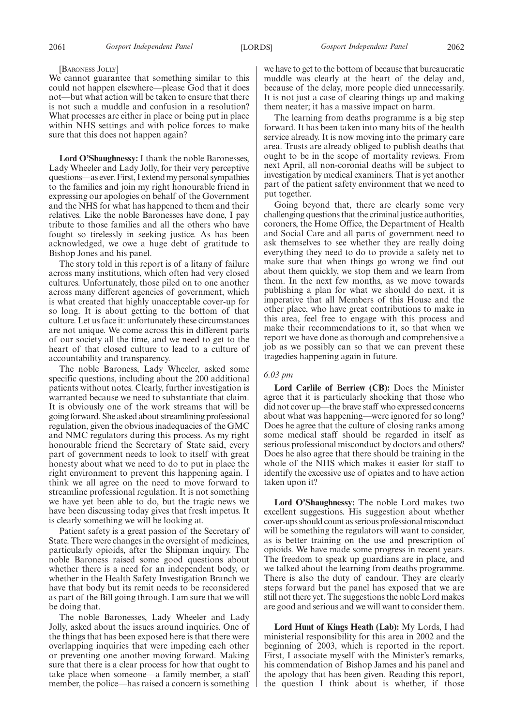2061 *Gosport Independent Panel* [LORDS] *Gosport Independent Panel* 2062

#### [BARONESS JOLLY]

We cannot guarantee that something similar to this could not happen elsewhere—please God that it does not—but what action will be taken to ensure that there is not such a muddle and confusion in a resolution? What processes are either in place or being put in place within NHS settings and with police forces to make sure that this does not happen again?

**Lord O'Shaughnessy:** I thank the noble Baronesses, Lady Wheeler and Lady Jolly, for their very perceptive questions—as ever. First, I extend my personal sympathies to the families and join my right honourable friend in expressing our apologies on behalf of the Government and the NHS for what has happened to them and their relatives. Like the noble Baronesses have done, I pay tribute to those families and all the others who have fought so tirelessly in seeking justice. As has been acknowledged, we owe a huge debt of gratitude to Bishop Jones and his panel.

The story told in this report is of a litany of failure across many institutions, which often had very closed cultures. Unfortunately, those piled on to one another across many different agencies of government, which is what created that highly unacceptable cover-up for so long. It is about getting to the bottom of that culture. Let us face it: unfortunately these circumstances are not unique. We come across this in different parts of our society all the time, and we need to get to the heart of that closed culture to lead to a culture of accountability and transparency.

The noble Baroness, Lady Wheeler, asked some specific questions, including about the 200 additional patients without notes. Clearly, further investigation is warranted because we need to substantiate that claim. It is obviously one of the work streams that will be going forward. She asked about streamlining professional regulation, given the obvious inadequacies of the GMC and NMC regulators during this process. As my right honourable friend the Secretary of State said, every part of government needs to look to itself with great honesty about what we need to do to put in place the right environment to prevent this happening again. I think we all agree on the need to move forward to streamline professional regulation. It is not something we have yet been able to do, but the tragic news we have been discussing today gives that fresh impetus. It is clearly something we will be looking at.

Patient safety is a great passion of the Secretary of State. There were changes in the oversight of medicines, particularly opioids, after the Shipman inquiry. The noble Baroness raised some good questions about whether there is a need for an independent body, or whether in the Health Safety Investigation Branch we have that body but its remit needs to be reconsidered as part of the Bill going through. I am sure that we will be doing that.

The noble Baronesses, Lady Wheeler and Lady Jolly, asked about the issues around inquiries. One of the things that has been exposed here is that there were overlapping inquiries that were impeding each other or preventing one another moving forward. Making sure that there is a clear process for how that ought to take place when someone—a family member, a staff member, the police—has raised a concern is something we have to get to the bottom of because that bureaucratic muddle was clearly at the heart of the delay and, because of the delay, more people died unnecessarily. It is not just a case of clearing things up and making them neater; it has a massive impact on harm.

The learning from deaths programme is a big step forward. It has been taken into many bits of the health service already. It is now moving into the primary care area. Trusts are already obliged to publish deaths that ought to be in the scope of mortality reviews. From next April, all non-coronial deaths will be subject to investigation by medical examiners. That is yet another part of the patient safety environment that we need to put together.

Going beyond that, there are clearly some very challenging questions that the criminal justice authorities, coroners, the Home Office, the Department of Health and Social Care and all parts of government need to ask themselves to see whether they are really doing everything they need to do to provide a safety net to make sure that when things go wrong we find out about them quickly, we stop them and we learn from them. In the next few months, as we move towards publishing a plan for what we should do next, it is imperative that all Members of this House and the other place, who have great contributions to make in this area, feel free to engage with this process and make their recommendations to it, so that when we report we have done as thorough and comprehensive a job as we possibly can so that we can prevent these tragedies happening again in future.

#### *6.03 pm*

**Lord Carlile of Berriew (CB):** Does the Minister agree that it is particularly shocking that those who did not cover up—the brave staff who expressed concerns about what was happening—were ignored for so long? Does he agree that the culture of closing ranks among some medical staff should be regarded in itself as serious professional misconduct by doctors and others? Does he also agree that there should be training in the whole of the NHS which makes it easier for staff to identify the excessive use of opiates and to have action taken upon it?

**Lord O'Shaughnessy:** The noble Lord makes two excellent suggestions. His suggestion about whether cover-ups should count as serious professional misconduct will be something the regulators will want to consider, as is better training on the use and prescription of opioids. We have made some progress in recent years. The freedom to speak up guardians are in place, and we talked about the learning from deaths programme. There is also the duty of candour. They are clearly steps forward but the panel has exposed that we are still not there yet. The suggestions the noble Lord makes are good and serious and we will want to consider them.

**Lord Hunt of Kings Heath (Lab):** My Lords, I had ministerial responsibility for this area in 2002 and the beginning of 2003, which is reported in the report. First, I associate myself with the Minister's remarks, his commendation of Bishop James and his panel and the apology that has been given. Reading this report, the question I think about is whether, if those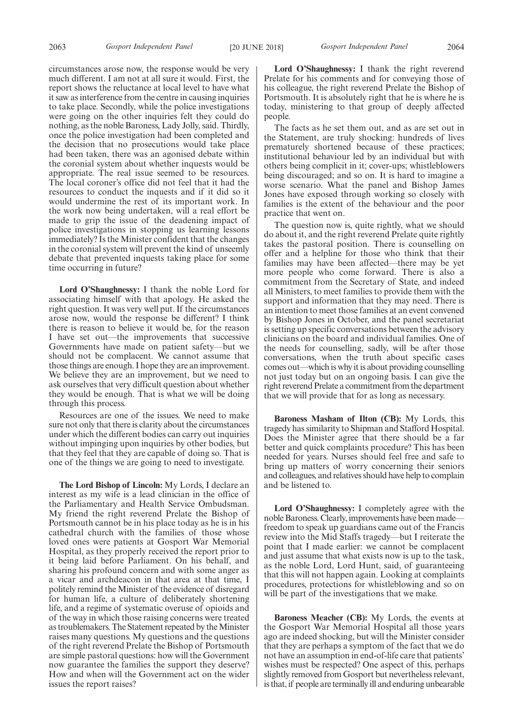circumstances arose now, the response would be very much different. I am not at all sure it would. First, the report shows the reluctance at local level to have what it saw as interference from the centre in causing inquiries to take place. Secondly, while the police investigations were going on the other inquiries felt they could do nothing, as the noble Baroness, Lady Jolly, said. Thirdly, once the police investigation had been completed and the decision that no prosecutions would take place had been taken, there was an agonised debate within the coronial system about whether inquests would be appropriate. The real issue seemed to be resources. The local coroner's office did not feel that it had the resources to conduct the inquests and if it did so it would undermine the rest of its important work. In the work now being undertaken, will a real effort be made to grip the issue of the deadening impact of police investigations in stopping us learning lessons immediately? Is the Minister confident that the changes in the coronial system will prevent the kind of unseemly debate that prevented inquests taking place for some time occurring in future?

**Lord O'Shaughnessy:** I thank the noble Lord for associating himself with that apology. He asked the right question. It was very well put. If the circumstances arose now, would the response be different? I think there is reason to believe it would be, for the reason I have set out—the improvements that successive Governments have made on patient safety—but we should not be complacent. We cannot assume that those things are enough. I hope they are an improvement. We believe they are an improvement, but we need to ask ourselves that very difficult question about whether they would be enough. That is what we will be doing through this process.

Resources are one of the issues. We need to make sure not only that there is clarity about the circumstances under which the different bodies can carry out inquiries without impinging upon inquiries by other bodies, but that they feel that they are capable of doing so. That is one of the things we are going to need to investigate.

**The Lord Bishop of Lincoln:** My Lords, I declare an interest as my wife is a lead clinician in the office of the Parliamentary and Health Service Ombudsman. My friend the right reverend Prelate the Bishop of Portsmouth cannot be in his place today as he is in his cathedral church with the families of those whose loved ones were patients at Gosport War Memorial Hospital, as they properly received the report prior to it being laid before Parliament. On his behalf, and sharing his profound concern and with some anger as a vicar and archdeacon in that area at that time, I politely remind the Minister of the evidence of disregard for human life, a culture of deliberately shortening life, and a regime of systematic overuse of opioids and of the way in which those raising concerns were treated as troublemakers. The Statement repeated by the Minister raises many questions. My questions and the questions of the right reverend Prelate the Bishop of Portsmouth are simple pastoral questions: how will the Government now guarantee the families the support they deserve? How and when will the Government act on the wider issues the report raises?

**Lord O'Shaughnessy:** I thank the right reverend Prelate for his comments and for conveying those of his colleague, the right reverend Prelate the Bishop of Portsmouth. It is absolutely right that he is where he is today, ministering to that group of deeply affected people.

The facts as he set them out, and as are set out in the Statement, are truly shocking: hundreds of lives prematurely shortened because of these practices; institutional behaviour led by an individual but with others being complicit in it; cover-ups; whistleblowers being discouraged; and so on. It is hard to imagine a worse scenario. What the panel and Bishop James Jones have exposed through working so closely with families is the extent of the behaviour and the poor practice that went on.

The question now is, quite rightly, what we should do about it, and the right reverend Prelate quite rightly takes the pastoral position. There is counselling on offer and a helpline for those who think that their families may have been affected—there may be yet more people who come forward. There is also a commitment from the Secretary of State, and indeed all Ministers, to meet families to provide them with the support and information that they may need. There is an intention to meet those families at an event convened by Bishop Jones in October, and the panel secretariat is setting up specific conversations between the advisory clinicians on the board and individual families. One of the needs for counselling, sadly, will be after those conversations, when the truth about specific cases comes out—which is why it is about providing counselling not just today but on an ongoing basis. I can give the right reverend Prelate a commitment from the department that we will provide that for as long as necessary.

**Baroness Masham of Ilton (CB):** My Lords, this tragedy has similarity to Shipman and Stafford Hospital. Does the Minister agree that there should be a far better and quick complaints procedure? This has been needed for years. Nurses should feel free and safe to bring up matters of worry concerning their seniors and colleagues, and relatives should have help to complain and be listened to.

Lord O'Shaughnessy: I completely agree with the noble Baroness. Clearly, improvements have been made freedom to speak up guardians came out of the Francis review into the Mid Staffs tragedy—but I reiterate the point that I made earlier: we cannot be complacent and just assume that what exists now is up to the task, as the noble Lord, Lord Hunt, said, of guaranteeing that this will not happen again. Looking at complaints procedures, protections for whistleblowing and so on will be part of the investigations that we make.

**Baroness Meacher (CB):** My Lords, the events at the Gosport War Memorial Hospital all those years ago are indeed shocking, but will the Minister consider that they are perhaps a symptom of the fact that we do not have an assumption in end-of-life care that patients' wishes must be respected? One aspect of this, perhaps slightly removed from Gosport but nevertheless relevant, is that, if people are terminally ill and enduring unbearable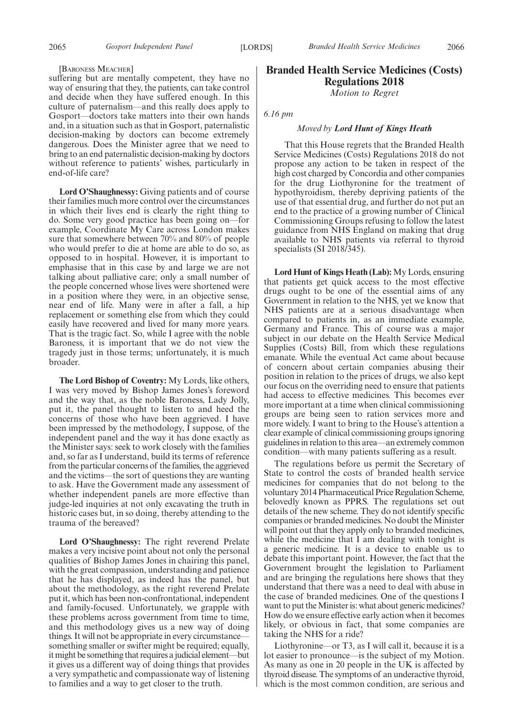#### [BARONESS MEACHER]

suffering but are mentally competent, they have no way of ensuring that they, the patients, can take control and decide when they have suffered enough. In this culture of paternalism—and this really does apply to Gosport—doctors take matters into their own hands and, in a situation such as that in Gosport, paternalistic decision-making by doctors can become extremely dangerous. Does the Minister agree that we need to bring to an end paternalistic decision-making by doctors without reference to patients' wishes, particularly in end-of-life care?

**Lord O'Shaughnessy:** Giving patients and of course their families much more control over the circumstances in which their lives end is clearly the right thing to do. Some very good practice has been going on—for example, Coordinate My Care across London makes sure that somewhere between 70% and 80% of people who would prefer to die at home are able to do so, as opposed to in hospital. However, it is important to emphasise that in this case by and large we are not talking about palliative care; only a small number of the people concerned whose lives were shortened were in a position where they were, in an objective sense, near end of life. Many were in after a fall, a hip replacement or something else from which they could easily have recovered and lived for many more years. That is the tragic fact. So, while I agree with the noble Baroness, it is important that we do not view the tragedy just in those terms; unfortunately, it is much broader.

**The Lord Bishop of Coventry:** My Lords, like others, I was very moved by Bishop James Jones's foreword and the way that, as the noble Baroness, Lady Jolly, put it, the panel thought to listen to and heed the concerns of those who have been aggrieved. I have been impressed by the methodology, I suppose, of the independent panel and the way it has done exactly as the Minister says: seek to work closely with the families and, so far as I understand, build its terms of reference from the particular concerns of the families, the aggrieved and the victims—the sort of questions they are wanting to ask. Have the Government made any assessment of whether independent panels are more effective than judge-led inquiries at not only excavating the truth in historic cases but, in so doing, thereby attending to the trauma of the bereaved?

**Lord O'Shaughnessy:** The right reverend Prelate makes a very incisive point about not only the personal qualities of Bishop James Jones in chairing this panel, with the great compassion, understanding and patience that he has displayed, as indeed has the panel, but about the methodology, as the right reverend Prelate put it, which has been non-confrontational, independent and family-focused. Unfortunately, we grapple with these problems across government from time to time, and this methodology gives us a new way of doing things. It will not be appropriate in every circumstance something smaller or swifter might be required; equally, it might be something that requires a judicial element—but it gives us a different way of doing things that provides a very sympathetic and compassionate way of listening to families and a way to get closer to the truth.

# **Branded Health Service Medicines (Costs) Regulations 2018**

*Motion to Regret*

#### *6.16 pm*

#### *Moved by Lord Hunt of Kings Heath*

That this House regrets that the Branded Health Service Medicines (Costs) Regulations 2018 do not propose any action to be taken in respect of the high cost charged by Concordia and other companies for the drug Liothyronine for the treatment of hypothyroidism, thereby depriving patients of the use of that essential drug, and further do not put an end to the practice of a growing number of Clinical Commissioning Groups refusing to follow the latest guidance from NHS England on making that drug available to NHS patients via referral to thyroid specialists (SI 2018/345).

**Lord Hunt of Kings Heath (Lab):** My Lords, ensuring that patients get quick access to the most effective drugs ought to be one of the essential aims of any Government in relation to the NHS, yet we know that NHS patients are at a serious disadvantage when compared to patients in, as an immediate example, Germany and France. This of course was a major subject in our debate on the Health Service Medical Supplies (Costs) Bill, from which these regulations emanate. While the eventual Act came about because of concern about certain companies abusing their position in relation to the prices of drugs, we also kept our focus on the overriding need to ensure that patients had access to effective medicines. This becomes ever more important at a time when clinical commissioning groups are being seen to ration services more and more widely. I want to bring to the House's attention a clear example of clinical commissioning groups ignoring guidelines in relation to this area—an extremely common condition—with many patients suffering as a result.

The regulations before us permit the Secretary of State to control the costs of branded health service medicines for companies that do not belong to the voluntary 2014 Pharmaceutical Price Regulation Scheme, belovedly known as PPRS. The regulations set out details of the new scheme. They do not identify specific companies or branded medicines. No doubt the Minister will point out that they apply only to branded medicines, while the medicine that I am dealing with tonight is a generic medicine. It is a device to enable us to debate this important point. However, the fact that the Government brought the legislation to Parliament and are bringing the regulations here shows that they understand that there was a need to deal with abuse in the case of branded medicines. One of the questions I want to put the Minister is: what about generic medicines? How do we ensure effective early action when it becomes likely, or obvious in fact, that some companies are taking the NHS for a ride?

Liothyronine—or T3, as I will call it, because it is a lot easier to pronounce—is the subject of my Motion. As many as one in 20 people in the UK is affected by thyroid disease. The symptoms of an underactive thyroid, which is the most common condition, are serious and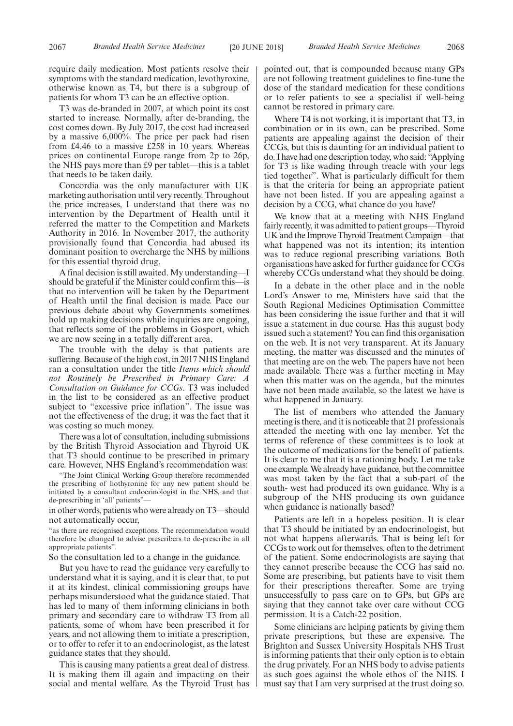require daily medication. Most patients resolve their symptoms with the standard medication, levothyroxine, otherwise known as T4, but there is a subgroup of patients for whom T3 can be an effective option.

T3 was de-branded in 2007, at which point its cost started to increase. Normally, after de-branding, the cost comes down. By July 2017, the cost had increased by a massive 6,000%. The price per pack had risen from £4.46 to a massive £258 in 10 years. Whereas prices on continental Europe range from 2p to 26p, the NHS pays more than £9 per tablet—this is a tablet that needs to be taken daily.

Concordia was the only manufacturer with UK marketing authorisation until very recently. Throughout the price increases, I understand that there was no intervention by the Department of Health until it referred the matter to the Competition and Markets Authority in 2016. In November 2017, the authority provisionally found that Concordia had abused its dominant position to overcharge the NHS by millions for this essential thyroid drug.

A final decision is still awaited. My understanding—I should be grateful if the Minister could confirm this—is that no intervention will be taken by the Department of Health until the final decision is made. Pace our previous debate about why Governments sometimes hold up making decisions while inquiries are ongoing, that reflects some of the problems in Gosport, which we are now seeing in a totally different area.

The trouble with the delay is that patients are suffering. Because of the high cost, in 2017 NHS England ran a consultation under the title *Items which should not Routinely be Prescribed in Primary Care: A Consultation on Guidance for CCGs*. T3 was included in the list to be considered as an effective product subject to "excessive price inflation". The issue was not the effectiveness of the drug; it was the fact that it was costing so much money.

There was a lot of consultation, including submissions by the British Thyroid Association and Thyroid UK that T3 should continue to be prescribed in primary care. However, NHS England's recommendation was:

"The Joint Clinical Working Group therefore recommended the prescribing of liothyronine for any new patient should be initiated by a consultant endocrinologist in the NHS, and that de-prescribing in 'all' patients"

in other words, patients who were already on T3—should not automatically occur,

"as there are recognised exceptions. The recommendation would therefore be changed to advise prescribers to de-prescribe in all appropriate patients".

So the consultation led to a change in the guidance.

But you have to read the guidance very carefully to understand what it is saying, and it is clear that, to put it at its kindest, clinical commissioning groups have perhaps misunderstood what the guidance stated. That has led to many of them informing clinicians in both primary and secondary care to withdraw T3 from all patients, some of whom have been prescribed it for years, and not allowing them to initiate a prescription, or to offer to refer it to an endocrinologist, as the latest guidance states that they should.

This is causing many patients a great deal of distress. It is making them ill again and impacting on their social and mental welfare. As the Thyroid Trust has pointed out, that is compounded because many GPs are not following treatment guidelines to fine-tune the dose of the standard medication for these conditions or to refer patients to see a specialist if well-being cannot be restored in primary care.

Where T4 is not working, it is important that T3, in combination or in its own, can be prescribed. Some patients are appealing against the decision of their CCGs, but this is daunting for an individual patient to do. I have had one description today, who said: "Applying for T3 is like wading through treacle with your legs tied together". What is particularly difficult for them is that the criteria for being an appropriate patient have not been listed. If you are appealing against a decision by a CCG, what chance do you have?

We know that at a meeting with NHS England fairly recently, it was admitted to patient groups—Thyroid UK and the Improve Thyroid Treatment Campaign—that what happened was not its intention; its intention was to reduce regional prescribing variations. Both organisations have asked for further guidance for CCGs whereby CCGs understand what they should be doing.

In a debate in the other place and in the noble Lord's Answer to me, Ministers have said that the South Regional Medicines Optimisation Committee has been considering the issue further and that it will issue a statement in due course. Has this august body issued such a statement? You can find this organisation on the web. It is not very transparent. At its January meeting, the matter was discussed and the minutes of that meeting are on the web. The papers have not been made available. There was a further meeting in May when this matter was on the agenda, but the minutes have not been made available, so the latest we have is what happened in January.

The list of members who attended the January meeting is there, and it is noticeable that 21 professionals attended the meeting with one lay member. Yet the terms of reference of these committees is to look at the outcome of medications for the benefit of patients. It is clear to me that it is a rationing body. Let me take one example. We already have guidance, but the committee was most taken by the fact that a sub-part of the south- west had produced its own guidance. Why is a subgroup of the NHS producing its own guidance when guidance is nationally based?

Patients are left in a hopeless position. It is clear that T3 should be initiated by an endocrinologist, but not what happens afterwards. That is being left for CCGs to work out for themselves, often to the detriment of the patient. Some endocrinologists are saying that they cannot prescribe because the CCG has said no. Some are prescribing, but patients have to visit them for their prescriptions thereafter. Some are trying unsuccessfully to pass care on to GPs, but GPs are saying that they cannot take over care without CCG permission. It is a Catch-22 position.

Some clinicians are helping patients by giving them private prescriptions, but these are expensive. The Brighton and Sussex University Hospitals NHS Trust is informing patients that their only option is to obtain the drug privately. For an NHS body to advise patients as such goes against the whole ethos of the NHS. I must say that I am very surprised at the trust doing so.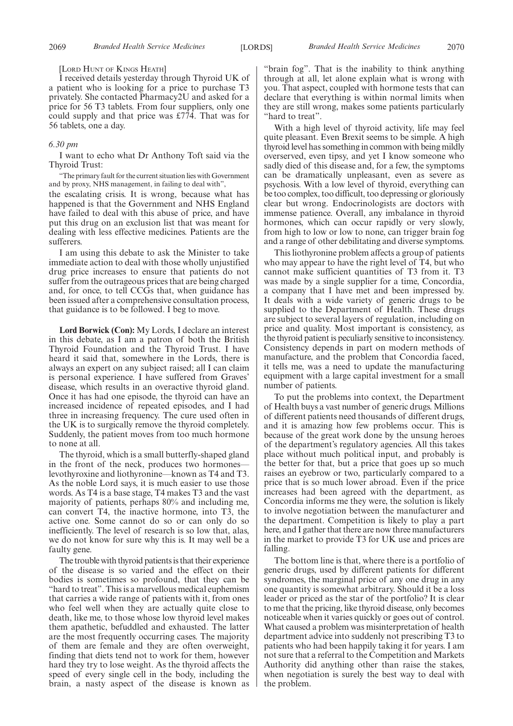#### [LORD HUNT OF KINGS HEATH]

I received details yesterday through Thyroid UK of a patient who is looking for a price to purchase T3 privately. She contacted Pharmacy2U and asked for a price for 56 T3 tablets. From four suppliers, only one could supply and that price was £774. That was for 56 tablets, one a day.

#### *6.30 pm*

I want to echo what Dr Anthony Toft said via the Thyroid Trust:

"The primary fault for the current situation lies with Government and by proxy, NHS management, in failing to deal with",

the escalating crisis. It is wrong, because what has happened is that the Government and NHS England have failed to deal with this abuse of price, and have put this drug on an exclusion list that was meant for dealing with less effective medicines. Patients are the sufferers.

I am using this debate to ask the Minister to take immediate action to deal with those wholly unjustified drug price increases to ensure that patients do not suffer from the outrageous prices that are being charged and, for once, to tell CCGs that, when guidance has been issued after a comprehensive consultation process, that guidance is to be followed. I beg to move.

**Lord Borwick (Con):** My Lords, I declare an interest in this debate, as I am a patron of both the British Thyroid Foundation and the Thyroid Trust. I have heard it said that, somewhere in the Lords, there is always an expert on any subject raised; all I can claim is personal experience. I have suffered from Graves' disease, which results in an overactive thyroid gland. Once it has had one episode, the thyroid can have an increased incidence of repeated episodes, and I had three in increasing frequency. The cure used often in the UK is to surgically remove the thyroid completely. Suddenly, the patient moves from too much hormone to none at all.

The thyroid, which is a small butterfly-shaped gland in the front of the neck, produces two hormoneslevothyroxine and liothyronine—known as T4 and T3. As the noble Lord says, it is much easier to use those words. As T4 is a base stage, T4 makes T3 and the vast majority of patients, perhaps 80% and including me, can convert T4, the inactive hormone, into T3, the active one. Some cannot do so or can only do so inefficiently. The level of research is so low that, alas, we do not know for sure why this is. It may well be a faulty gene.

The trouble with thyroid patients is that their experience of the disease is so varied and the effect on their bodies is sometimes so profound, that they can be "hard to treat". This is a marvellous medical euphemism that carries a wide range of patients with it, from ones who feel well when they are actually quite close to death, like me, to those whose low thyroid level makes them apathetic, befuddled and exhausted. The latter are the most frequently occurring cases. The majority of them are female and they are often overweight, finding that diets tend not to work for them, however hard they try to lose weight. As the thyroid affects the speed of every single cell in the body, including the brain, a nasty aspect of the disease is known as "brain fog". That is the inability to think anything through at all, let alone explain what is wrong with you. That aspect, coupled with hormone tests that can declare that everything is within normal limits when they are still wrong, makes some patients particularly "hard to treat".

With a high level of thyroid activity, life may feel quite pleasant. Even Brexit seems to be simple. A high thyroid level has something in common with being mildly overserved, even tipsy, and yet I know someone who sadly died of this disease and, for a few, the symptoms can be dramatically unpleasant, even as severe as psychosis. With a low level of thyroid, everything can be too complex, too difficult, too depressing or gloriously clear but wrong. Endocrinologists are doctors with immense patience. Overall, any imbalance in thyroid hormones, which can occur rapidly or very slowly, from high to low or low to none, can trigger brain fog and a range of other debilitating and diverse symptoms.

This liothyronine problem affects a group of patients who may appear to have the right level of T4, but who cannot make sufficient quantities of T3 from it. T3 was made by a single supplier for a time, Concordia, a company that I have met and been impressed by. It deals with a wide variety of generic drugs to be supplied to the Department of Health. These drugs are subject to several layers of regulation, including on price and quality. Most important is consistency, as the thyroid patient is peculiarly sensitive to inconsistency. Consistency depends in part on modern methods of manufacture, and the problem that Concordia faced, it tells me, was a need to update the manufacturing equipment with a large capital investment for a small number of patients.

To put the problems into context, the Department of Health buys a vast number of generic drugs. Millions of different patients need thousands of different drugs, and it is amazing how few problems occur. This is because of the great work done by the unsung heroes of the department's regulatory agencies. All this takes place without much political input, and probably is the better for that, but a price that goes up so much raises an eyebrow or two, particularly compared to a price that is so much lower abroad. Even if the price increases had been agreed with the department, as Concordia informs me they were, the solution is likely to involve negotiation between the manufacturer and the department. Competition is likely to play a part here, and I gather that there are now three manufacturers in the market to provide T3 for UK use and prices are falling.

The bottom line is that, where there is a portfolio of generic drugs, used by different patients for different syndromes, the marginal price of any one drug in any one quantity is somewhat arbitrary. Should it be a loss leader or priced as the star of the portfolio? It is clear to me that the pricing, like thyroid disease, only becomes noticeable when it varies quickly or goes out of control. What caused a problem was misinterpretation of health department advice into suddenly not prescribing T3 to patients who had been happily taking it for years. I am not sure that a referral to the Competition and Markets Authority did anything other than raise the stakes, when negotiation is surely the best way to deal with the problem.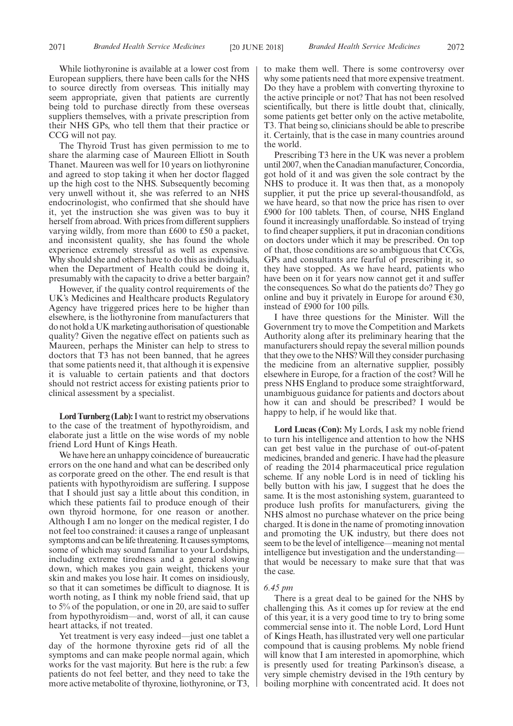While liothyronine is available at a lower cost from European suppliers, there have been calls for the NHS to source directly from overseas. This initially may seem appropriate, given that patients are currently being told to purchase directly from these overseas suppliers themselves, with a private prescription from their NHS GPs, who tell them that their practice or CCG will not pay.

The Thyroid Trust has given permission to me to share the alarming case of Maureen Elliott in South Thanet. Maureen was well for 10 years on liothyronine and agreed to stop taking it when her doctor flagged up the high cost to the NHS. Subsequently becoming very unwell without it, she was referred to an NHS endocrinologist, who confirmed that she should have it, yet the instruction she was given was to buy it herself from abroad. With prices from different suppliers varying wildly, from more than £600 to £50 a packet, and inconsistent quality, she has found the whole experience extremely stressful as well as expensive. Why should she and others have to do this as individuals, when the Department of Health could be doing it, presumably with the capacity to drive a better bargain?

However, if the quality control requirements of the UK's Medicines and Healthcare products Regulatory Agency have triggered prices here to be higher than elsewhere, is the liothyronine from manufacturers that do not hold a UK marketing authorisation of questionable quality? Given the negative effect on patients such as Maureen, perhaps the Minister can help to stress to doctors that T3 has not been banned, that he agrees that some patients need it, that although it is expensive it is valuable to certain patients and that doctors should not restrict access for existing patients prior to clinical assessment by a specialist.

**Lord Turnberg (Lab):**I want to restrict my observations to the case of the treatment of hypothyroidism, and elaborate just a little on the wise words of my noble friend Lord Hunt of Kings Heath.

We have here an unhappy coincidence of bureaucratic errors on the one hand and what can be described only as corporate greed on the other. The end result is that patients with hypothyroidism are suffering. I suppose that I should just say a little about this condition, in which these patients fail to produce enough of their own thyroid hormone, for one reason or another. Although I am no longer on the medical register, I do not feel too constrained: it causes a range of unpleasant symptoms and can be life threatening. It causes symptoms, some of which may sound familiar to your Lordships, including extreme tiredness and a general slowing down, which makes you gain weight, thickens your skin and makes you lose hair. It comes on insidiously, so that it can sometimes be difficult to diagnose. It is worth noting, as I think my noble friend said, that up to 5% of the population, or one in 20, are said to suffer from hypothyroidism—and, worst of all, it can cause heart attacks, if not treated.

Yet treatment is very easy indeed—just one tablet a day of the hormone thyroxine gets rid of all the symptoms and can make people normal again, which works for the vast majority. But here is the rub: a few patients do not feel better, and they need to take the more active metabolite of thyroxine, liothyronine, or T3, to make them well. There is some controversy over why some patients need that more expensive treatment. Do they have a problem with converting thyroxine to the active principle or not? That has not been resolved scientifically, but there is little doubt that, clinically, some patients get better only on the active metabolite, T3. That being so, clinicians should be able to prescribe it. Certainly, that is the case in many countries around the world.

Prescribing T3 here in the UK was never a problem until 2007, when the Canadian manufacturer, Concordia, got hold of it and was given the sole contract by the NHS to produce it. It was then that, as a monopoly supplier, it put the price up several-thousandfold, as we have heard, so that now the price has risen to over £900 for 100 tablets. Then, of course, NHS England found it increasingly unaffordable. So instead of trying to find cheaper suppliers, it put in draconian conditions on doctors under which it may be prescribed. On top of that, those conditions are so ambiguous that CCGs, GPs and consultants are fearful of prescribing it, so they have stopped. As we have heard, patients who have been on it for years now cannot get it and suffer the consequences. So what do the patients do? They go online and buy it privately in Europe for around  $\epsilon$ 30, instead of £900 for 100 pills.

I have three questions for the Minister. Will the Government try to move the Competition and Markets Authority along after its preliminary hearing that the manufacturers should repay the several million pounds that they owe to the NHS? Will they consider purchasing the medicine from an alternative supplier, possibly elsewhere in Europe, for a fraction of the cost? Will he press NHS England to produce some straightforward, unambiguous guidance for patients and doctors about how it can and should be prescribed? I would be happy to help, if he would like that.

**Lord Lucas (Con):** My Lords, I ask my noble friend to turn his intelligence and attention to how the NHS can get best value in the purchase of out-of-patent medicines, branded and generic. I have had the pleasure of reading the 2014 pharmaceutical price regulation scheme. If any noble Lord is in need of tickling his belly button with his jaw, I suggest that he does the same. It is the most astonishing system, guaranteed to produce lush profits for manufacturers, giving the NHS almost no purchase whatever on the price being charged. It is done in the name of promoting innovation and promoting the UK industry, but there does not seem to be the level of intelligence—meaning not mental intelligence but investigation and the understanding that would be necessary to make sure that that was the case.

#### *6.45 pm*

There is a great deal to be gained for the NHS by challenging this. As it comes up for review at the end of this year, it is a very good time to try to bring some commercial sense into it. The noble Lord, Lord Hunt of Kings Heath, has illustrated very well one particular compound that is causing problems. My noble friend will know that I am interested in apomorphine, which is presently used for treating Parkinson's disease, a very simple chemistry devised in the 19th century by boiling morphine with concentrated acid. It does not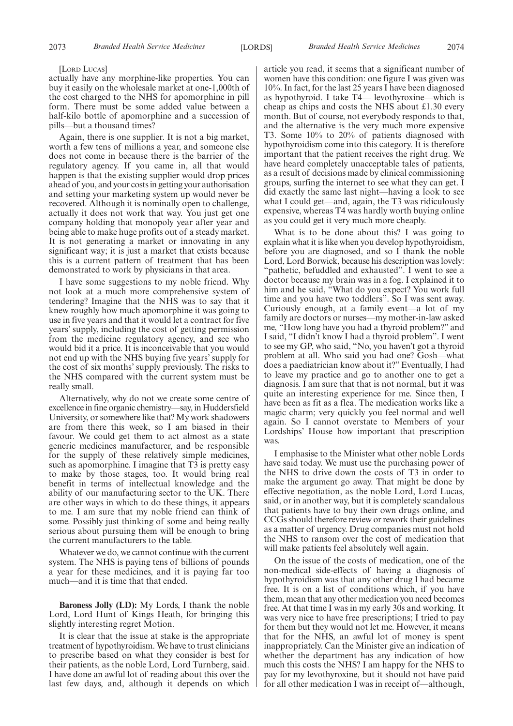#### [LORD LUCAS]

actually have any morphine-like properties. You can buy it easily on the wholesale market at one-1,000th of the cost charged to the NHS for apomorphine in pill form. There must be some added value between a half-kilo bottle of apomorphine and a succession of pills—but a thousand times?

Again, there is one supplier. It is not a big market, worth a few tens of millions a year, and someone else does not come in because there is the barrier of the regulatory agency. If you came in, all that would happen is that the existing supplier would drop prices ahead of you, and your costs in getting your authorisation and setting your marketing system up would never be recovered. Although it is nominally open to challenge, actually it does not work that way. You just get one company holding that monopoly year after year and being able to make huge profits out of a steady market. It is not generating a market or innovating in any significant way; it is just a market that exists because this is a current pattern of treatment that has been demonstrated to work by physicians in that area.

I have some suggestions to my noble friend. Why not look at a much more comprehensive system of tendering? Imagine that the NHS was to say that it knew roughly how much apomorphine it was going to use in five years and that it would let a contract for five years' supply, including the cost of getting permission from the medicine regulatory agency, and see who would bid it a price. It is inconceivable that you would not end up with the NHS buying five years' supply for the cost of six months' supply previously. The risks to the NHS compared with the current system must be really small.

Alternatively, why do not we create some centre of excellence in fine organic chemistry—say, in Huddersfield University, or somewhere like that? My work shadowers are from there this week, so I am biased in their favour. We could get them to act almost as a state generic medicines manufacturer, and be responsible for the supply of these relatively simple medicines, such as apomorphine. I imagine that T3 is pretty easy to make by those stages, too. It would bring real benefit in terms of intellectual knowledge and the ability of our manufacturing sector to the UK. There are other ways in which to do these things, it appears to me. I am sure that my noble friend can think of some. Possibly just thinking of some and being really serious about pursuing them will be enough to bring the current manufacturers to the table.

Whatever we do, we cannot continue with the current system. The NHS is paying tens of billions of pounds a year for these medicines, and it is paying far too much—and it is time that that ended.

**Baroness Jolly (LD):** My Lords, I thank the noble Lord, Lord Hunt of Kings Heath, for bringing this slightly interesting regret Motion.

It is clear that the issue at stake is the appropriate treatment of hypothyroidism. We have to trust clinicians to prescribe based on what they consider is best for their patients, as the noble Lord, Lord Turnberg, said. I have done an awful lot of reading about this over the last few days, and, although it depends on which article you read, it seems that a significant number of women have this condition: one figure I was given was 10%. In fact, for the last 25 years I have been diagnosed as hypothyroid. I take T4— levothyroxine—which is cheap as chips and costs the NHS about £1.30 every month. But of course, not everybody responds to that, and the alternative is the very much more expensive T3. Some 10% to 20% of patients diagnosed with hypothyroidism come into this category. It is therefore important that the patient receives the right drug. We have heard completely unacceptable tales of patients, as a result of decisions made by clinical commissioning groups, surfing the internet to see what they can get. I did exactly the same last night—having a look to see what I could get—and, again, the T3 was ridiculously expensive, whereas T4 was hardly worth buying online as you could get it very much more cheaply.

What is to be done about this? I was going to explain what it is like when you develop hypothyroidism, before you are diagnosed, and so I thank the noble Lord, Lord Borwick, because his description was lovely: "pathetic, befuddled and exhausted". I went to see a doctor because my brain was in a fog. I explained it to him and he said, "What do you expect? You work full time and you have two toddlers". So I was sent away. Curiously enough, at a family event—a lot of my family are doctors or nurses—my mother-in-law asked me, "How long have you had a thyroid problem?" and I said, "I didn't know I had a thyroid problem". I went to see my GP, who said, "No, you haven't got a thyroid problem at all. Who said you had one? Gosh—what does a paediatrician know about it?" Eventually, I had to leave my practice and go to another one to get a diagnosis. I am sure that that is not normal, but it was quite an interesting experience for me. Since then, I have been as fit as a flea. The medication works like a magic charm; very quickly you feel normal and well again. So I cannot overstate to Members of your Lordships' House how important that prescription was.

I emphasise to the Minister what other noble Lords have said today. We must use the purchasing power of the NHS to drive down the costs of T3 in order to make the argument go away. That might be done by effective negotiation, as the noble Lord, Lord Lucas, said, or in another way, but it is completely scandalous that patients have to buy their own drugs online, and CCGs should therefore review or rework their guidelines as a matter of urgency. Drug companies must not hold the NHS to ransom over the cost of medication that will make patients feel absolutely well again.

On the issue of the costs of medication, one of the non-medical side-effects of having a diagnosis of hypothyroidism was that any other drug I had became free. It is on a list of conditions which, if you have them, mean that any other medication you need becomes free. At that time I was in my early 30s and working. It was very nice to have free prescriptions; I tried to pay for them but they would not let me. However, it means that for the NHS, an awful lot of money is spent inappropriately. Can the Minister give an indication of whether the department has any indication of how much this costs the NHS? I am happy for the NHS to pay for my levothyroxine, but it should not have paid for all other medication I was in receipt of—although,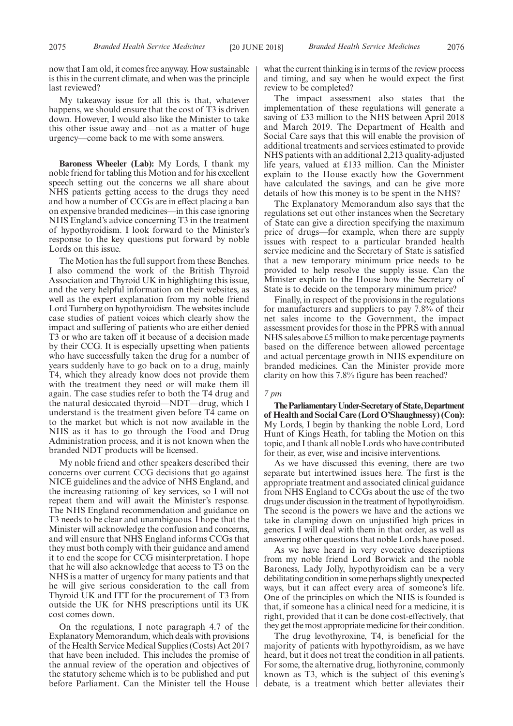now that I am old, it comes free anyway. How sustainable is this in the current climate, and when was the principle last reviewed?

My takeaway issue for all this is that, whatever happens, we should ensure that the cost of T3 is driven down. However, I would also like the Minister to take this other issue away and—not as a matter of huge urgency—come back to me with some answers.

**Baroness Wheeler (Lab):** My Lords, I thank my noble friend for tabling this Motion and for his excellent speech setting out the concerns we all share about NHS patients getting access to the drugs they need and how a number of CCGs are in effect placing a ban on expensive branded medicines—in this case ignoring NHS England's advice concerning T3 in the treatment of hypothyroidism. I look forward to the Minister's response to the key questions put forward by noble Lords on this issue.

The Motion has the full support from these Benches. I also commend the work of the British Thyroid Association and Thyroid UK in highlighting this issue, and the very helpful information on their websites, as well as the expert explanation from my noble friend Lord Turnberg on hypothyroidism. The websites include case studies of patient voices which clearly show the impact and suffering of patients who are either denied T3 or who are taken off it because of a decision made by their CCG. It is especially upsetting when patients who have successfully taken the drug for a number of years suddenly have to go back on to a drug, mainly T4, which they already know does not provide them with the treatment they need or will make them ill again. The case studies refer to both the T4 drug and the natural desiccated thyroid—NDT—drug, which I understand is the treatment given before T4 came on to the market but which is not now available in the NHS as it has to go through the Food and Drug Administration process, and it is not known when the branded NDT products will be licensed.

My noble friend and other speakers described their concerns over current CCG decisions that go against NICE guidelines and the advice of NHS England, and the increasing rationing of key services, so I will not repeat them and will await the Minister's response. The NHS England recommendation and guidance on T3 needs to be clear and unambiguous. I hope that the Minister will acknowledge the confusion and concerns, and will ensure that NHS England informs CCGs that they must both comply with their guidance and amend it to end the scope for CCG misinterpretation. I hope that he will also acknowledge that access to T3 on the NHS is a matter of urgency for many patients and that he will give serious consideration to the call from Thyroid UK and ITT for the procurement of T3 from outside the UK for NHS prescriptions until its UK cost comes down.

On the regulations, I note paragraph 4.7 of the Explanatory Memorandum, which deals with provisions of the Health Service Medical Supplies (Costs) Act 2017 that have been included. This includes the promise of the annual review of the operation and objectives of the statutory scheme which is to be published and put before Parliament. Can the Minister tell the House

what the current thinking is in terms of the review process and timing, and say when he would expect the first review to be completed?

The impact assessment also states that the implementation of these regulations will generate a saving of £33 million to the NHS between April 2018 and March 2019. The Department of Health and Social Care says that this will enable the provision of additional treatments and services estimated to provide NHS patients with an additional 2,213 quality-adjusted life years, valued at £133 million. Can the Minister explain to the House exactly how the Government have calculated the savings, and can he give more details of how this money is to be spent in the NHS?

The Explanatory Memorandum also says that the regulations set out other instances when the Secretary of State can give a direction specifying the maximum price of drugs—for example, when there are supply issues with respect to a particular branded health service medicine and the Secretary of State is satisfied that a new temporary minimum price needs to be provided to help resolve the supply issue. Can the Minister explain to the House how the Secretary of State is to decide on the temporary minimum price?

Finally, in respect of the provisions in the regulations for manufacturers and suppliers to pay 7.8% of their net sales income to the Government, the impact assessment provides for those in the PPRS with annual NHS sales above £5 million to make percentage payments based on the difference between allowed percentage and actual percentage growth in NHS expenditure on branded medicines. Can the Minister provide more clarity on how this 7.8% figure has been reached?

#### *7 pm*

**TheParliamentaryUnder-Secretaryof State,Department of Health and Social Care (Lord O'Shaughnessy) (Con):** My Lords, I begin by thanking the noble Lord, Lord Hunt of Kings Heath, for tabling the Motion on this topic, and I thank all noble Lords who have contributed for their, as ever, wise and incisive interventions.

As we have discussed this evening, there are two separate but intertwined issues here. The first is the appropriate treatment and associated clinical guidance from NHS England to CCGs about the use of the two drugs under discussion in the treatment of hypothyroidism. The second is the powers we have and the actions we take in clamping down on unjustified high prices in generics. I will deal with them in that order, as well as answering other questions that noble Lords have posed.

As we have heard in very evocative descriptions from my noble friend Lord Borwick and the noble Baroness, Lady Jolly, hypothyroidism can be a very debilitating condition in some perhaps slightly unexpected ways, but it can affect every area of someone's life. One of the principles on which the NHS is founded is that, if someone has a clinical need for a medicine, it is right, provided that it can be done cost-effectively, that they get the most appropriate medicine for their condition.

The drug levothyroxine, T4, is beneficial for the majority of patients with hypothyroidism, as we have heard, but it does not treat the condition in all patients. For some, the alternative drug, liothyronine, commonly known as T3, which is the subject of this evening's debate, is a treatment which better alleviates their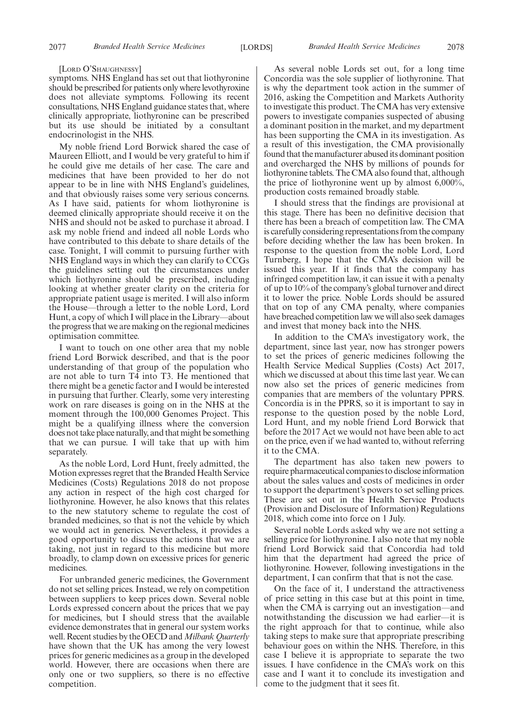#### [LORD O'SHAUGHNESSY]

symptoms. NHS England has set out that liothyronine should be prescribed for patients only where levothyroxine does not alleviate symptoms. Following its recent consultations, NHS England guidance states that, where clinically appropriate, liothyronine can be prescribed but its use should be initiated by a consultant endocrinologist in the NHS.

My noble friend Lord Borwick shared the case of Maureen Elliott, and I would be very grateful to him if he could give me details of her case. The care and medicines that have been provided to her do not appear to be in line with NHS England's guidelines, and that obviously raises some very serious concerns. As I have said, patients for whom liothyronine is deemed clinically appropriate should receive it on the NHS and should not be asked to purchase it abroad. I ask my noble friend and indeed all noble Lords who have contributed to this debate to share details of the case. Tonight, I will commit to pursuing further with NHS England ways in which they can clarify to CCGs the guidelines setting out the circumstances under which liothyronine should be prescribed, including looking at whether greater clarity on the criteria for appropriate patient usage is merited. I will also inform the House—through a letter to the noble Lord, Lord Hunt, a copy of which I will place in the Library—about the progress that we are making on the regional medicines optimisation committee.

I want to touch on one other area that my noble friend Lord Borwick described, and that is the poor understanding of that group of the population who are not able to turn T4 into T3. He mentioned that there might be a genetic factor and I would be interested in pursuing that further. Clearly, some very interesting work on rare diseases is going on in the NHS at the moment through the 100,000 Genomes Project. This might be a qualifying illness where the conversion does not take place naturally, and that might be something that we can pursue. I will take that up with him separately.

As the noble Lord, Lord Hunt, freely admitted, the Motion expresses regret that the Branded Health Service Medicines (Costs) Regulations 2018 do not propose any action in respect of the high cost charged for liothyronine. However, he also knows that this relates to the new statutory scheme to regulate the cost of branded medicines, so that is not the vehicle by which we would act in generics. Nevertheless, it provides a good opportunity to discuss the actions that we are taking, not just in regard to this medicine but more broadly, to clamp down on excessive prices for generic medicines.

For unbranded generic medicines, the Government do not set selling prices. Instead, we rely on competition between suppliers to keep prices down. Several noble Lords expressed concern about the prices that we pay for medicines, but I should stress that the available evidence demonstrates that in general our system works well. Recent studies by the OECD and*Milbank Quarterly* have shown that the UK has among the very lowest prices for generic medicines as a group in the developed world. However, there are occasions when there are only one or two suppliers, so there is no effective competition.

As several noble Lords set out, for a long time Concordia was the sole supplier of liothyronine. That is why the department took action in the summer of 2016, asking the Competition and Markets Authority to investigate this product. The CMA has very extensive powers to investigate companies suspected of abusing a dominant position in the market, and my department has been supporting the CMA in its investigation. As a result of this investigation, the CMA provisionally found that the manufacturer abused its dominant position and overcharged the NHS by millions of pounds for liothyronine tablets. The CMA also found that, although the price of liothyronine went up by almost 6,000%, production costs remained broadly stable.

I should stress that the findings are provisional at this stage. There has been no definitive decision that there has been a breach of competition law. The CMA is carefully considering representations from the company before deciding whether the law has been broken. In response to the question from the noble Lord, Lord Turnberg, I hope that the CMA's decision will be issued this year. If it finds that the company has infringed competition law, it can issue it with a penalty of up to 10% of the company's global turnover and direct it to lower the price. Noble Lords should be assured that on top of any CMA penalty, where companies have breached competition law we will also seek damages and invest that money back into the NHS.

In addition to the CMA's investigatory work, the department, since last year, now has stronger powers to set the prices of generic medicines following the Health Service Medical Supplies (Costs) Act 2017, which we discussed at about this time last year. We can now also set the prices of generic medicines from companies that are members of the voluntary PPRS. Concordia is in the PPRS, so it is important to say in response to the question posed by the noble Lord, Lord Hunt, and my noble friend Lord Borwick that before the 2017 Act we would not have been able to act on the price, even if we had wanted to, without referring it to the CMA.

The department has also taken new powers to require pharmaceutical companies to disclose information about the sales values and costs of medicines in order to support the department's powers to set selling prices. These are set out in the Health Service Products (Provision and Disclosure of Information) Regulations 2018, which come into force on 1 July.

Several noble Lords asked why we are not setting a selling price for liothyronine. I also note that my noble friend Lord Borwick said that Concordia had told him that the department had agreed the price of liothyronine. However, following investigations in the department, I can confirm that that is not the case.

On the face of it, I understand the attractiveness of price setting in this case but at this point in time, when the CMA is carrying out an investigation—and notwithstanding the discussion we had earlier—it is the right approach for that to continue, while also taking steps to make sure that appropriate prescribing behaviour goes on within the NHS. Therefore, in this case I believe it is appropriate to separate the two issues. I have confidence in the CMA's work on this case and I want it to conclude its investigation and come to the judgment that it sees fit.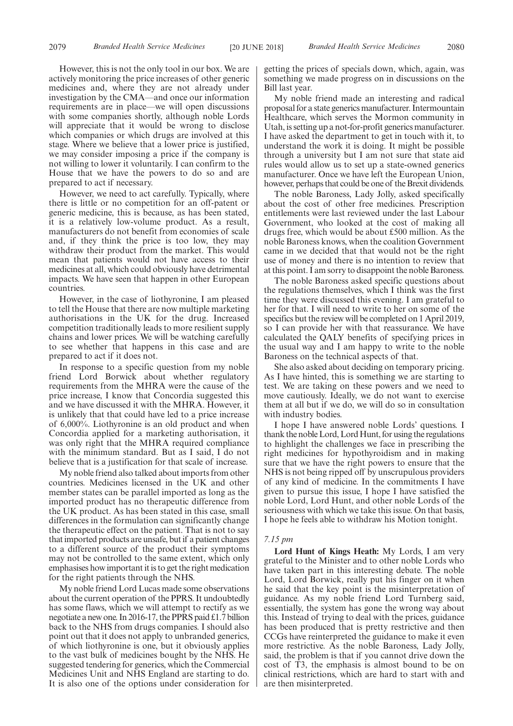However, this is not the only tool in our box. We are actively monitoring the price increases of other generic medicines and, where they are not already under investigation by the CMA—and once our information requirements are in place—we will open discussions with some companies shortly, although noble Lords will appreciate that it would be wrong to disclose which companies or which drugs are involved at this stage. Where we believe that a lower price is justified, we may consider imposing a price if the company is not willing to lower it voluntarily. I can confirm to the House that we have the powers to do so and are prepared to act if necessary.

However, we need to act carefully. Typically, where there is little or no competition for an off-patent or generic medicine, this is because, as has been stated, it is a relatively low-volume product. As a result, manufacturers do not benefit from economies of scale and, if they think the price is too low, they may withdraw their product from the market. This would mean that patients would not have access to their medicines at all, which could obviously have detrimental impacts. We have seen that happen in other European countries.

However, in the case of liothyronine, I am pleased to tell the House that there are now multiple marketing authorisations in the UK for the drug. Increased competition traditionally leads to more resilient supply chains and lower prices. We will be watching carefully to see whether that happens in this case and are prepared to act if it does not.

In response to a specific question from my noble friend Lord Borwick about whether regulatory requirements from the MHRA were the cause of the price increase, I know that Concordia suggested this and we have discussed it with the MHRA. However, it is unlikely that that could have led to a price increase of 6,000%. Liothyronine is an old product and when Concordia applied for a marketing authorisation, it was only right that the MHRA required compliance with the minimum standard. But as I said, I do not believe that is a justification for that scale of increase.

My noble friend also talked about imports from other countries. Medicines licensed in the UK and other member states can be parallel imported as long as the imported product has no therapeutic difference from the UK product. As has been stated in this case, small differences in the formulation can significantly change the therapeutic effect on the patient. That is not to say that imported products are unsafe, but if a patient changes to a different source of the product their symptoms may not be controlled to the same extent, which only emphasises how important it is to get the right medication for the right patients through the NHS.

My noble friend Lord Lucas made some observations about the current operation of the PPRS. It undoubtedly has some flaws, which we will attempt to rectify as we negotiate a new one. In 2016-17, the PPRS paid £1.7 billion back to the NHS from drugs companies. I should also point out that it does not apply to unbranded generics, of which liothyronine is one, but it obviously applies to the vast bulk of medicines bought by the NHS. He suggested tendering for generics, which the Commercial Medicines Unit and NHS England are starting to do. It is also one of the options under consideration for getting the prices of specials down, which, again, was something we made progress on in discussions on the Bill last year.

My noble friend made an interesting and radical proposal for a state generics manufacturer. Intermountain Healthcare, which serves the Mormon community in Utah, is setting up a not-for-profit generics manufacturer. I have asked the department to get in touch with it, to understand the work it is doing. It might be possible through a university but I am not sure that state aid rules would allow us to set up a state-owned generics manufacturer. Once we have left the European Union, however, perhaps that could be one of the Brexit dividends.

The noble Baroness, Lady Jolly, asked specifically about the cost of other free medicines. Prescription entitlements were last reviewed under the last Labour Government, who looked at the cost of making all drugs free, which would be about £500 million. As the noble Baroness knows, when the coalition Government came in we decided that that would not be the right use of money and there is no intention to review that at this point. I am sorry to disappoint the noble Baroness.

The noble Baroness asked specific questions about the regulations themselves, which I think was the first time they were discussed this evening. I am grateful to her for that. I will need to write to her on some of the specifics but the review will be completed on 1 April 2019, so I can provide her with that reassurance. We have calculated the QALY benefits of specifying prices in the usual way and I am happy to write to the noble Baroness on the technical aspects of that.

She also asked about deciding on temporary pricing. As I have hinted, this is something we are starting to test. We are taking on these powers and we need to move cautiously. Ideally, we do not want to exercise them at all but if we do, we will do so in consultation with industry bodies.

I hope I have answered noble Lords' questions. I thank the noble Lord, Lord Hunt, for using the regulations to highlight the challenges we face in prescribing the right medicines for hypothyroidism and in making sure that we have the right powers to ensure that the NHS is not being ripped off by unscrupulous providers of any kind of medicine. In the commitments I have given to pursue this issue, I hope I have satisfied the noble Lord, Lord Hunt, and other noble Lords of the seriousness with which we take this issue. On that basis, I hope he feels able to withdraw his Motion tonight.

#### *7.15 pm*

**Lord Hunt of Kings Heath:** My Lords, I am very grateful to the Minister and to other noble Lords who have taken part in this interesting debate. The noble Lord, Lord Borwick, really put his finger on it when he said that the key point is the misinterpretation of guidance. As my noble friend Lord Turnberg said, essentially, the system has gone the wrong way about this. Instead of trying to deal with the prices, guidance has been produced that is pretty restrictive and then CCGs have reinterpreted the guidance to make it even more restrictive. As the noble Baroness, Lady Jolly, said, the problem is that if you cannot drive down the cost of T3, the emphasis is almost bound to be on clinical restrictions, which are hard to start with and are then misinterpreted.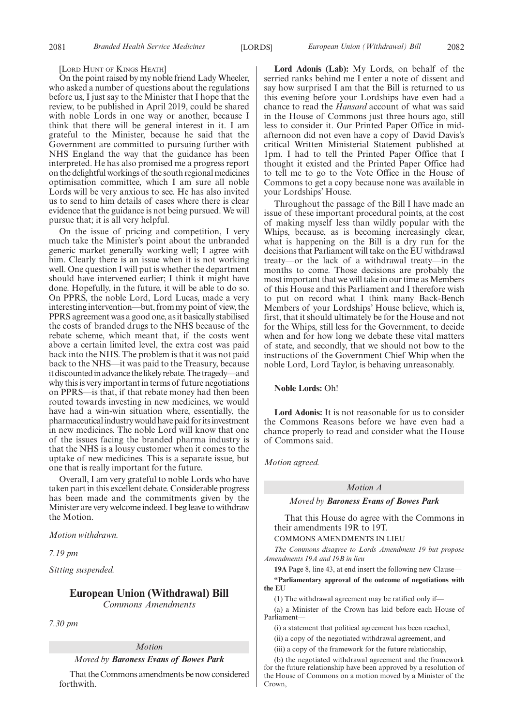#### [LORD HUNT OF KINGS HEATH]

On the point raised by my noble friend Lady Wheeler, who asked a number of questions about the regulations before us, I just say to the Minister that I hope that the review, to be published in April 2019, could be shared with noble Lords in one way or another, because I think that there will be general interest in it. I am grateful to the Minister, because he said that the Government are committed to pursuing further with NHS England the way that the guidance has been interpreted. He has also promised me a progress report on the delightful workings of the south regional medicines optimisation committee, which I am sure all noble Lords will be very anxious to see. He has also invited us to send to him details of cases where there is clear evidence that the guidance is not being pursued. We will pursue that; it is all very helpful.

On the issue of pricing and competition, I very much take the Minister's point about the unbranded generic market generally working well; I agree with him. Clearly there is an issue when it is not working well. One question I will put is whether the department should have intervened earlier; I think it might have done. Hopefully, in the future, it will be able to do so. On PPRS, the noble Lord, Lord Lucas, made a very interesting intervention—but, from my point of view, the PPRS agreement was a good one, as it basically stabilised the costs of branded drugs to the NHS because of the rebate scheme, which meant that, if the costs went above a certain limited level, the extra cost was paid back into the NHS. The problem is that it was not paid back to the NHS—it was paid to the Treasury, because it discounted in advance the likely rebate. The tragedy—and why this is very important in terms of future negotiations on PPRS—is that, if that rebate money had then been routed towards investing in new medicines, we would have had a win-win situation where, essentially, the pharmaceutical industry would have paid for its investment in new medicines. The noble Lord will know that one of the issues facing the branded pharma industry is that the NHS is a lousy customer when it comes to the uptake of new medicines. This is a separate issue, but one that is really important for the future.

Overall, I am very grateful to noble Lords who have taken part in this excellent debate. Considerable progress has been made and the commitments given by the Minister are very welcome indeed. I beg leave to withdraw the Motion.

*Motion withdrawn.*

*7.19 pm*

*Sitting suspended.*

# **European Union (Withdrawal) Bill** *Commons Amendments*

*7.30 pm*

#### *Motion*

*Moved by Baroness Evans of Bowes Park*

That the Commons amendments be now considered forthwith.

**Lord Adonis (Lab):** My Lords, on behalf of the serried ranks behind me I enter a note of dissent and say how surprised I am that the Bill is returned to us this evening before your Lordships have even had a chance to read the *Hansard* account of what was said in the House of Commons just three hours ago, still less to consider it. Our Printed Paper Office in midafternoon did not even have a copy of David Davis's critical Written Ministerial Statement published at 1pm. I had to tell the Printed Paper Office that I thought it existed and the Printed Paper Office had to tell me to go to the Vote Office in the House of Commons to get a copy because none was available in your Lordships' House.

Throughout the passage of the Bill I have made an issue of these important procedural points, at the cost of making myself less than wildly popular with the Whips, because, as is becoming increasingly clear, what is happening on the Bill is a dry run for the decisions that Parliament will take on the EU withdrawal treaty—or the lack of a withdrawal treaty—in the months to come. Those decisions are probably the most important that we will take in our time as Members of this House and this Parliament and I therefore wish to put on record what I think many Back-Bench Members of your Lordships' House believe, which is, first, that it should ultimately be for the House and not for the Whips, still less for the Government, to decide when and for how long we debate these vital matters of state, and secondly, that we should not bow to the instructions of the Government Chief Whip when the noble Lord, Lord Taylor, is behaving unreasonably.

**Noble Lords:** Oh!

**Lord Adonis:** It is not reasonable for us to consider the Commons Reasons before we have even had a chance properly to read and consider what the House of Commons said.

*Motion agreed.*

## *Motion A*

*Moved by Baroness Evans of Bowes Park*

That this House do agree with the Commons in their amendments 19R to 19T.

COMMONS AMENDMENTS IN LIEU

*The Commons disagree to Lords Amendment 19 but propose Amendments 19A and 19B in lieu*

**19A** Page 8, line 43, at end insert the following new Clause—

**"Parliamentary approval of the outcome of negotiations with the EU**

(1) The withdrawal agreement may be ratified only if—

(a) a Minister of the Crown has laid before each House of Parliament—

(i) a statement that political agreement has been reached,

(ii) a copy of the negotiated withdrawal agreement, and

(iii) a copy of the framework for the future relationship,

(b) the negotiated withdrawal agreement and the framework for the future relationship have been approved by a resolution of the House of Commons on a motion moved by a Minister of the Crown,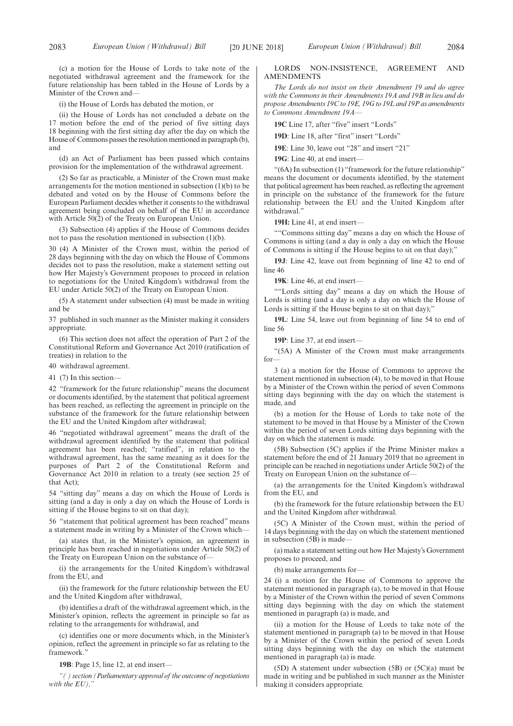(c) a motion for the House of Lords to take note of the negotiated withdrawal agreement and the framework for the future relationship has been tabled in the House of Lords by a Minister of the Crown and—

(i) the House of Lords has debated the motion, or

(ii) the House of Lords has not concluded a debate on the 17 motion before the end of the period of five sitting days 18 beginning with the first sitting day after the day on which the House of Commons passes the resolution mentioned in paragraph (b), and

(d) an Act of Parliament has been passed which contains provision for the implementation of the withdrawal agreement.

(2) So far as practicable, a Minister of the Crown must make arrangements for the motion mentioned in subsection  $(1)(b)$  to be debated and voted on by the House of Commons before the European Parliament decides whether it consents to the withdrawal agreement being concluded on behalf of the EU in accordance with Article 50(2) of the Treaty on European Union.

(3) Subsection (4) applies if the House of Commons decides not to pass the resolution mentioned in subsection  $(1)(b)$ .

30 (4) A Minister of the Crown must, within the period of 28 days beginning with the day on which the House of Commons decides not to pass the resolution, make a statement setting out how Her Majesty's Government proposes to proceed in relation to negotiations for the United Kingdom's withdrawal from the EU under Article 50(2) of the Treaty on European Union.

(5) A statement under subsection (4) must be made in writing and be

37 published in such manner as the Minister making it considers appropriate.

(6) This section does not affect the operation of Part 2 of the Constitutional Reform and Governance Act 2010 (ratification of treaties) in relation to the

40 withdrawal agreement.

41 (7) In this section—

42 "framework for the future relationship" means the document or documents identified, by the statement that political agreement has been reached, as reflecting the agreement in principle on the substance of the framework for the future relationship between the EU and the United Kingdom after withdrawal;

46 "negotiated withdrawal agreement" means the draft of the withdrawal agreement identified by the statement that political agreement has been reached; "ratified", in relation to the withdrawal agreement, has the same meaning as it does for the purposes of Part 2 of the Constitutional Reform and Governance Act 2010 in relation to a treaty (see section 25 of that Act);

54 "sitting day" means a day on which the House of Lords is sitting (and a day is only a day on which the House of Lords is sitting if the House begins to sit on that day);

56 "statement that political agreement has been reached" means a statement made in writing by a Minister of the Crown which—

(a) states that, in the Minister's opinion, an agreement in principle has been reached in negotiations under Article 50(2) of the Treaty on European Union on the substance of—

(i) the arrangements for the United Kingdom's withdrawal from the EU, and

(ii) the framework for the future relationship between the EU and the United Kingdom after withdrawal,

(b) identifies a draft of the withdrawal agreement which, in the Minister's opinion, reflects the agreement in principle so far as relating to the arrangements for withdrawal, and

(c) identifies one or more documents which, in the Minister's opinion, reflect the agreement in principle so far as relating to the framework"

**19B**: Page 15, line 12, at end insert—

*"( ) section (Parliamentary approval of the outcome of negotiations with the EU),"*

#### LORDS NON-INSISTENCE, AGREEMENT AND AMENDMENTS

*The Lords do not insist on their Amendment 19 and do agree with the Commons in their Amendments 19A and 19B in lieu and do propose Amendments 19C to 19E, 19G to 19L and 19P as amendments to Commons Amendment 19A—*

**19C** Line 17, after "five" insert "Lords"

**19D**: Line 18, after "first" insert "Lords"

**19E**: Line 30, leave out "28" and insert "21"

**19G**: Line 40, at end insert—

"(6A) In subsection (1) "framework for the future relationship" means the document or documents identified, by the statement that political agreement has been reached, as reflecting the agreement in principle on the substance of the framework for the future relationship between the EU and the United Kingdom after withdrawal."

**19H:** Line 41, at end insert—

""Commons sitting day" means a day on which the House of Commons is sitting (and a day is only a day on which the House of Commons is sitting if the House begins to sit on that day);"

**19J**: Line 42, leave out from beginning of line 42 to end of line 46

**19K**: Line 46, at end insert—

""Lords sitting day" means a day on which the House of Lords is sitting (and a day is only a day on which the House of Lords is sitting if the House begins to sit on that day);"

**19L**: Line 54, leave out from beginning of line 54 to end of line 56

**19P**: Line 37, at end insert—

"(5A) A Minister of the Crown must make arrangements for—

3 (a) a motion for the House of Commons to approve the statement mentioned in subsection (4), to be moved in that House by a Minister of the Crown within the period of seven Commons sitting days beginning with the day on which the statement is made, and

(b) a motion for the House of Lords to take note of the statement to be moved in that House by a Minister of the Crown within the period of seven Lords sitting days beginning with the day on which the statement is made.

(5B) Subsection (5C) applies if the Prime Minister makes a statement before the end of 21 January 2019 that no agreement in principle can be reached in negotiations under Article 50(2) of the Treaty on European Union on the substance of—

(a) the arrangements for the United Kingdom's withdrawal from the EU, and

(b) the framework for the future relationship between the EU and the United Kingdom after withdrawal.

(5C) A Minister of the Crown must, within the period of 14 days beginning with the day on which the statement mentioned in subsection  $(5B)$  is made-

(a) make a statement setting out how Her Majesty's Government proposes to proceed, and

(b) make arrangements for—

24 (i) a motion for the House of Commons to approve the statement mentioned in paragraph (a), to be moved in that House by a Minister of the Crown within the period of seven Commons sitting days beginning with the day on which the statement mentioned in paragraph (a) is made, and

(ii) a motion for the House of Lords to take note of the statement mentioned in paragraph (a) to be moved in that House by a Minister of the Crown within the period of seven Lords sitting days beginning with the day on which the statement mentioned in paragraph (a) is made.

(5D) A statement under subsection (5B) or (5C)(a) must be made in writing and be published in such manner as the Minister making it considers appropriate.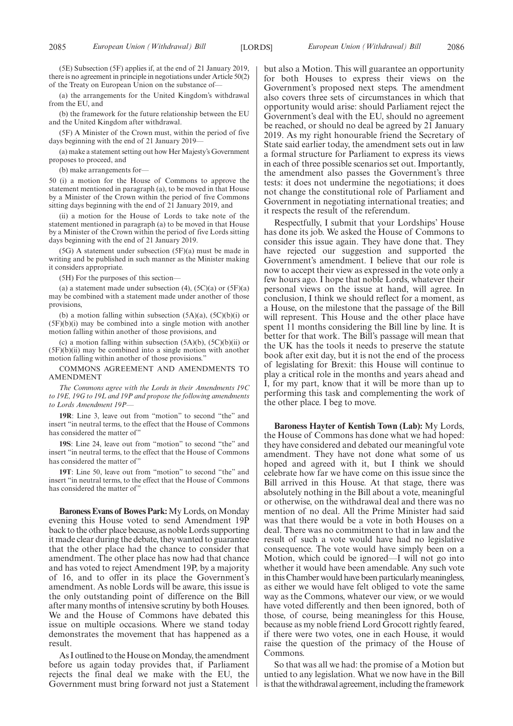(a) the arrangements for the United Kingdom's withdrawal from the EU, and

(b) the framework for the future relationship between the EU and the United Kingdom after withdrawal.

(5F) A Minister of the Crown must, within the period of five days beginning with the end of 21 January 2019—

(a) make a statement setting out how Her Majesty's Government proposes to proceed, and

(b) make arrangements for—

50 (i) a motion for the House of Commons to approve the statement mentioned in paragraph (a), to be moved in that House by a Minister of the Crown within the period of five Commons sitting days beginning with the end of 21 January 2019, and

(ii) a motion for the House of Lords to take note of the statement mentioned in paragraph (a) to be moved in that House by a Minister of the Crown within the period of five Lords sitting days beginning with the end of 21 January 2019.

(5G) A statement under subsection (5F)(a) must be made in writing and be published in such manner as the Minister making it considers appropriate.

(5H) For the purposes of this section—

(a) a statement made under subsection  $(4)$ ,  $(5C)(a)$  or  $(5F)(a)$ may be combined with a statement made under another of those provisions,

(b) a motion falling within subsection  $(5A)(a)$ ,  $(5C)(b)(i)$  or  $(5F)(b)(i)$  may be combined into a single motion with another motion falling within another of those provisions, and

(c) a motion falling within subsection  $(5A)(b)$ ,  $(5C)(b)(ii)$  or  $(5F)(b)(ii)$  may be combined into a single motion with another motion falling within another of those provisions."

COMMONS AGREEMENT AND AMENDMENTS TO AMENDMENT

*The Commons agree with the Lords in their Amendments 19C to 19E, 19G to 19L and 19P and propose the following amendments to Lords Amendment 19P—*

**19R**: Line 3, leave out from "motion" to second "the" and insert "in neutral terms, to the effect that the House of Commons has considered the matter of"

**19S**: Line 24, leave out from "motion" to second "the" and insert "in neutral terms, to the effect that the House of Commons has considered the matter of'

**19T**: Line 50, leave out from "motion" to second "the" and insert "in neutral terms, to the effect that the House of Commons has considered the matter of"

**Baroness Evans of Bowes Park:**My Lords, on Monday evening this House voted to send Amendment 19P back to the other place because, as noble Lords supporting it made clear during the debate, they wanted to guarantee that the other place had the chance to consider that amendment. The other place has now had that chance and has voted to reject Amendment 19P, by a majority of 16, and to offer in its place the Government's amendment. As noble Lords will be aware, this issue is the only outstanding point of difference on the Bill after many months of intensive scrutiny by both Houses. We and the House of Commons have debated this issue on multiple occasions. Where we stand today demonstrates the movement that has happened as a result.

As I outlined to the House on Monday, the amendment before us again today provides that, if Parliament rejects the final deal we make with the EU, the Government must bring forward not just a Statement but also a Motion. This will guarantee an opportunity for both Houses to express their views on the Government's proposed next steps. The amendment also covers three sets of circumstances in which that opportunity would arise: should Parliament reject the Government's deal with the EU, should no agreement be reached, or should no deal be agreed by 21 January 2019. As my right honourable friend the Secretary of State said earlier today, the amendment sets out in law a formal structure for Parliament to express its views in each of three possible scenarios set out. Importantly, the amendment also passes the Government's three tests: it does not undermine the negotiations; it does not change the constitutional role of Parliament and Government in negotiating international treaties; and it respects the result of the referendum.

Respectfully, I submit that your Lordships' House has done its job. We asked the House of Commons to consider this issue again. They have done that. They have rejected our suggestion and supported the Government's amendment. I believe that our role is now to accept their view as expressed in the vote only a few hours ago. I hope that noble Lords, whatever their personal views on the issue at hand, will agree. In conclusion, I think we should reflect for a moment, as a House, on the milestone that the passage of the Bill will represent. This House and the other place have spent 11 months considering the Bill line by line. It is better for that work. The Bill's passage will mean that the UK has the tools it needs to preserve the statute book after exit day, but it is not the end of the process of legislating for Brexit: this House will continue to play a critical role in the months and years ahead and I, for my part, know that it will be more than up to performing this task and complementing the work of the other place. I beg to move.

**Baroness Hayter of Kentish Town (Lab):** My Lords, the House of Commons has done what we had hoped: they have considered and debated our meaningful vote amendment. They have not done what some of us hoped and agreed with it, but I think we should celebrate how far we have come on this issue since the Bill arrived in this House. At that stage, there was absolutely nothing in the Bill about a vote, meaningful or otherwise, on the withdrawal deal and there was no mention of no deal. All the Prime Minister had said was that there would be a vote in both Houses on a deal. There was no commitment to that in law and the result of such a vote would have had no legislative consequence. The vote would have simply been on a Motion, which could be ignored—I will not go into whether it would have been amendable. Any such vote in this Chamber would have been particularly meaningless, as either we would have felt obliged to vote the same way as the Commons, whatever our view, or we would have voted differently and then been ignored, both of those, of course, being meaningless for this House, because as my noble friend Lord Grocott rightly feared, if there were two votes, one in each House, it would raise the question of the primacy of the House of Commons.

So that was all we had: the promise of a Motion but untied to any legislation. What we now have in the Bill is that the withdrawal agreement, including the framework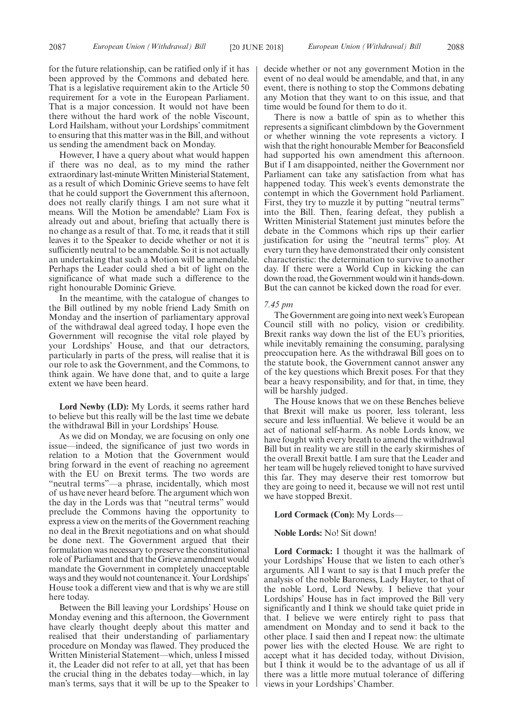for the future relationship, can be ratified only if it has been approved by the Commons and debated here. That is a legislative requirement akin to the Article 50 requirement for a vote in the European Parliament. That is a major concession. It would not have been there without the hard work of the noble Viscount, Lord Hailsham, without your Lordships' commitment to ensuring that this matter was in the Bill, and without us sending the amendment back on Monday.

However, I have a query about what would happen if there was no deal, as to my mind the rather extraordinary last-minute Written Ministerial Statement, as a result of which Dominic Grieve seems to have felt that he could support the Government this afternoon, does not really clarify things. I am not sure what it means. Will the Motion be amendable? Liam Fox is already out and about, briefing that actually there is no change as a result of that. To me, it reads that it still leaves it to the Speaker to decide whether or not it is sufficiently neutral to be amendable. So it is not actually an undertaking that such a Motion will be amendable. Perhaps the Leader could shed a bit of light on the significance of what made such a difference to the right honourable Dominic Grieve.

In the meantime, with the catalogue of changes to the Bill outlined by my noble friend Lady Smith on Monday and the insertion of parliamentary approval of the withdrawal deal agreed today, I hope even the Government will recognise the vital role played by your Lordships' House, and that our detractors, particularly in parts of the press, will realise that it is our role to ask the Government, and the Commons, to think again. We have done that, and to quite a large extent we have been heard.

**Lord Newby (LD):** My Lords, it seems rather hard to believe but this really will be the last time we debate the withdrawal Bill in your Lordships' House.

As we did on Monday, we are focusing on only one issue—indeed, the significance of just two words in relation to a Motion that the Government would bring forward in the event of reaching no agreement with the EU on Brexit terms. The two words are "neutral terms"—a phrase, incidentally, which most of us have never heard before. The argument which won the day in the Lords was that "neutral terms" would preclude the Commons having the opportunity to express a view on the merits of the Government reaching no deal in the Brexit negotiations and on what should be done next. The Government argued that their formulation was necessary to preserve the constitutional role of Parliament and that the Grieve amendment would mandate the Government in completely unacceptable ways and they would not countenance it. Your Lordships' House took a different view and that is why we are still here today.

Between the Bill leaving your Lordships' House on Monday evening and this afternoon, the Government have clearly thought deeply about this matter and realised that their understanding of parliamentary procedure on Monday was flawed. They produced the Written Ministerial Statement—which, unless I missed it, the Leader did not refer to at all, yet that has been the crucial thing in the debates today—which, in lay man's terms, says that it will be up to the Speaker to decide whether or not any government Motion in the event of no deal would be amendable, and that, in any event, there is nothing to stop the Commons debating any Motion that they want to on this issue, and that time would be found for them to do it.

There is now a battle of spin as to whether this represents a significant climbdown by the Government or whether winning the vote represents a victory. I wish that the right honourable Member for Beaconsfield had supported his own amendment this afternoon. But if I am disappointed, neither the Government nor Parliament can take any satisfaction from what has happened today. This week's events demonstrate the contempt in which the Government hold Parliament. First, they try to muzzle it by putting "neutral terms" into the Bill. Then, fearing defeat, they publish a Written Ministerial Statement just minutes before the debate in the Commons which rips up their earlier justification for using the "neutral terms" ploy. At every turn they have demonstrated their only consistent characteristic: the determination to survive to another day. If there were a World Cup in kicking the can down the road, the Government would win it hands-down. But the can cannot be kicked down the road for ever.

#### *7.45 pm*

The Government are going into next week's European Council still with no policy, vision or credibility. Brexit ranks way down the list of the EU's priorities, while inevitably remaining the consuming, paralysing preoccupation here. As the withdrawal Bill goes on to the statute book, the Government cannot answer any of the key questions which Brexit poses. For that they bear a heavy responsibility, and for that, in time, they will be harshly judged.

The House knows that we on these Benches believe that Brexit will make us poorer, less tolerant, less secure and less influential. We believe it would be an act of national self-harm. As noble Lords know, we have fought with every breath to amend the withdrawal Bill but in reality we are still in the early skirmishes of the overall Brexit battle. I am sure that the Leader and her team will be hugely relieved tonight to have survived this far. They may deserve their rest tomorrow but they are going to need it, because we will not rest until we have stopped Brexit.

#### **Lord Cormack (Con):** My Lords—

#### **Noble Lords:** No! Sit down!

**Lord Cormack:** I thought it was the hallmark of your Lordships' House that we listen to each other's arguments. All I want to say is that I much prefer the analysis of the noble Baroness, Lady Hayter, to that of the noble Lord, Lord Newby. I believe that your Lordships' House has in fact improved the Bill very significantly and I think we should take quiet pride in that. I believe we were entirely right to pass that amendment on Monday and to send it back to the other place. I said then and I repeat now: the ultimate power lies with the elected House. We are right to accept what it has decided today, without Division, but I think it would be to the advantage of us all if there was a little more mutual tolerance of differing views in your Lordships' Chamber.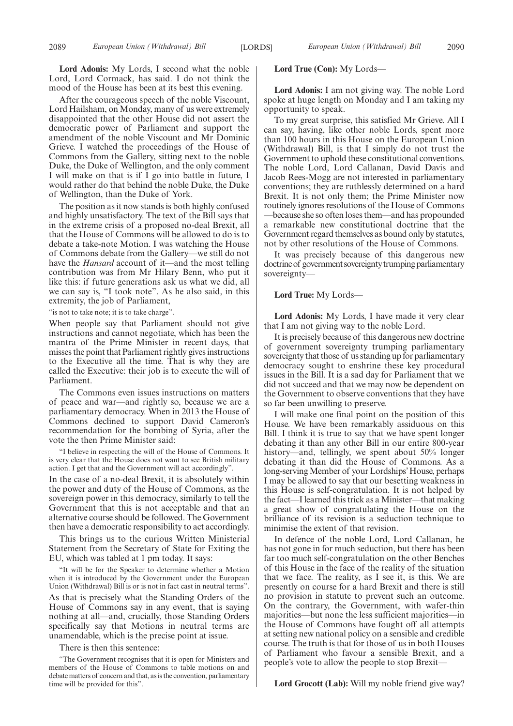**Lord Adonis:** My Lords, I second what the noble Lord, Lord Cormack, has said. I do not think the mood of the House has been at its best this evening.

After the courageous speech of the noble Viscount, Lord Hailsham, on Monday, many of us were extremely disappointed that the other House did not assert the democratic power of Parliament and support the amendment of the noble Viscount and Mr Dominic Grieve. I watched the proceedings of the House of Commons from the Gallery, sitting next to the noble Duke, the Duke of Wellington, and the only comment I will make on that is if I go into battle in future, I would rather do that behind the noble Duke, the Duke of Wellington, than the Duke of York.

The position as it now stands is both highly confused and highly unsatisfactory. The text of the Bill says that in the extreme crisis of a proposed no-deal Brexit, all that the House of Commons will be allowed to do is to debate a take-note Motion. I was watching the House of Commons debate from the Gallery—we still do not have the *Hansard* account of it—and the most telling contribution was from Mr Hilary Benn, who put it like this: if future generations ask us what we did, all we can say is, "I took note". As he also said, in this extremity, the job of Parliament,

"is not to take note; it is to take charge".

When people say that Parliament should not give instructions and cannot negotiate, which has been the mantra of the Prime Minister in recent days, that misses the point that Parliament rightly gives instructions to the Executive all the time. That is why they are called the Executive: their job is to execute the will of Parliament.

The Commons even issues instructions on matters of peace and war—and rightly so, because we are a parliamentary democracy. When in 2013 the House of Commons declined to support David Cameron's recommendation for the bombing of Syria, after the vote the then Prime Minister said:

"I believe in respecting the will of the House of Commons. It is very clear that the House does not want to see British military action. I get that and the Government will act accordingly".

In the case of a no-deal Brexit, it is absolutely within the power and duty of the House of Commons, as the sovereign power in this democracy, similarly to tell the Government that this is not acceptable and that an alternative course should be followed. The Government then have a democratic responsibility to act accordingly.

This brings us to the curious Written Ministerial Statement from the Secretary of State for Exiting the EU, which was tabled at 1 pm today. It says:

"It will be for the Speaker to determine whether a Motion when it is introduced by the Government under the European Union (Withdrawal) Bill is or is not in fact cast in neutral terms".

As that is precisely what the Standing Orders of the House of Commons say in any event, that is saying nothing at all—and, crucially, those Standing Orders specifically say that Motions in neutral terms are unamendable, which is the precise point at issue.

There is then this sentence:

#### **Lord True (Con):** My Lords—

**Lord Adonis:** I am not giving way. The noble Lord spoke at huge length on Monday and I am taking my opportunity to speak.

To my great surprise, this satisfied Mr Grieve. All I can say, having, like other noble Lords, spent more than 100 hours in this House on the European Union (Withdrawal) Bill, is that I simply do not trust the Government to uphold these constitutional conventions. The noble Lord, Lord Callanan, David Davis and Jacob Rees-Mogg are not interested in parliamentary conventions; they are ruthlessly determined on a hard Brexit. It is not only them; the Prime Minister now routinely ignores resolutions of the House of Commons —because she so often loses them—and has propounded a remarkable new constitutional doctrine that the Government regard themselves as bound only by statutes, not by other resolutions of the House of Commons.

It was precisely because of this dangerous new doctrine of government sovereignty trumping parliamentary sovereignty—

#### **Lord True:** My Lords—

**Lord Adonis:** My Lords, I have made it very clear that I am not giving way to the noble Lord.

It is precisely because of this dangerous new doctrine of government sovereignty trumping parliamentary sovereignty that those of us standing up for parliamentary democracy sought to enshrine these key procedural issues in the Bill. It is a sad day for Parliament that we did not succeed and that we may now be dependent on the Government to observe conventions that they have so far been unwilling to preserve.

I will make one final point on the position of this House. We have been remarkably assiduous on this Bill. I think it is true to say that we have spent longer debating it than any other Bill in our entire 800-year history—and, tellingly, we spent about 50% longer debating it than did the House of Commons. As a long-serving Member of your Lordships'House, perhaps I may be allowed to say that our besetting weakness in this House is self-congratulation. It is not helped by the fact—I learned this trick as a Minister—that making a great show of congratulating the House on the brilliance of its revision is a seduction technique to minimise the extent of that revision.

In defence of the noble Lord, Lord Callanan, he has not gone in for much seduction, but there has been far too much self-congratulation on the other Benches of this House in the face of the reality of the situation that we face. The reality, as I see it, is this. We are presently on course for a hard Brexit and there is still no provision in statute to prevent such an outcome. On the contrary, the Government, with wafer-thin majorities—but none the less sufficient majorities—in the House of Commons have fought off all attempts at setting new national policy on a sensible and credible course. The truth is that for those of us in both Houses of Parliament who favour a sensible Brexit, and a people's vote to allow the people to stop Brexit—

**Lord Grocott (Lab):** Will my noble friend give way?

<sup>&</sup>quot;The Government recognises that it is open for Ministers and members of the House of Commons to table motions on and debate matters of concern and that, as is the convention, parliamentary time will be provided for this".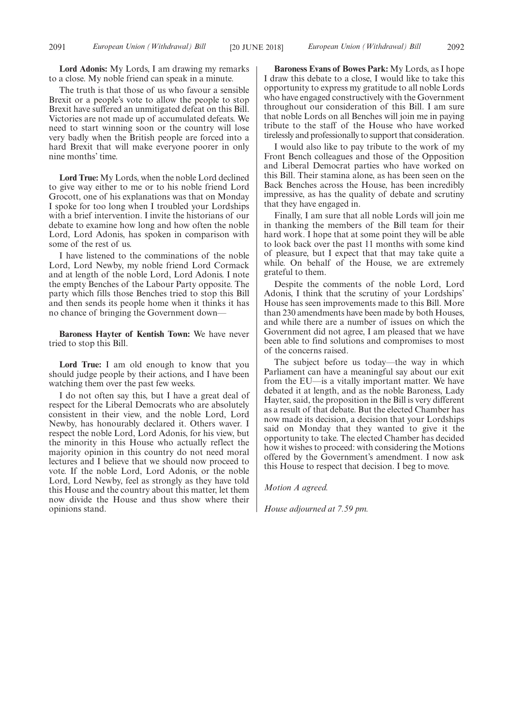**Lord Adonis:** My Lords, I am drawing my remarks to a close. My noble friend can speak in a minute.

The truth is that those of us who favour a sensible Brexit or a people's vote to allow the people to stop Brexit have suffered an unmitigated defeat on this Bill. Victories are not made up of accumulated defeats. We need to start winning soon or the country will lose very badly when the British people are forced into a hard Brexit that will make everyone poorer in only nine months' time.

**Lord True:** My Lords, when the noble Lord declined to give way either to me or to his noble friend Lord Grocott, one of his explanations was that on Monday I spoke for too long when I troubled your Lordships with a brief intervention. I invite the historians of our debate to examine how long and how often the noble Lord, Lord Adonis, has spoken in comparison with some of the rest of us.

I have listened to the comminations of the noble Lord, Lord Newby, my noble friend Lord Cormack and at length of the noble Lord, Lord Adonis. I note the empty Benches of the Labour Party opposite. The party which fills those Benches tried to stop this Bill and then sends its people home when it thinks it has no chance of bringing the Government down—

**Baroness Hayter of Kentish Town:** We have never tried to stop this Bill.

**Lord True:** I am old enough to know that you should judge people by their actions, and I have been watching them over the past few weeks.

I do not often say this, but I have a great deal of respect for the Liberal Democrats who are absolutely consistent in their view, and the noble Lord, Lord Newby, has honourably declared it. Others waver. I respect the noble Lord, Lord Adonis, for his view, but the minority in this House who actually reflect the majority opinion in this country do not need moral lectures and I believe that we should now proceed to vote. If the noble Lord, Lord Adonis, or the noble Lord, Lord Newby, feel as strongly as they have told this House and the country about this matter, let them now divide the House and thus show where their opinions stand.

**Baroness Evans of Bowes Park:** My Lords, as I hope I draw this debate to a close, I would like to take this opportunity to express my gratitude to all noble Lords who have engaged constructively with the Government throughout our consideration of this Bill. I am sure that noble Lords on all Benches will join me in paying tribute to the staff of the House who have worked tirelessly and professionally to support that consideration.

I would also like to pay tribute to the work of my Front Bench colleagues and those of the Opposition and Liberal Democrat parties who have worked on this Bill. Their stamina alone, as has been seen on the Back Benches across the House, has been incredibly impressive, as has the quality of debate and scrutiny that they have engaged in.

Finally, I am sure that all noble Lords will join me in thanking the members of the Bill team for their hard work. I hope that at some point they will be able to look back over the past 11 months with some kind of pleasure, but I expect that that may take quite a while. On behalf of the House, we are extremely grateful to them.

Despite the comments of the noble Lord, Lord Adonis, I think that the scrutiny of your Lordships' House has seen improvements made to this Bill. More than 230 amendments have been made by both Houses, and while there are a number of issues on which the Government did not agree, I am pleased that we have been able to find solutions and compromises to most of the concerns raised.

The subject before us today—the way in which Parliament can have a meaningful say about our exit from the EU—is a vitally important matter. We have debated it at length, and as the noble Baroness, Lady Hayter, said, the proposition in the Bill is very different as a result of that debate. But the elected Chamber has now made its decision, a decision that your Lordships said on Monday that they wanted to give it the opportunity to take. The elected Chamber has decided how it wishes to proceed: with considering the Motions offered by the Government's amendment. I now ask this House to respect that decision. I beg to move.

*Motion A agreed.*

*House adjourned at 7.59 pm.*